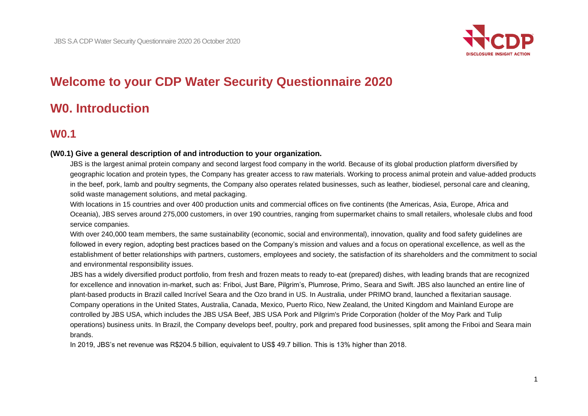

# **Welcome to your CDP Water Security Questionnaire 2020**

# **W0. Introduction**

# **W0.1**

# **(W0.1) Give a general description of and introduction to your organization.**

JBS is the largest animal protein company and second largest food company in the world. Because of its global production platform diversified by geographic location and protein types, the Company has greater access to raw materials. Working to process animal protein and value-added products in the beef, pork, lamb and poultry segments, the Company also operates related businesses, such as leather, biodiesel, personal care and cleaning, solid waste management solutions, and metal packaging.

With locations in 15 countries and over 400 production units and commercial offices on five continents (the Americas, Asia, Europe, Africa and Oceania), JBS serves around 275,000 customers, in over 190 countries, ranging from supermarket chains to small retailers, wholesale clubs and food service companies.

With over 240,000 team members, the same sustainability (economic, social and environmental), innovation, quality and food safety quidelines are followed in every region, adopting best practices based on the Company's mission and values and a focus on operational excellence, as well as the establishment of better relationships with partners, customers, employees and society, the satisfaction of its shareholders and the commitment to social and environmental responsibility issues.

JBS has a widely diversified product portfolio, from fresh and frozen meats to ready to-eat (prepared) dishes, with leading brands that are recognized for excellence and innovation in-market, such as: Friboi, Just Bare, Pilgrim's, Plumrose, Primo, Seara and Swift. JBS also launched an entire line of plant-based products in Brazil called Incrível Seara and the Ozo brand in US. In Australia, under PRIMO brand, launched a flexitarian sausage. Company operations in the United States, Australia, Canada, Mexico, Puerto Rico, New Zealand, the United Kingdom and Mainland Europe are controlled by JBS USA, which includes the JBS USA Beef, JBS USA Pork and Pilgrim's Pride Corporation (holder of the Moy Park and Tulip operations) business units. In Brazil, the Company develops beef, poultry, pork and prepared food businesses, split among the Friboi and Seara main brands.

In 2019, JBS's net revenue was R\$204.5 billion, equivalent to US\$ 49.7 billion. This is 13% higher than 2018.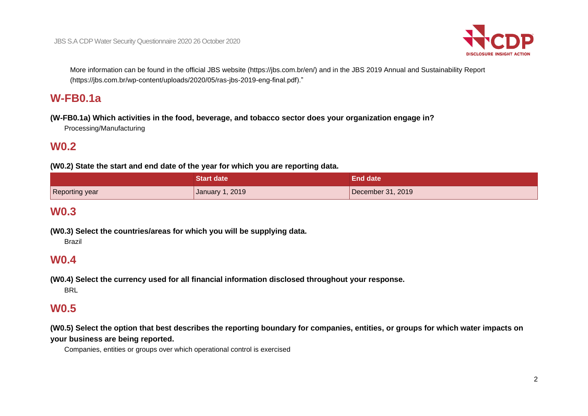

More information can be found in the official JBS website (https://jbs.com.br/en/) and in the JBS 2019 Annual and Sustainability Report (https://jbs.com.br/wp-content/uploads/2020/05/ras-jbs-2019-eng-final.pdf)."

# **W-FB0.1a**

**(W-FB0.1a) Which activities in the food, beverage, and tobacco sector does your organization engage in?** Processing/Manufacturing

# **W0.2**

**(W0.2) State the start and end date of the year for which you are reporting data.**

|                | <b>Start date</b> | <b>\End date</b>          |
|----------------|-------------------|---------------------------|
| Reporting year | January 1, 2019   | $\vert$ December 31, 2019 |

# **W0.3**

**(W0.3) Select the countries/areas for which you will be supplying data.**

Brazil

# **W0.4**

**(W0.4) Select the currency used for all financial information disclosed throughout your response.** BRL

# **W0.5**

**(W0.5) Select the option that best describes the reporting boundary for companies, entities, or groups for which water impacts on your business are being reported.**

Companies, entities or groups over which operational control is exercised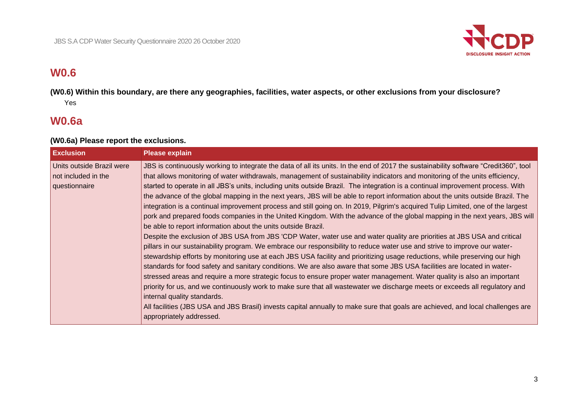

# **W0.6**

**(W0.6) Within this boundary, are there any geographies, facilities, water aspects, or other exclusions from your disclosure?** Yes

# **W0.6a**

# **(W0.6a) Please report the exclusions.**

| <b>Exclusion</b>                                                  | <b>Please explain</b>                                                                                                                                                                                                                                                                                                                                                                                                                                                                                                                                                                                                                                                                                                                                                                                                                                                                                                                                                                                                                                                                                                                                                                                                                                                                                                                                                                                                                                                                                                                                                                                                                                                                                                                                                                                                                                     |
|-------------------------------------------------------------------|-----------------------------------------------------------------------------------------------------------------------------------------------------------------------------------------------------------------------------------------------------------------------------------------------------------------------------------------------------------------------------------------------------------------------------------------------------------------------------------------------------------------------------------------------------------------------------------------------------------------------------------------------------------------------------------------------------------------------------------------------------------------------------------------------------------------------------------------------------------------------------------------------------------------------------------------------------------------------------------------------------------------------------------------------------------------------------------------------------------------------------------------------------------------------------------------------------------------------------------------------------------------------------------------------------------------------------------------------------------------------------------------------------------------------------------------------------------------------------------------------------------------------------------------------------------------------------------------------------------------------------------------------------------------------------------------------------------------------------------------------------------------------------------------------------------------------------------------------------------|
| Units outside Brazil were<br>not included in the<br>questionnaire | JBS is continuously working to integrate the data of all its units. In the end of 2017 the sustainability software "Credit360", tool<br>that allows monitoring of water withdrawals, management of sustainability indicators and monitoring of the units efficiency,<br>started to operate in all JBS's units, including units outside Brazil. The integration is a continual improvement process. With<br>the advance of the global mapping in the next years, JBS will be able to report information about the units outside Brazil. The<br>integration is a continual improvement process and still going on. In 2019, Pilgrim's acquired Tulip Limited, one of the largest<br>pork and prepared foods companies in the United Kingdom. With the advance of the global mapping in the next years, JBS will<br>be able to report information about the units outside Brazil.<br>Despite the exclusion of JBS USA from JBS 'CDP Water, water use and water quality are priorities at JBS USA and critical<br>pillars in our sustainability program. We embrace our responsibility to reduce water use and strive to improve our water-<br>stewardship efforts by monitoring use at each JBS USA facility and prioritizing usage reductions, while preserving our high<br>standards for food safety and sanitary conditions. We are also aware that some JBS USA facilities are located in water-<br>stressed areas and require a more strategic focus to ensure proper water management. Water quality is also an important<br>priority for us, and we continuously work to make sure that all wastewater we discharge meets or exceeds all regulatory and<br>internal quality standards.<br>All facilities (JBS USA and JBS Brasil) invests capital annually to make sure that goals are achieved, and local challenges are<br>appropriately addressed. |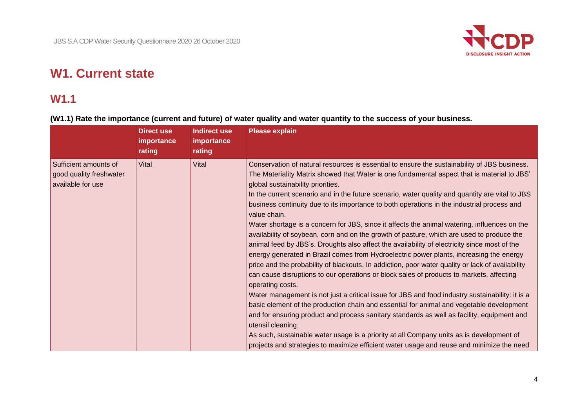

# **W1. Current state**

# **W1.1**

# **(W1.1) Rate the importance (current and future) of water quality and water quantity to the success of your business.**

|                                                                       | <b>Direct use</b><br>importance<br>rating | <b>Indirect use</b><br>importance<br>rating | <b>Please explain</b>                                                                                                                                                                                                                                                                                                                                                                                                                                                                                                                                                                                                                                                                                                                                                                                                                                                                                                                                                                                                                                                                                                                                                                                                                                                                                                                                                                                                                                                                                                                                                    |
|-----------------------------------------------------------------------|-------------------------------------------|---------------------------------------------|--------------------------------------------------------------------------------------------------------------------------------------------------------------------------------------------------------------------------------------------------------------------------------------------------------------------------------------------------------------------------------------------------------------------------------------------------------------------------------------------------------------------------------------------------------------------------------------------------------------------------------------------------------------------------------------------------------------------------------------------------------------------------------------------------------------------------------------------------------------------------------------------------------------------------------------------------------------------------------------------------------------------------------------------------------------------------------------------------------------------------------------------------------------------------------------------------------------------------------------------------------------------------------------------------------------------------------------------------------------------------------------------------------------------------------------------------------------------------------------------------------------------------------------------------------------------------|
| Sufficient amounts of<br>good quality freshwater<br>available for use | Vital                                     | Vital                                       | Conservation of natural resources is essential to ensure the sustainability of JBS business.<br>The Materiality Matrix showed that Water is one fundamental aspect that is material to JBS'<br>global sustainability priorities.<br>In the current scenario and in the future scenario, water quality and quantity are vital to JBS<br>business continuity due to its importance to both operations in the industrial process and<br>value chain.<br>Water shortage is a concern for JBS, since it affects the animal watering, influences on the<br>availability of soybean, corn and on the growth of pasture, which are used to produce the<br>animal feed by JBS's. Droughts also affect the availability of electricity since most of the<br>energy generated in Brazil comes from Hydroelectric power plants, increasing the energy<br>price and the probability of blackouts. In addiction, poor water quality or lack of availability<br>can cause disruptions to our operations or block sales of products to markets, affecting<br>operating costs.<br>Water management is not just a critical issue for JBS and food industry sustainability: it is a<br>basic element of the production chain and essential for animal and vegetable development<br>and for ensuring product and process sanitary standards as well as facility, equipment and<br>utensil cleaning.<br>As such, sustainable water usage is a priority at all Company units as is development of<br>projects and strategies to maximize efficient water usage and reuse and minimize the need |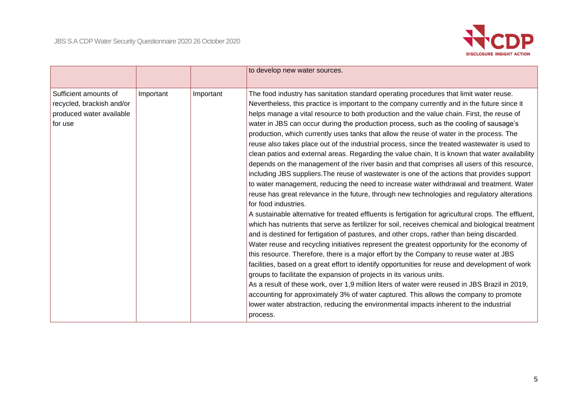

|                                                                                           |           |           | to develop new water sources.                                                                                                                                                                                                                                                                                                                                                                                                                                                                                                                                                                                                                                                                                                                                                                                                                                                                                                                                                                                                                                                                                                                                                                                                                                                                                                                                                                                                                                                                                                                                                                                                                                                                                                                                                                                                                                                                                                                                                                                                                                                    |
|-------------------------------------------------------------------------------------------|-----------|-----------|----------------------------------------------------------------------------------------------------------------------------------------------------------------------------------------------------------------------------------------------------------------------------------------------------------------------------------------------------------------------------------------------------------------------------------------------------------------------------------------------------------------------------------------------------------------------------------------------------------------------------------------------------------------------------------------------------------------------------------------------------------------------------------------------------------------------------------------------------------------------------------------------------------------------------------------------------------------------------------------------------------------------------------------------------------------------------------------------------------------------------------------------------------------------------------------------------------------------------------------------------------------------------------------------------------------------------------------------------------------------------------------------------------------------------------------------------------------------------------------------------------------------------------------------------------------------------------------------------------------------------------------------------------------------------------------------------------------------------------------------------------------------------------------------------------------------------------------------------------------------------------------------------------------------------------------------------------------------------------------------------------------------------------------------------------------------------------|
| Sufficient amounts of<br>recycled, brackish and/or<br>produced water available<br>for use | Important | Important | The food industry has sanitation standard operating procedures that limit water reuse.<br>Nevertheless, this practice is important to the company currently and in the future since it<br>helps manage a vital resource to both production and the value chain. First, the reuse of<br>water in JBS can occur during the production process, such as the cooling of sausage's<br>production, which currently uses tanks that allow the reuse of water in the process. The<br>reuse also takes place out of the industrial process, since the treated wastewater is used to<br>clean patios and external areas. Regarding the value chain, It is known that water availability<br>depends on the management of the river basin and that comprises all users of this resource,<br>including JBS suppliers. The reuse of wastewater is one of the actions that provides support<br>to water management, reducing the need to increase water withdrawal and treatment. Water<br>reuse has great relevance in the future, through new technologies and regulatory alterations<br>for food industries.<br>A sustainable alternative for treated effluents is fertigation for agricultural crops. The effluent,<br>which has nutrients that serve as fertilizer for soil, receives chemical and biological treatment<br>and is destined for fertigation of pastures, and other crops, rather than being discarded.<br>Water reuse and recycling initiatives represent the greatest opportunity for the economy of<br>this resource. Therefore, there is a major effort by the Company to reuse water at JBS<br>facilities, based on a great effort to identify opportunities for reuse and development of work<br>groups to facilitate the expansion of projects in its various units.<br>As a result of these work, over 1,9 million liters of water were reused in JBS Brazil in 2019,<br>accounting for approximately 3% of water captured. This allows the company to promote<br>lower water abstraction, reducing the environmental impacts inherent to the industrial<br>process. |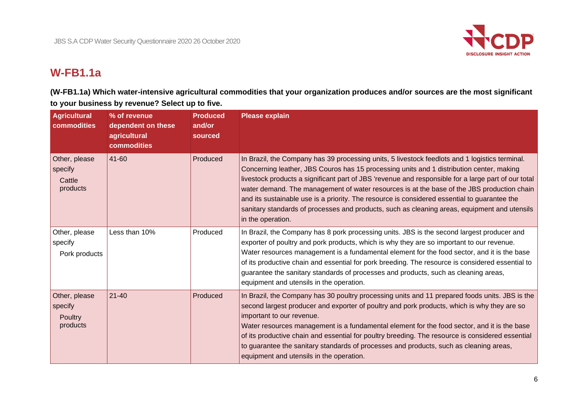

# **W-FB1.1a**

**(W-FB1.1a) Which water-intensive agricultural commodities that your organization produces and/or sources are the most significant to your business by revenue? Select up to five.**

| Agricultural<br>commodities                     | % of revenue<br>dependent on these<br>agricultural<br>commodities | <b>Produced</b><br>and/or<br>sourced | <b>Please explain</b>                                                                                                                                                                                                                                                                                                                                                                                                                                                                                                                                                                                                |
|-------------------------------------------------|-------------------------------------------------------------------|--------------------------------------|----------------------------------------------------------------------------------------------------------------------------------------------------------------------------------------------------------------------------------------------------------------------------------------------------------------------------------------------------------------------------------------------------------------------------------------------------------------------------------------------------------------------------------------------------------------------------------------------------------------------|
| Other, please<br>specify<br>Cattle<br>products  | 41-60                                                             | Produced                             | In Brazil, the Company has 39 processing units, 5 livestock feedlots and 1 logistics terminal.<br>Concerning leather, JBS Couros has 15 processing units and 1 distribution center, making<br>livestock products a significant part of JBS 'revenue and responsible for a large part of our total<br>water demand. The management of water resources is at the base of the JBS production chain<br>and its sustainable use is a priority. The resource is considered essential to guarantee the<br>sanitary standards of processes and products, such as cleaning areas, equipment and utensils<br>in the operation. |
| Other, please<br>specify<br>Pork products       | Less than 10%                                                     | Produced                             | In Brazil, the Company has 8 pork processing units. JBS is the second largest producer and<br>exporter of poultry and pork products, which is why they are so important to our revenue.<br>Water resources management is a fundamental element for the food sector, and it is the base<br>of its productive chain and essential for pork breeding. The resource is considered essential to<br>guarantee the sanitary standards of processes and products, such as cleaning areas,<br>equipment and utensils in the operation.                                                                                        |
| Other, please<br>specify<br>Poultry<br>products | $21 - 40$                                                         | Produced                             | In Brazil, the Company has 30 poultry processing units and 11 prepared foods units. JBS is the<br>second largest producer and exporter of poultry and pork products, which is why they are so<br>important to our revenue.<br>Water resources management is a fundamental element for the food sector, and it is the base<br>of its productive chain and essential for poultry breeding. The resource is considered essential<br>to guarantee the sanitary standards of processes and products, such as cleaning areas,<br>equipment and utensils in the operation.                                                  |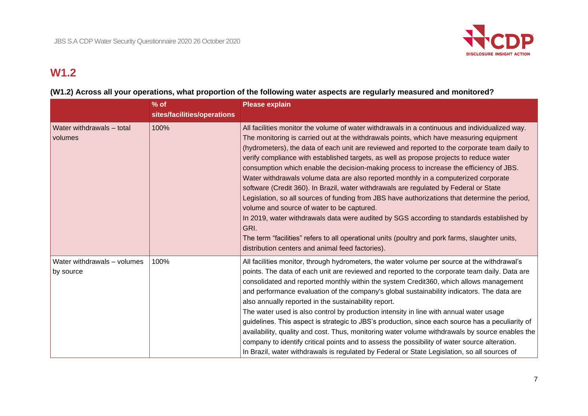

# **W1.2**

|                                          | $%$ of<br>sites/facilities/operations | <b>Please explain</b>                                                                                                                                                                                                                                                                                                                                                                                                                                                                                                                                                                                                                                                                                                                                                                                                                                                                                                                                                                                                                                                        |
|------------------------------------------|---------------------------------------|------------------------------------------------------------------------------------------------------------------------------------------------------------------------------------------------------------------------------------------------------------------------------------------------------------------------------------------------------------------------------------------------------------------------------------------------------------------------------------------------------------------------------------------------------------------------------------------------------------------------------------------------------------------------------------------------------------------------------------------------------------------------------------------------------------------------------------------------------------------------------------------------------------------------------------------------------------------------------------------------------------------------------------------------------------------------------|
| Water withdrawals - total<br>volumes     | 100%                                  | All facilities monitor the volume of water withdrawals in a continuous and individualized way.<br>The monitoring is carried out at the withdrawals points, which have measuring equipment<br>(hydrometers), the data of each unit are reviewed and reported to the corporate team daily to<br>verify compliance with established targets, as well as propose projects to reduce water<br>consumption which enable the decision-making process to increase the efficiency of JBS.<br>Water withdrawals volume data are also reported monthly in a computerized corporate<br>software (Credit 360). In Brazil, water withdrawals are regulated by Federal or State<br>Legislation, so all sources of funding from JBS have authorizations that determine the period,<br>volume and source of water to be captured.<br>In 2019, water withdrawals data were audited by SGS according to standards established by<br>GRI.<br>The term "facilities" refers to all operational units (poultry and pork farms, slaughter units,<br>distribution centers and animal feed factories). |
| Water withdrawals - volumes<br>by source | 100%                                  | All facilities monitor, through hydrometers, the water volume per source at the withdrawal's<br>points. The data of each unit are reviewed and reported to the corporate team daily. Data are<br>consolidated and reported monthly within the system Credit360, which allows management<br>and performance evaluation of the company's global sustainability indicators. The data are<br>also annually reported in the sustainability report.<br>The water used is also control by production intensity in line with annual water usage<br>guidelines. This aspect is strategic to JBS's production, since each source has a peculiarity of<br>availability, quality and cost. Thus, monitoring water volume withdrawals by source enables the<br>company to identify critical points and to assess the possibility of water source alteration.<br>In Brazil, water withdrawals is regulated by Federal or State Legislation, so all sources of                                                                                                                              |

# **(W1.2) Across all your operations, what proportion of the following water aspects are regularly measured and monitored?**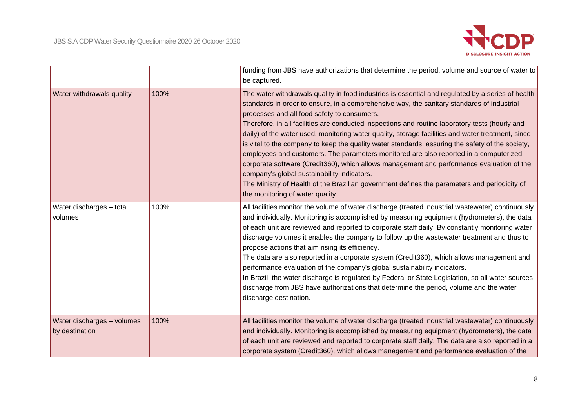

|                                              |      | funding from JBS have authorizations that determine the period, volume and source of water to<br>be captured.                                                                                                                                                                                                                                                                                                                                                                                                                                                                                                                                                                                                                                                                                                                                                                                                                       |
|----------------------------------------------|------|-------------------------------------------------------------------------------------------------------------------------------------------------------------------------------------------------------------------------------------------------------------------------------------------------------------------------------------------------------------------------------------------------------------------------------------------------------------------------------------------------------------------------------------------------------------------------------------------------------------------------------------------------------------------------------------------------------------------------------------------------------------------------------------------------------------------------------------------------------------------------------------------------------------------------------------|
| Water withdrawals quality                    | 100% | The water withdrawals quality in food industries is essential and regulated by a series of health<br>standards in order to ensure, in a comprehensive way, the sanitary standards of industrial<br>processes and all food safety to consumers.<br>Therefore, in all facilities are conducted inspections and routine laboratory tests (hourly and<br>daily) of the water used, monitoring water quality, storage facilities and water treatment, since<br>is vital to the company to keep the quality water standards, assuring the safety of the society,<br>employees and customers. The parameters monitored are also reported in a computerized<br>corporate software (Credit360), which allows management and performance evaluation of the<br>company's global sustainability indicators.<br>The Ministry of Health of the Brazilian government defines the parameters and periodicity of<br>the monitoring of water quality. |
| Water discharges - total<br>volumes          | 100% | All facilities monitor the volume of water discharge (treated industrial wastewater) continuously<br>and individually. Monitoring is accomplished by measuring equipment (hydrometers), the data<br>of each unit are reviewed and reported to corporate staff daily. By constantly monitoring water<br>discharge volumes it enables the company to follow up the wastewater treatment and thus to<br>propose actions that aim rising its efficiency.<br>The data are also reported in a corporate system (Credit360), which allows management and<br>performance evaluation of the company's global sustainability indicators.<br>In Brazil, the water discharge is regulated by Federal or State Legislation, so all water sources<br>discharge from JBS have authorizations that determine the period, volume and the water<br>discharge destination.                                                                             |
| Water discharges - volumes<br>by destination | 100% | All facilities monitor the volume of water discharge (treated industrial wastewater) continuously<br>and individually. Monitoring is accomplished by measuring equipment (hydrometers), the data<br>of each unit are reviewed and reported to corporate staff daily. The data are also reported in a<br>corporate system (Credit360), which allows management and performance evaluation of the                                                                                                                                                                                                                                                                                                                                                                                                                                                                                                                                     |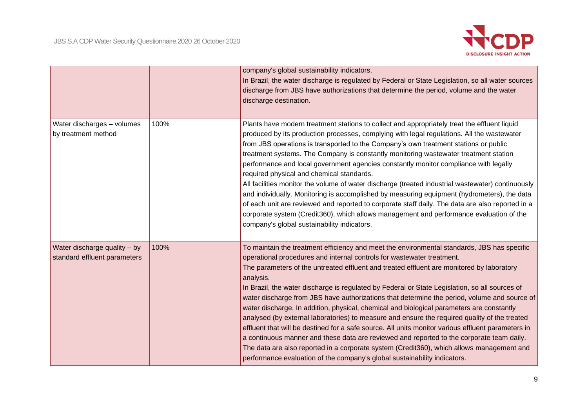

|                                                              |      | company's global sustainability indicators.<br>In Brazil, the water discharge is regulated by Federal or State Legislation, so all water sources<br>discharge from JBS have authorizations that determine the period, volume and the water<br>discharge destination.                                                                                                                                                                                                                                                                                                                                                                                                                                                                                                                                                                                                                                                                                                                                                                                         |
|--------------------------------------------------------------|------|--------------------------------------------------------------------------------------------------------------------------------------------------------------------------------------------------------------------------------------------------------------------------------------------------------------------------------------------------------------------------------------------------------------------------------------------------------------------------------------------------------------------------------------------------------------------------------------------------------------------------------------------------------------------------------------------------------------------------------------------------------------------------------------------------------------------------------------------------------------------------------------------------------------------------------------------------------------------------------------------------------------------------------------------------------------|
| Water discharges - volumes<br>by treatment method            | 100% | Plants have modern treatment stations to collect and appropriately treat the effluent liquid<br>produced by its production processes, complying with legal regulations. All the wastewater<br>from JBS operations is transported to the Company's own treatment stations or public<br>treatment systems. The Company is constantly monitoring wastewater treatment station<br>performance and local government agencies constantly monitor compliance with legally<br>required physical and chemical standards.<br>All facilities monitor the volume of water discharge (treated industrial wastewater) continuously<br>and individually. Monitoring is accomplished by measuring equipment (hydrometers), the data<br>of each unit are reviewed and reported to corporate staff daily. The data are also reported in a<br>corporate system (Credit360), which allows management and performance evaluation of the<br>company's global sustainability indicators.                                                                                            |
| Water discharge quality - by<br>standard effluent parameters | 100% | To maintain the treatment efficiency and meet the environmental standards, JBS has specific<br>operational procedures and internal controls for wastewater treatment.<br>The parameters of the untreated effluent and treated effluent are monitored by laboratory<br>analysis.<br>In Brazil, the water discharge is regulated by Federal or State Legislation, so all sources of<br>water discharge from JBS have authorizations that determine the period, volume and source of<br>water discharge. In addition, physical, chemical and biological parameters are constantly<br>analysed (by external laboratories) to measure and ensure the required quality of the treated<br>effluent that will be destined for a safe source. All units monitor various effluent parameters in<br>a continuous manner and these data are reviewed and reported to the corporate team daily.<br>The data are also reported in a corporate system (Credit360), which allows management and<br>performance evaluation of the company's global sustainability indicators. |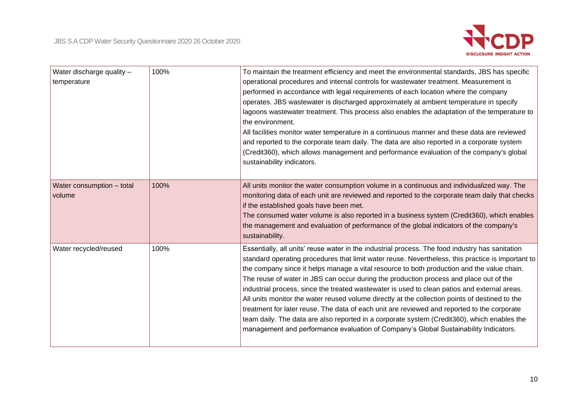

| Water discharge quality -<br>temperature | 100% | To maintain the treatment efficiency and meet the environmental standards, JBS has specific<br>operational procedures and internal controls for wastewater treatment. Measurement is<br>performed in accordance with legal requirements of each location where the company<br>operates. JBS wastewater is discharged approximately at ambient temperature in specify<br>lagoons wastewater treatment. This process also enables the adaptation of the temperature to<br>the environment.<br>All facilities monitor water temperature in a continuous manner and these data are reviewed<br>and reported to the corporate team daily. The data are also reported in a corporate system<br>(Credit360), which allows management and performance evaluation of the company's global<br>sustainability indicators.                                                                       |
|------------------------------------------|------|--------------------------------------------------------------------------------------------------------------------------------------------------------------------------------------------------------------------------------------------------------------------------------------------------------------------------------------------------------------------------------------------------------------------------------------------------------------------------------------------------------------------------------------------------------------------------------------------------------------------------------------------------------------------------------------------------------------------------------------------------------------------------------------------------------------------------------------------------------------------------------------|
| Water consumption - total<br>volume      | 100% | All units monitor the water consumption volume in a continuous and individualized way. The<br>monitoring data of each unit are reviewed and reported to the corporate team daily that checks<br>if the established goals have been met.<br>The consumed water volume is also reported in a business system (Credit360), which enables<br>the management and evaluation of performance of the global indicators of the company's<br>sustainability.                                                                                                                                                                                                                                                                                                                                                                                                                                   |
| Water recycled/reused                    | 100% | Essentially, all units' reuse water in the industrial process. The food industry has sanitation<br>standard operating procedures that limit water reuse. Nevertheless, this practice is important to<br>the company since it helps manage a vital resource to both production and the value chain.<br>The reuse of water in JBS can occur during the production process and place out of the<br>industrial process, since the treated wastewater is used to clean patios and external areas.<br>All units monitor the water reused volume directly at the collection points of destined to the<br>treatment for later reuse. The data of each unit are reviewed and reported to the corporate<br>team daily. The data are also reported in a corporate system (Credit360), which enables the<br>management and performance evaluation of Company's Global Sustainability Indicators. |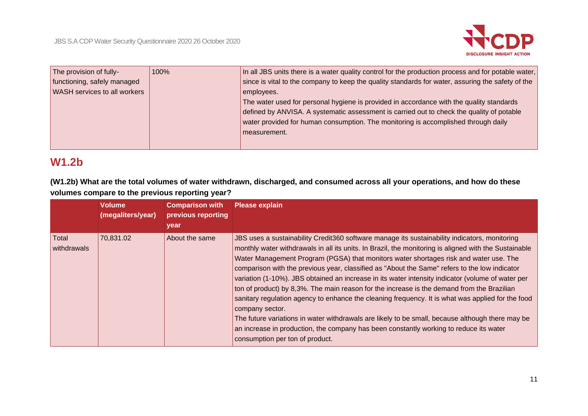

| The provision of fully-             | 100% | In all JBS units there is a water quality control for the production process and for potable water, |
|-------------------------------------|------|-----------------------------------------------------------------------------------------------------|
| functioning, safely managed         |      | since is vital to the company to keep the quality standards for water, assuring the safety of the   |
| <b>WASH</b> services to all workers |      | employees.                                                                                          |
|                                     |      | The water used for personal hygiene is provided in accordance with the quality standards            |
|                                     |      | defined by ANVISA. A systematic assessment is carried out to check the quality of potable           |
|                                     |      | water provided for human consumption. The monitoring is accomplished through daily                  |
|                                     |      | measurement.                                                                                        |
|                                     |      |                                                                                                     |
|                                     |      |                                                                                                     |

# **W1.2b**

**(W1.2b) What are the total volumes of water withdrawn, discharged, and consumed across all your operations, and how do these volumes compare to the previous reporting year?**

|                      | <b>Volume</b><br>(megaliters/year) | <b>Comparison with</b><br>previous reporting<br>year | <b>Please explain</b>                                                                                                                                                                                                                                                                                                                                                                                                                                                                                                                                                                                                                                                                                                                                                                                                                                                                                                                                        |
|----------------------|------------------------------------|------------------------------------------------------|--------------------------------------------------------------------------------------------------------------------------------------------------------------------------------------------------------------------------------------------------------------------------------------------------------------------------------------------------------------------------------------------------------------------------------------------------------------------------------------------------------------------------------------------------------------------------------------------------------------------------------------------------------------------------------------------------------------------------------------------------------------------------------------------------------------------------------------------------------------------------------------------------------------------------------------------------------------|
| Total<br>withdrawals | 70,831.02                          | About the same                                       | JBS uses a sustainability Credit360 software manage its sustainability indicators, monitoring<br>monthly water withdrawals in all its units. In Brazil, the monitoring is aligned with the Sustainable<br>Water Management Program (PGSA) that monitors water shortages risk and water use. The<br>comparison with the previous year, classified as "About the Same" refers to the low indicator<br>variation (1-10%). JBS obtained an increase in its water intensity indicator (volume of water per<br>ton of product) by 8,3%. The main reason for the increase is the demand from the Brazilian<br>sanitary regulation agency to enhance the cleaning frequency. It is what was applied for the food<br>company sector.<br>The future variations in water withdrawals are likely to be small, because although there may be<br>an increase in production, the company has been constantly working to reduce its water<br>consumption per ton of product. |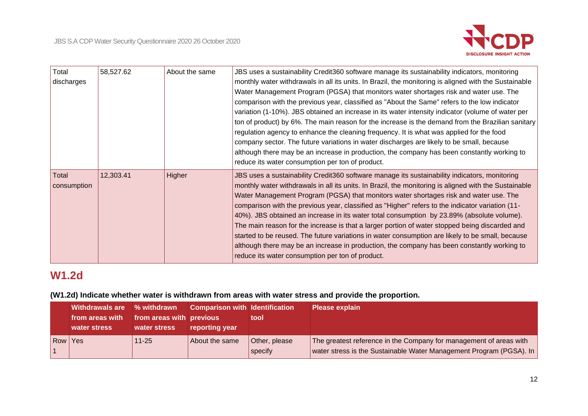

| Total<br>discharges  | 58,527.62 | About the same | JBS uses a sustainability Credit360 software manage its sustainability indicators, monitoring<br>monthly water withdrawals in all its units. In Brazil, the monitoring is aligned with the Sustainable<br>Water Management Program (PGSA) that monitors water shortages risk and water use. The<br>comparison with the previous year, classified as "About the Same" refers to the low indicator<br>variation (1-10%). JBS obtained an increase in its water intensity indicator (volume of water per<br>ton of product) by 6%. The main reason for the increase is the demand from the Brazilian sanitary<br>regulation agency to enhance the cleaning frequency. It is what was applied for the food<br>company sector. The future variations in water discharges are likely to be small, because<br>although there may be an increase in production, the company has been constantly working to<br>reduce its water consumption per ton of product. |
|----------------------|-----------|----------------|--------------------------------------------------------------------------------------------------------------------------------------------------------------------------------------------------------------------------------------------------------------------------------------------------------------------------------------------------------------------------------------------------------------------------------------------------------------------------------------------------------------------------------------------------------------------------------------------------------------------------------------------------------------------------------------------------------------------------------------------------------------------------------------------------------------------------------------------------------------------------------------------------------------------------------------------------------|
| Total<br>consumption | 12,303.41 | Higher         | JBS uses a sustainability Credit360 software manage its sustainability indicators, monitoring<br>monthly water withdrawals in all its units. In Brazil, the monitoring is aligned with the Sustainable<br>Water Management Program (PGSA) that monitors water shortages risk and water use. The<br>comparison with the previous year, classified as "Higher" refers to the indicator variation (11-<br>40%). JBS obtained an increase in its water total consumption by 23.89% (absolute volume).<br>The main reason for the increase is that a larger portion of water stopped being discarded and<br>started to be reused. The future variations in water consumption are likely to be small, because<br>although there may be an increase in production, the company has been constantly working to<br>reduce its water consumption per ton of product.                                                                                             |

# **W1.2d**

# **(W1.2d) Indicate whether water is withdrawn from areas with water stress and provide the proportion.**

|         | <b>Withdrawals are</b><br>from areas with<br>water stress | % withdrawn<br>from areas with previous<br>water stress | <b>Comparison with Identification</b><br>reporting year | tool                     | <b>Please explain</b>                                                                                                                     |
|---------|-----------------------------------------------------------|---------------------------------------------------------|---------------------------------------------------------|--------------------------|-------------------------------------------------------------------------------------------------------------------------------------------|
| Row Yes |                                                           | $11 - 25$                                               | About the same                                          | Other, please<br>specify | The greatest reference in the Company for management of areas with<br>water stress is the Sustainable Water Management Program (PGSA). In |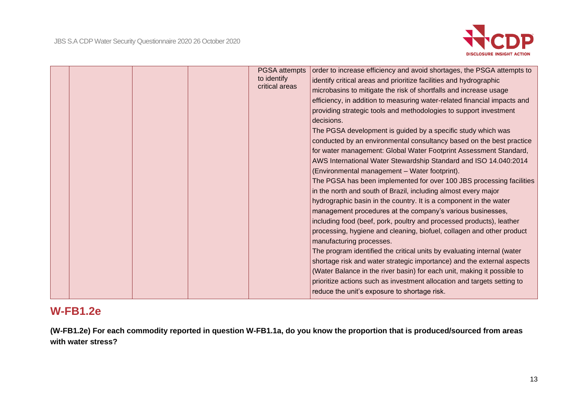

|  |  | PGSA attempts<br>to identify<br>critical areas | order to increase efficiency and avoid shortages, the PSGA attempts to<br>identify critical areas and prioritize facilities and hydrographic<br>microbasins to mitigate the risk of shortfalls and increase usage<br>efficiency, in addition to measuring water-related financial impacts and<br>providing strategic tools and methodologies to support investment<br>decisions.<br>The PGSA development is guided by a specific study which was<br>conducted by an environmental consultancy based on the best practice<br>for water management: Global Water Footprint Assessment Standard,<br>AWS International Water Stewardship Standard and ISO 14.040:2014<br>(Environmental management - Water footprint).<br>The PGSA has been implemented for over 100 JBS processing facilities |
|--|--|------------------------------------------------|--------------------------------------------------------------------------------------------------------------------------------------------------------------------------------------------------------------------------------------------------------------------------------------------------------------------------------------------------------------------------------------------------------------------------------------------------------------------------------------------------------------------------------------------------------------------------------------------------------------------------------------------------------------------------------------------------------------------------------------------------------------------------------------------|
|  |  |                                                | hydrographic basin in the country. It is a component in the water<br>management procedures at the company's various businesses,<br>including food (beef, pork, poultry and processed products), leather<br>processing, hygiene and cleaning, biofuel, collagen and other product<br>manufacturing processes.<br>The program identified the critical units by evaluating internal (water<br>shortage risk and water strategic importance) and the external aspects<br>(Water Balance in the river basin) for each unit, making it possible to<br>prioritize actions such as investment allocation and targets setting to                                                                                                                                                                    |
|  |  |                                                | reduce the unit's exposure to shortage risk.                                                                                                                                                                                                                                                                                                                                                                                                                                                                                                                                                                                                                                                                                                                                               |

# **W-FB1.2e**

**(W-FB1.2e) For each commodity reported in question W-FB1.1a, do you know the proportion that is produced/sourced from areas with water stress?**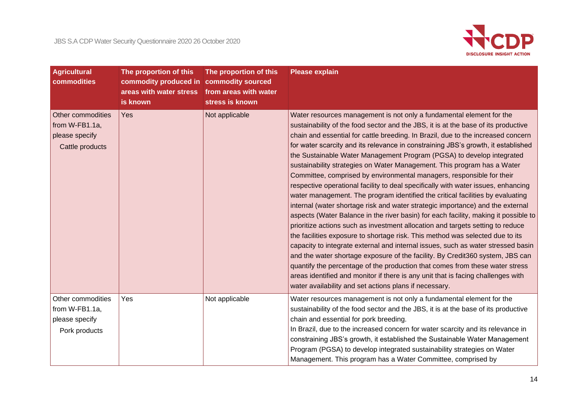

| <b>Agricultural</b><br>commodities                                       | The proportion of this<br>commodity produced in<br>areas with water stress<br>is known | The proportion of this<br>commodity sourced<br>from areas with water<br>stress is known | <b>Please explain</b>                                                                                                                                                                                                                                                                                                                                                                                                                                                                                                                                                                                                                                                                                                                                                                                                                                                                                                                                                                                                                                                                                                                                                                                                                                                                                                                                                                                                                                                                  |
|--------------------------------------------------------------------------|----------------------------------------------------------------------------------------|-----------------------------------------------------------------------------------------|----------------------------------------------------------------------------------------------------------------------------------------------------------------------------------------------------------------------------------------------------------------------------------------------------------------------------------------------------------------------------------------------------------------------------------------------------------------------------------------------------------------------------------------------------------------------------------------------------------------------------------------------------------------------------------------------------------------------------------------------------------------------------------------------------------------------------------------------------------------------------------------------------------------------------------------------------------------------------------------------------------------------------------------------------------------------------------------------------------------------------------------------------------------------------------------------------------------------------------------------------------------------------------------------------------------------------------------------------------------------------------------------------------------------------------------------------------------------------------------|
| Other commodities<br>from W-FB1.1a,<br>please specify<br>Cattle products | Yes                                                                                    | Not applicable                                                                          | Water resources management is not only a fundamental element for the<br>sustainability of the food sector and the JBS, it is at the base of its productive<br>chain and essential for cattle breeding. In Brazil, due to the increased concern<br>for water scarcity and its relevance in constraining JBS's growth, it established<br>the Sustainable Water Management Program (PGSA) to develop integrated<br>sustainability strategies on Water Management. This program has a Water<br>Committee, comprised by environmental managers, responsible for their<br>respective operational facility to deal specifically with water issues, enhancing<br>water management. The program identified the critical facilities by evaluating<br>internal (water shortage risk and water strategic importance) and the external<br>aspects (Water Balance in the river basin) for each facility, making it possible to<br>prioritize actions such as investment allocation and targets setting to reduce<br>the facilities exposure to shortage risk. This method was selected due to its<br>capacity to integrate external and internal issues, such as water stressed basin<br>and the water shortage exposure of the facility. By Credit360 system, JBS can<br>quantify the percentage of the production that comes from these water stress<br>areas identified and monitor if there is any unit that is facing challenges with<br>water availability and set actions plans if necessary. |
| Other commodities<br>from W-FB1.1a,<br>please specify<br>Pork products   | Yes                                                                                    | Not applicable                                                                          | Water resources management is not only a fundamental element for the<br>sustainability of the food sector and the JBS, it is at the base of its productive<br>chain and essential for pork breeding.<br>In Brazil, due to the increased concern for water scarcity and its relevance in<br>constraining JBS's growth, it established the Sustainable Water Management<br>Program (PGSA) to develop integrated sustainability strategies on Water<br>Management. This program has a Water Committee, comprised by                                                                                                                                                                                                                                                                                                                                                                                                                                                                                                                                                                                                                                                                                                                                                                                                                                                                                                                                                                       |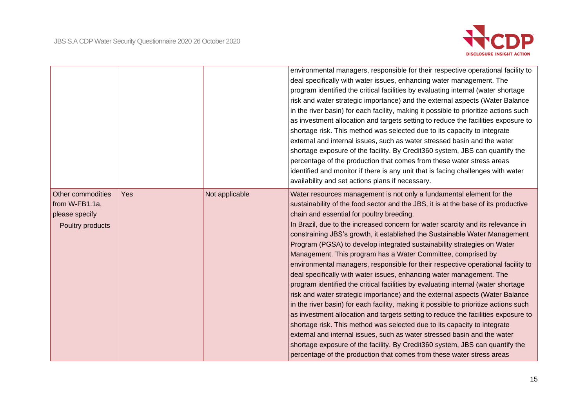

|                                                                           |     |                | environmental managers, responsible for their respective operational facility to<br>deal specifically with water issues, enhancing water management. The<br>program identified the critical facilities by evaluating internal (water shortage<br>risk and water strategic importance) and the external aspects (Water Balance<br>in the river basin) for each facility, making it possible to prioritize actions such<br>as investment allocation and targets setting to reduce the facilities exposure to<br>shortage risk. This method was selected due to its capacity to integrate<br>external and internal issues, such as water stressed basin and the water<br>shortage exposure of the facility. By Credit360 system, JBS can quantify the<br>percentage of the production that comes from these water stress areas<br>identified and monitor if there is any unit that is facing challenges with water<br>availability and set actions plans if necessary.                                                                                                                                                                                                                                                                                                                                                                                |
|---------------------------------------------------------------------------|-----|----------------|----------------------------------------------------------------------------------------------------------------------------------------------------------------------------------------------------------------------------------------------------------------------------------------------------------------------------------------------------------------------------------------------------------------------------------------------------------------------------------------------------------------------------------------------------------------------------------------------------------------------------------------------------------------------------------------------------------------------------------------------------------------------------------------------------------------------------------------------------------------------------------------------------------------------------------------------------------------------------------------------------------------------------------------------------------------------------------------------------------------------------------------------------------------------------------------------------------------------------------------------------------------------------------------------------------------------------------------------------|
| Other commodities<br>from W-FB1.1a,<br>please specify<br>Poultry products | Yes | Not applicable | Water resources management is not only a fundamental element for the<br>sustainability of the food sector and the JBS, it is at the base of its productive<br>chain and essential for poultry breeding.<br>In Brazil, due to the increased concern for water scarcity and its relevance in<br>constraining JBS's growth, it established the Sustainable Water Management<br>Program (PGSA) to develop integrated sustainability strategies on Water<br>Management. This program has a Water Committee, comprised by<br>environmental managers, responsible for their respective operational facility to<br>deal specifically with water issues, enhancing water management. The<br>program identified the critical facilities by evaluating internal (water shortage<br>risk and water strategic importance) and the external aspects (Water Balance<br>in the river basin) for each facility, making it possible to prioritize actions such<br>as investment allocation and targets setting to reduce the facilities exposure to<br>shortage risk. This method was selected due to its capacity to integrate<br>external and internal issues, such as water stressed basin and the water<br>shortage exposure of the facility. By Credit360 system, JBS can quantify the<br>percentage of the production that comes from these water stress areas |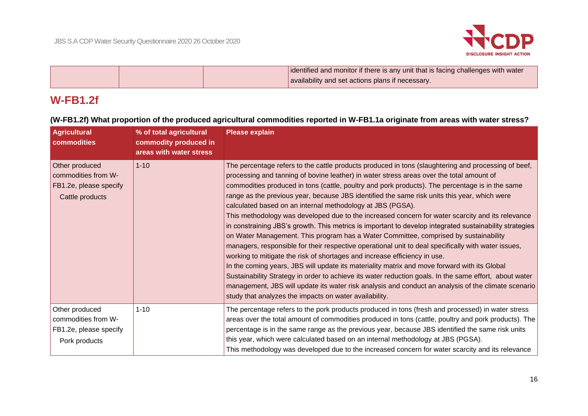

|  | identified and monitor if there is any unit that is facing challenges with water |
|--|----------------------------------------------------------------------------------|
|  | availability and set actions plans if necessary.                                 |

# **W-FB1.2f**

**(W-FB1.2f) What proportion of the produced agricultural commodities reported in W-FB1.1a originate from areas with water stress?**

| <b>Agricultural</b><br>commodities                                                        | % of total agricultural<br>commodity produced in<br>areas with water stress | <b>Please explain</b>                                                                                                                                                                                                                                                                                                                                                                                                                                                                                                                                                                                                                                                                                                                                                                                                                                                                                                                                                                                                                                                                                                                                                                                                                                                                                                                  |
|-------------------------------------------------------------------------------------------|-----------------------------------------------------------------------------|----------------------------------------------------------------------------------------------------------------------------------------------------------------------------------------------------------------------------------------------------------------------------------------------------------------------------------------------------------------------------------------------------------------------------------------------------------------------------------------------------------------------------------------------------------------------------------------------------------------------------------------------------------------------------------------------------------------------------------------------------------------------------------------------------------------------------------------------------------------------------------------------------------------------------------------------------------------------------------------------------------------------------------------------------------------------------------------------------------------------------------------------------------------------------------------------------------------------------------------------------------------------------------------------------------------------------------------|
| Other produced<br>commodities from W-<br><b>FB1.2e, please specify</b><br>Cattle products | $1 - 10$                                                                    | The percentage refers to the cattle products produced in tons (slaughtering and processing of beef,<br>processing and tanning of bovine leather) in water stress areas over the total amount of<br>commodities produced in tons (cattle, poultry and pork products). The percentage is in the same<br>range as the previous year, because JBS identified the same risk units this year, which were<br>calculated based on an internal methodology at JBS (PGSA).<br>This methodology was developed due to the increased concern for water scarcity and its relevance<br>in constraining JBS's growth. This metrics is important to develop integrated sustainability strategies<br>on Water Management. This program has a Water Committee, comprised by sustainability<br>managers, responsible for their respective operational unit to deal specifically with water issues,<br>working to mitigate the risk of shortages and increase efficiency in use.<br>In the coming years, JBS will update its materiality matrix and move forward with its Global<br>Sustainability Strategy in order to achieve its water reduction goals. In the same effort, about water<br>management, JBS will update its water risk analysis and conduct an analysis of the climate scenario<br>study that analyzes the impacts on water availability. |
| Other produced<br>commodities from W-                                                     | $1 - 10$                                                                    | The percentage refers to the pork products produced in tons (fresh and processed) in water stress<br>areas over the total amount of commodities produced in tons (cattle, poultry and pork products). The                                                                                                                                                                                                                                                                                                                                                                                                                                                                                                                                                                                                                                                                                                                                                                                                                                                                                                                                                                                                                                                                                                                              |
| FB1.2e, please specify<br>Pork products                                                   |                                                                             | percentage is in the same range as the previous year, because JBS identified the same risk units<br>this year, which were calculated based on an internal methodology at JBS (PGSA).<br>This methodology was developed due to the increased concern for water scarcity and its relevance                                                                                                                                                                                                                                                                                                                                                                                                                                                                                                                                                                                                                                                                                                                                                                                                                                                                                                                                                                                                                                               |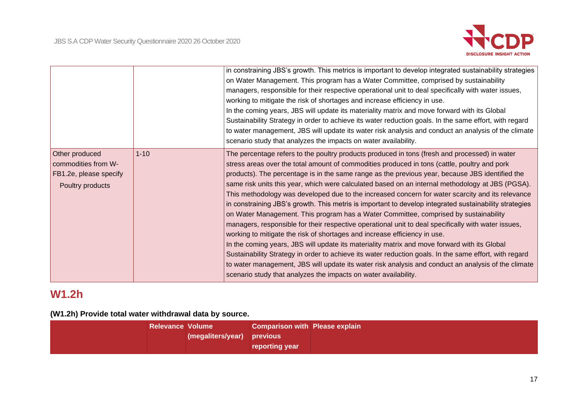

|                                                                                     |          | in constraining JBS's growth. This metrics is important to develop integrated sustainability strategies<br>on Water Management. This program has a Water Committee, comprised by sustainability<br>managers, responsible for their respective operational unit to deal specifically with water issues,<br>working to mitigate the risk of shortages and increase efficiency in use.<br>In the coming years, JBS will update its materiality matrix and move forward with its Global<br>Sustainability Strategy in order to achieve its water reduction goals. In the same effort, with regard<br>to water management, JBS will update its water risk analysis and conduct an analysis of the climate<br>scenario study that analyzes the impacts on water availability.                                                                                                                                                                                                                                                                                                                                                                                                                                                                                                            |
|-------------------------------------------------------------------------------------|----------|------------------------------------------------------------------------------------------------------------------------------------------------------------------------------------------------------------------------------------------------------------------------------------------------------------------------------------------------------------------------------------------------------------------------------------------------------------------------------------------------------------------------------------------------------------------------------------------------------------------------------------------------------------------------------------------------------------------------------------------------------------------------------------------------------------------------------------------------------------------------------------------------------------------------------------------------------------------------------------------------------------------------------------------------------------------------------------------------------------------------------------------------------------------------------------------------------------------------------------------------------------------------------------|
| Other produced<br>commodities from W-<br>FB1.2e, please specify<br>Poultry products | $1 - 10$ | The percentage refers to the poultry products produced in tons (fresh and processed) in water<br>stress areas over the total amount of commodities produced in tons (cattle, poultry and pork<br>products). The percentage is in the same range as the previous year, because JBS identified the<br>same risk units this year, which were calculated based on an internal methodology at JBS (PGSA).<br>This methodology was developed due to the increased concern for water scarcity and its relevance<br>in constraining JBS's growth. This metris is important to develop integrated sustainability strategies<br>on Water Management. This program has a Water Committee, comprised by sustainability<br>managers, responsible for their respective operational unit to deal specifically with water issues,<br>working to mitigate the risk of shortages and increase efficiency in use.<br>In the coming years, JBS will update its materiality matrix and move forward with its Global<br>Sustainability Strategy in order to achieve its water reduction goals. In the same effort, with regard<br>to water management, JBS will update its water risk analysis and conduct an analysis of the climate<br>scenario study that analyzes the impacts on water availability. |

# **W1.2h**

# **(W1.2h) Provide total water withdrawal data by source.**

| <b>Relevance Volume</b> |                            | <b>Comparison with Please explain</b> |  |
|-------------------------|----------------------------|---------------------------------------|--|
|                         | (megaliters/year) previous |                                       |  |
|                         |                            | <b>reporting year</b>                 |  |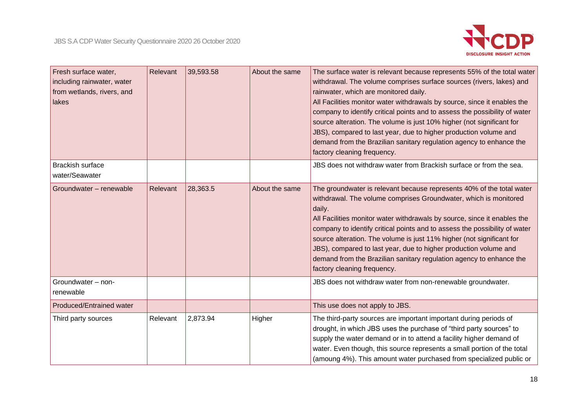

| Fresh surface water,<br>including rainwater, water<br>from wetlands, rivers, and<br>lakes | Relevant | 39,593.58 | About the same | The surface water is relevant because represents 55% of the total water<br>withdrawal. The volume comprises surface sources (rivers, lakes) and<br>rainwater, which are monitored daily.<br>All Facilities monitor water withdrawals by source, since it enables the<br>company to identify critical points and to assess the possibility of water<br>source alteration. The volume is just 10% higher (not significant for<br>JBS), compared to last year, due to higher production volume and<br>demand from the Brazilian sanitary regulation agency to enhance the<br>factory cleaning frequency. |
|-------------------------------------------------------------------------------------------|----------|-----------|----------------|-------------------------------------------------------------------------------------------------------------------------------------------------------------------------------------------------------------------------------------------------------------------------------------------------------------------------------------------------------------------------------------------------------------------------------------------------------------------------------------------------------------------------------------------------------------------------------------------------------|
| <b>Brackish surface</b><br>water/Seawater                                                 |          |           |                | JBS does not withdraw water from Brackish surface or from the sea.                                                                                                                                                                                                                                                                                                                                                                                                                                                                                                                                    |
| Groundwater - renewable                                                                   | Relevant | 28,363.5  | About the same | The groundwater is relevant because represents 40% of the total water<br>withdrawal. The volume comprises Groundwater, which is monitored<br>daily.<br>All Facilities monitor water withdrawals by source, since it enables the<br>company to identify critical points and to assess the possibility of water<br>source alteration. The volume is just 11% higher (not significant for<br>JBS), compared to last year, due to higher production volume and<br>demand from the Brazilian sanitary regulation agency to enhance the<br>factory cleaning frequency.                                      |
| Groundwater - non-<br>renewable                                                           |          |           |                | JBS does not withdraw water from non-renewable groundwater.                                                                                                                                                                                                                                                                                                                                                                                                                                                                                                                                           |
| <b>Produced/Entrained water</b>                                                           |          |           |                | This use does not apply to JBS.                                                                                                                                                                                                                                                                                                                                                                                                                                                                                                                                                                       |
| Third party sources                                                                       | Relevant | 2,873.94  | Higher         | The third-party sources are important important during periods of<br>drought, in which JBS uses the purchase of "third party sources" to<br>supply the water demand or in to attend a facility higher demand of<br>water. Even though, this source represents a small portion of the total<br>(amoung 4%). This amount water purchased from specialized public or                                                                                                                                                                                                                                     |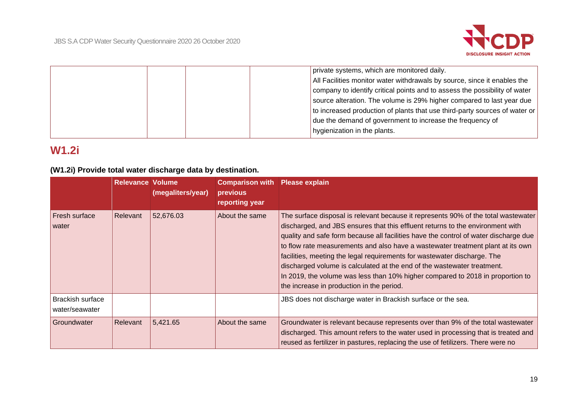

|  | private systems, which are monitored daily.                                |
|--|----------------------------------------------------------------------------|
|  | All Facilities monitor water withdrawals by source, since it enables the   |
|  | company to identify critical points and to assess the possibility of water |
|  | source alteration. The volume is 29% higher compared to last year due      |
|  | to increased production of plants that use third-party sources of water or |
|  | due the demand of government to increase the frequency of                  |
|  | hygienization in the plants.                                               |
|  |                                                                            |

# **W1.2i**

# **(W1.2i) Provide total water discharge data by destination.**

|                                           | <b>Relevance Volume</b> | (megaliters/year) | <b>Comparison with</b><br>previous<br>reporting year | <b>Please explain</b>                                                                                                                                                                                                                                                                                                                                                                                                                                                                                                                                                                                                                 |
|-------------------------------------------|-------------------------|-------------------|------------------------------------------------------|---------------------------------------------------------------------------------------------------------------------------------------------------------------------------------------------------------------------------------------------------------------------------------------------------------------------------------------------------------------------------------------------------------------------------------------------------------------------------------------------------------------------------------------------------------------------------------------------------------------------------------------|
| Fresh surface<br>water                    | Relevant                | 52,676.03         | About the same                                       | The surface disposal is relevant because it represents 90% of the total wastewater<br>discharged, and JBS ensures that this effluent returns to the environment with<br>quality and safe form because all facilities have the control of water discharge due<br>to flow rate measurements and also have a wastewater treatment plant at its own<br>facilities, meeting the legal requirements for wastewater discharge. The<br>discharged volume is calculated at the end of the wastewater treatment.<br>In 2019, the volume was less than 10% higher compared to 2018 in proportion to<br>the increase in production in the period. |
| <b>Brackish surface</b><br>water/seawater |                         |                   |                                                      | JBS does not discharge water in Brackish surface or the sea.                                                                                                                                                                                                                                                                                                                                                                                                                                                                                                                                                                          |
| Groundwater                               | Relevant                | 5,421.65          | About the same                                       | Groundwater is relevant because represents over than 9% of the total wastewater<br>discharged. This amount refers to the water used in processing that is treated and<br>reused as fertilizer in pastures, replacing the use of fetilizers. There were no                                                                                                                                                                                                                                                                                                                                                                             |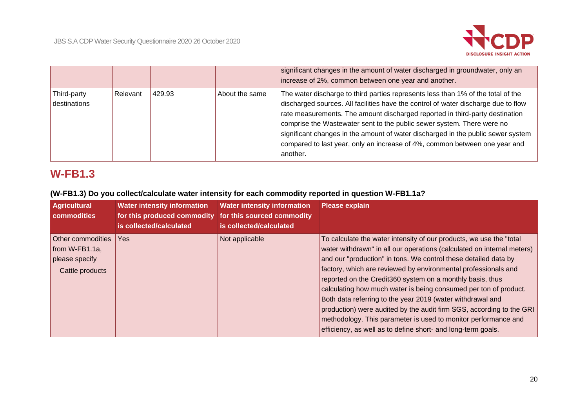

|                             |          |        |                | significant changes in the amount of water discharged in groundwater, only an<br>increase of 2%, common between one year and another.                                                                                                                                                                                                                                                                                                                                                                          |
|-----------------------------|----------|--------|----------------|----------------------------------------------------------------------------------------------------------------------------------------------------------------------------------------------------------------------------------------------------------------------------------------------------------------------------------------------------------------------------------------------------------------------------------------------------------------------------------------------------------------|
| Third-party<br>destinations | Relevant | 429.93 | About the same | The water discharge to third parties represents less than 1% of the total of the<br>discharged sources. All facilities have the control of water discharge due to flow<br>rate measurements. The amount discharged reported in third-party destination<br>comprise the Wastewater sent to the public sewer system. There were no<br>significant changes in the amount of water discharged in the public sewer system<br>compared to last year, only an increase of 4%, common between one year and<br>another. |

# **W-FB1.3**

# **(W-FB1.3) Do you collect/calculate water intensity for each commodity reported in question W-FB1.1a?**

| <b>Agricultural</b><br><b>commodities</b>                                   | <b>Water intensity information</b><br>for this produced commodity<br>is collected/calculated | <b>Water intensity information</b><br>for this sourced commodity<br>is collected/calculated | <b>Please explain</b>                                                                                                                                                                                                                                                                                                                                                                                                                                                                                                                                                                                                                                                                       |
|-----------------------------------------------------------------------------|----------------------------------------------------------------------------------------------|---------------------------------------------------------------------------------------------|---------------------------------------------------------------------------------------------------------------------------------------------------------------------------------------------------------------------------------------------------------------------------------------------------------------------------------------------------------------------------------------------------------------------------------------------------------------------------------------------------------------------------------------------------------------------------------------------------------------------------------------------------------------------------------------------|
| Other commodities<br>from $W-FB1.1a$ ,<br>please specify<br>Cattle products | <b>Yes</b>                                                                                   | Not applicable                                                                              | To calculate the water intensity of our products, we use the "total<br>water withdrawn" in all our operations (calculated on internal meters)<br>and our "production" in tons. We control these detailed data by<br>factory, which are reviewed by environmental professionals and<br>reported on the Credit360 system on a monthly basis, thus<br>calculating how much water is being consumed per ton of product.<br>Both data referring to the year 2019 (water withdrawal and<br>production) were audited by the audit firm SGS, according to the GRI<br>methodology. This parameter is used to monitor performance and<br>efficiency, as well as to define short- and long-term goals. |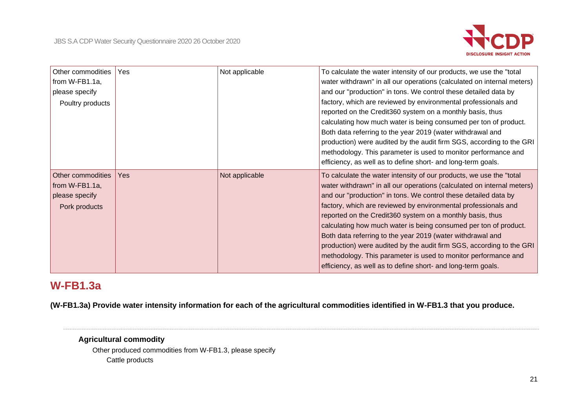

| Other commodities<br>from W-FB1.1a,<br>please specify<br>Poultry products | Yes | Not applicable | To calculate the water intensity of our products, we use the "total"<br>water withdrawn" in all our operations (calculated on internal meters)<br>and our "production" in tons. We control these detailed data by<br>factory, which are reviewed by environmental professionals and<br>reported on the Credit360 system on a monthly basis, thus<br>calculating how much water is being consumed per ton of product.<br>Both data referring to the year 2019 (water withdrawal and<br>production) were audited by the audit firm SGS, according to the GRI<br>methodology. This parameter is used to monitor performance and<br>efficiency, as well as to define short- and long-term goals. |
|---------------------------------------------------------------------------|-----|----------------|----------------------------------------------------------------------------------------------------------------------------------------------------------------------------------------------------------------------------------------------------------------------------------------------------------------------------------------------------------------------------------------------------------------------------------------------------------------------------------------------------------------------------------------------------------------------------------------------------------------------------------------------------------------------------------------------|
| Other commodities<br>from W-FB1.1a,<br>please specify<br>Pork products    | Yes | Not applicable | To calculate the water intensity of our products, we use the "total<br>water withdrawn" in all our operations (calculated on internal meters)<br>and our "production" in tons. We control these detailed data by<br>factory, which are reviewed by environmental professionals and<br>reported on the Credit360 system on a monthly basis, thus<br>calculating how much water is being consumed per ton of product.<br>Both data referring to the year 2019 (water withdrawal and<br>production) were audited by the audit firm SGS, according to the GRI<br>methodology. This parameter is used to monitor performance and<br>efficiency, as well as to define short- and long-term goals.  |

# **W-FB1.3a**

**(W-FB1.3a) Provide water intensity information for each of the agricultural commodities identified in W-FB1.3 that you produce.**

# **Agricultural commodity**

Other produced commodities from W-FB1.3, please specify Cattle products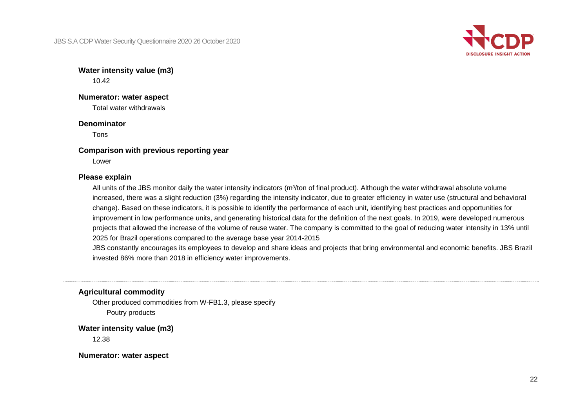JBS S.A CDP Water Security Questionnaire 2020 26 October 2020



**Water intensity value (m3)** 10.42

## **Numerator: water aspect**

Total water withdrawals

#### **Denominator**

Tons

### **Comparison with previous reporting year**

Lower

## **Please explain**

All units of the JBS monitor daily the water intensity indicators (m<sup>3</sup>/ton of final product). Although the water withdrawal absolute volume increased, there was a slight reduction (3%) regarding the intensity indicator, due to greater efficiency in water use (structural and behavioral change). Based on these indicators, it is possible to identify the performance of each unit, identifying best practices and opportunities for improvement in low performance units, and generating historical data for the definition of the next goals. In 2019, were developed numerous projects that allowed the increase of the volume of reuse water. The company is committed to the goal of reducing water intensity in 13% until 2025 for Brazil operations compared to the average base year 2014-2015

JBS constantly encourages its employees to develop and share ideas and projects that bring environmental and economic benefits. JBS Brazil invested 86% more than 2018 in efficiency water improvements.

# **Agricultural commodity**

Other produced commodities from W-FB1.3, please specify Poutry products

**Water intensity value (m3)**

12.38

**Numerator: water aspect**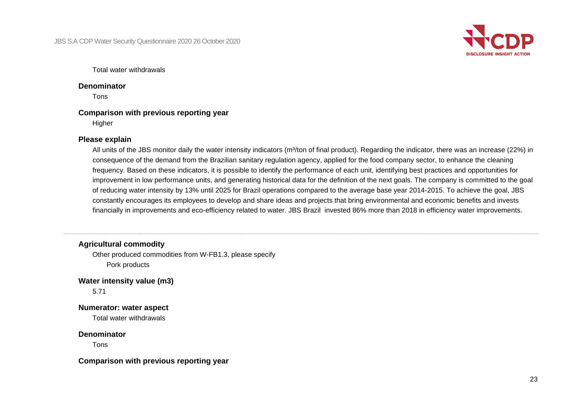

Total water withdrawals

## **Denominator**

Tons

# **Comparison with previous reporting year**

**Higher** 

## **Please explain**

All units of the JBS monitor daily the water intensity indicators (m<sup>3</sup>/ton of final product). Regarding the indicator, there was an increase (22%) in consequence of the demand from the Brazilian sanitary regulation agency, applied for the food company sector, to enhance the cleaning frequency. Based on these indicators, it is possible to identify the performance of each unit, identifying best practices and opportunities for improvement in low performance units, and generating historical data for the definition of the next goals. The company is committed to the goal of reducing water intensity by 13% until 2025 for Brazil operations compared to the average base year 2014-2015. To achieve the goal, JBS constantly encourages its employees to develop and share ideas and projects that bring environmental and economic benefits and invests financially in improvements and eco-efficiency related to water. JBS Brazil invested 86% more than 2018 in efficiency water improvements.

# **Agricultural commodity**

Other produced commodities from W-FB1.3, please specify Pork products

**Water intensity value (m3)**

5.71

**Numerator: water aspect**

Total water withdrawals

# **Denominator**

Tons

**Comparison with previous reporting year**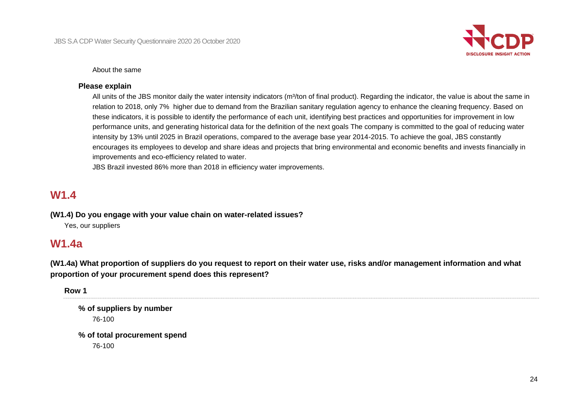

About the same

## **Please explain**

All units of the JBS monitor daily the water intensity indicators (m<sup>3</sup>/ton of final product). Regarding the indicator, the value is about the same in relation to 2018, only 7% higher due to demand from the Brazilian sanitary regulation agency to enhance the cleaning frequency. Based on these indicators, it is possible to identify the performance of each unit, identifying best practices and opportunities for improvement in low performance units, and generating historical data for the definition of the next goals The company is committed to the goal of reducing water intensity by 13% until 2025 in Brazil operations, compared to the average base year 2014-2015. To achieve the goal, JBS constantly encourages its employees to develop and share ideas and projects that bring environmental and economic benefits and invests financially in improvements and eco-efficiency related to water.

JBS Brazil invested 86% more than 2018 in efficiency water improvements.

# **W1.4**

**(W1.4) Do you engage with your value chain on water-related issues?**

Yes, our suppliers

# **W1.4a**

**(W1.4a) What proportion of suppliers do you request to report on their water use, risks and/or management information and what proportion of your procurement spend does this represent?**

**Row 1**

**% of suppliers by number** 76-100 **% of total procurement spend**

76-100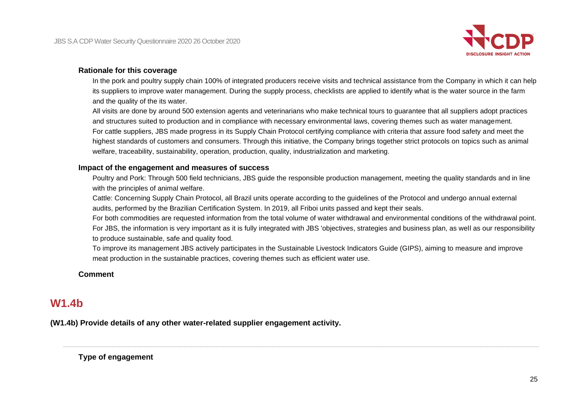

### **Rationale for this coverage**

In the pork and poultry supply chain 100% of integrated producers receive visits and technical assistance from the Company in which it can help its suppliers to improve water management. During the supply process, checklists are applied to identify what is the water source in the farm and the quality of the its water.

All visits are done by around 500 extension agents and veterinarians who make technical tours to guarantee that all suppliers adopt practices and structures suited to production and in compliance with necessary environmental laws, covering themes such as water management. For cattle suppliers, JBS made progress in its Supply Chain Protocol certifying compliance with criteria that assure food safety and meet the highest standards of customers and consumers. Through this initiative, the Company brings together strict protocols on topics such as animal welfare, traceability, sustainability, operation, production, quality, industrialization and marketing.

### **Impact of the engagement and measures of success**

Poultry and Pork: Through 500 field technicians, JBS guide the responsible production management, meeting the quality standards and in line with the principles of animal welfare.

Cattle: Concerning Supply Chain Protocol, all Brazil units operate according to the guidelines of the Protocol and undergo annual external audits, performed by the Brazilian Certification System. In 2019, all Friboi units passed and kept their seals.

For both commodities are requested information from the total volume of water withdrawal and environmental conditions of the withdrawal point. For JBS, the information is very important as it is fully integrated with JBS 'objectives, strategies and business plan, as well as our responsibility to produce sustainable, safe and quality food.

To improve its management JBS actively participates in the Sustainable Livestock Indicators Guide (GIPS), aiming to measure and improve meat production in the sustainable practices, covering themes such as efficient water use.

### **Comment**

# **W1.4b**

**(W1.4b) Provide details of any other water-related supplier engagement activity.**

**Type of engagement**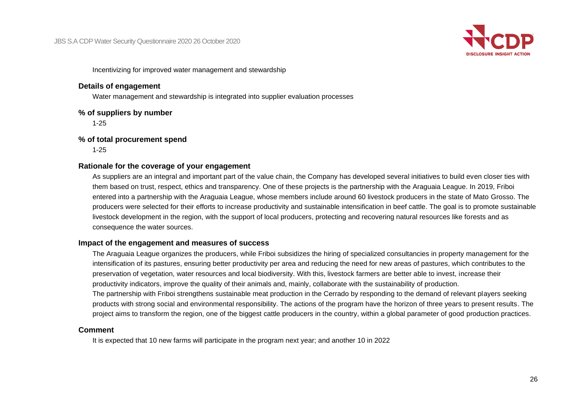

Incentivizing for improved water management and stewardship

## **Details of engagement**

Water management and stewardship is integrated into supplier evaluation processes

# **% of suppliers by number**

1-25

# **% of total procurement spend**

1-25

# **Rationale for the coverage of your engagement**

As suppliers are an integral and important part of the value chain, the Company has developed several initiatives to build even closer ties with them based on trust, respect, ethics and transparency. One of these projects is the partnership with the Araguaia League. In 2019, Friboi entered into a partnership with the Araguaia League, whose members include around 60 livestock producers in the state of Mato Grosso. The producers were selected for their efforts to increase productivity and sustainable intensification in beef cattle. The goal is to promote sustainable livestock development in the region, with the support of local producers, protecting and recovering natural resources like forests and as consequence the water sources.

# **Impact of the engagement and measures of success**

The Araguaia League organizes the producers, while Friboi subsidizes the hiring of specialized consultancies in property management for the intensification of its pastures, ensuring better productivity per area and reducing the need for new areas of pastures, which contributes to the preservation of vegetation, water resources and local biodiversity. With this, livestock farmers are better able to invest, increase their productivity indicators, improve the quality of their animals and, mainly, collaborate with the sustainability of production. The partnership with Friboi strengthens sustainable meat production in the Cerrado by responding to the demand of relevant players seeking products with strong social and environmental responsibility. The actions of the program have the horizon of three years to present results. The project aims to transform the region, one of the biggest cattle producers in the country, within a global parameter of good production practices.

# **Comment**

It is expected that 10 new farms will participate in the program next year; and another 10 in 2022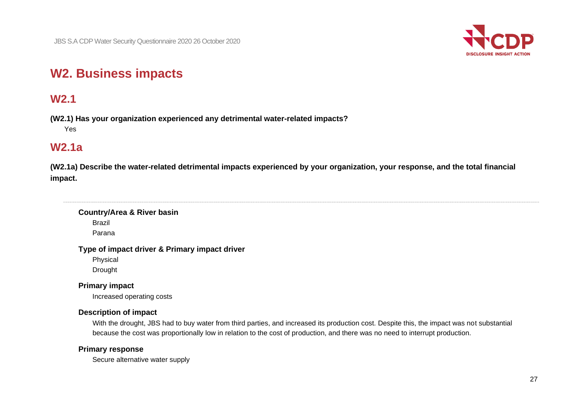

# **W2. Business impacts**

# **W2.1**

**(W2.1) Has your organization experienced any detrimental water-related impacts?** Yes

# **W2.1a**

**(W2.1a) Describe the water-related detrimental impacts experienced by your organization, your response, and the total financial impact.**

# **Country/Area & River basin**

Brazil

Parana

### **Type of impact driver & Primary impact driver**

Physical

Drought

# **Primary impact**

Increased operating costs

# **Description of impact**

With the drought, JBS had to buy water from third parties, and increased its production cost. Despite this, the impact was not substantial because the cost was proportionally low in relation to the cost of production, and there was no need to interrupt production.

# **Primary response**

Secure alternative water supply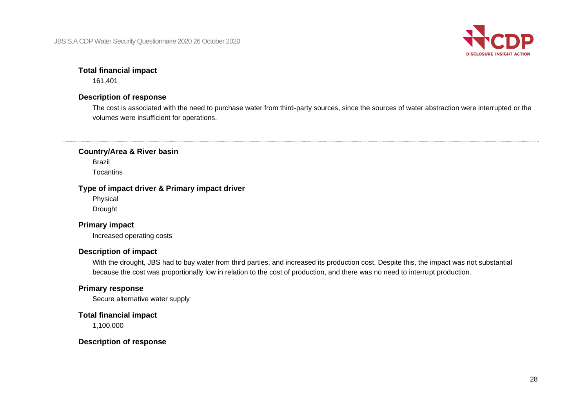JBS S.A CDP Water Security Questionnaire 2020 26 October 2020



## **Total financial impact**

161,401

## **Description of response**

The cost is associated with the need to purchase water from third-party sources, since the sources of water abstraction were interrupted or the volumes were insufficient for operations.

**Country/Area & River basin**

Brazil **Tocantins** 

# **Type of impact driver & Primary impact driver**

Physical

Drought

# **Primary impact**

Increased operating costs

# **Description of impact**

With the drought, JBS had to buy water from third parties, and increased its production cost. Despite this, the impact was not substantial because the cost was proportionally low in relation to the cost of production, and there was no need to interrupt production.

### **Primary response**

Secure alternative water supply

**Total financial impact**

1,100,000

# **Description of response**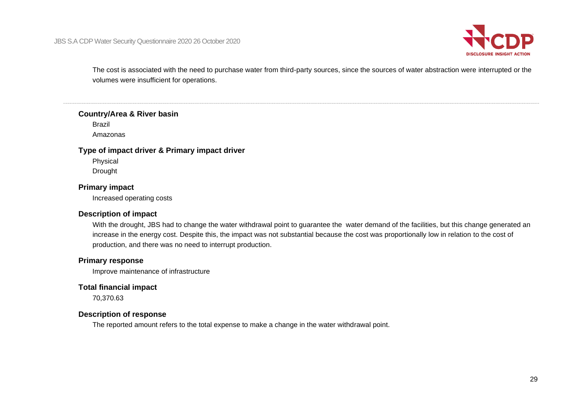

The cost is associated with the need to purchase water from third-party sources, since the sources of water abstraction were interrupted or the volumes were insufficient for operations.

#### **Country/Area & River basin**

Brazil Amazonas

#### **Type of impact driver & Primary impact driver**

Physical Drought

# **Primary impact**

Increased operating costs

#### **Description of impact**

With the drought, JBS had to change the water withdrawal point to guarantee the water demand of the facilities, but this change generated an increase in the energy cost. Despite this, the impact was not substantial because the cost was proportionally low in relation to the cost of production, and there was no need to interrupt production.

### **Primary response**

Improve maintenance of infrastructure

# **Total financial impact**

70,370.63

#### **Description of response**

The reported amount refers to the total expense to make a change in the water withdrawal point.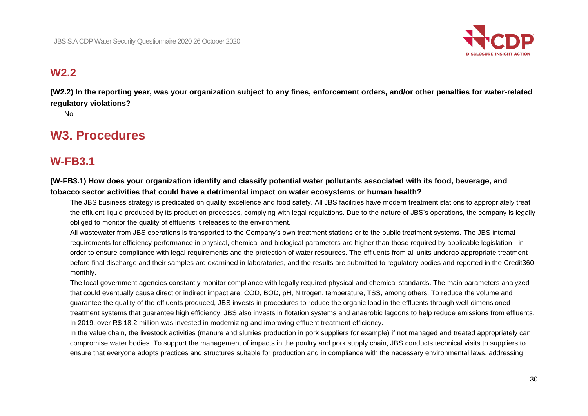

# **W2.2**

**(W2.2) In the reporting year, was your organization subject to any fines, enforcement orders, and/or other penalties for water-related regulatory violations?**

No

# **W3. Procedures**

# **W-FB3.1**

# **(W-FB3.1) How does your organization identify and classify potential water pollutants associated with its food, beverage, and tobacco sector activities that could have a detrimental impact on water ecosystems or human health?**

The JBS business strategy is predicated on quality excellence and food safety. All JBS facilities have modern treatment stations to appropriately treat the effluent liquid produced by its production processes, complying with legal regulations. Due to the nature of JBS's operations, the company is legally obliged to monitor the quality of effluents it releases to the environment.

All wastewater from JBS operations is transported to the Company's own treatment stations or to the public treatment systems. The JBS internal requirements for efficiency performance in physical, chemical and biological parameters are higher than those required by applicable legislation - in order to ensure compliance with legal requirements and the protection of water resources. The effluents from all units undergo appropriate treatment before final discharge and their samples are examined in laboratories, and the results are submitted to regulatory bodies and reported in the Credit360 monthly.

The local government agencies constantly monitor compliance with legally required physical and chemical standards. The main parameters analyzed that could eventually cause direct or indirect impact are: COD, BOD, pH, Nitrogen, temperature, TSS, among others. To reduce the volume and guarantee the quality of the effluents produced, JBS invests in procedures to reduce the organic load in the effluents through well-dimensioned treatment systems that guarantee high efficiency. JBS also invests in flotation systems and anaerobic lagoons to help reduce emissions from effluents. In 2019, over R\$ 18.2 million was invested in modernizing and improving effluent treatment efficiency.

In the value chain, the livestock activities (manure and slurries production in pork suppliers for example) if not managed and treated appropriately can compromise water bodies. To support the management of impacts in the poultry and pork supply chain, JBS conducts technical visits to suppliers to ensure that everyone adopts practices and structures suitable for production and in compliance with the necessary environmental laws, addressing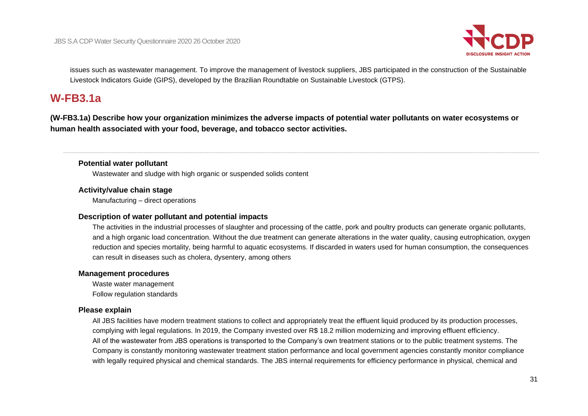

issues such as wastewater management. To improve the management of livestock suppliers, JBS participated in the construction of the Sustainable Livestock Indicators Guide (GIPS), developed by the Brazilian Roundtable on Sustainable Livestock (GTPS).

# **W-FB3.1a**

**(W-FB3.1a) Describe how your organization minimizes the adverse impacts of potential water pollutants on water ecosystems or human health associated with your food, beverage, and tobacco sector activities.**

### **Potential water pollutant**

Wastewater and sludge with high organic or suspended solids content

### **Activity/value chain stage**

Manufacturing – direct operations

### **Description of water pollutant and potential impacts**

The activities in the industrial processes of slaughter and processing of the cattle, pork and poultry products can generate organic pollutants, and a high organic load concentration. Without the due treatment can generate alterations in the water quality, causing eutrophication, oxygen reduction and species mortality, being harmful to aquatic ecosystems. If discarded in waters used for human consumption, the consequences can result in diseases such as cholera, dysentery, among others

### **Management procedures**

Waste water management Follow regulation standards

# **Please explain**

All JBS facilities have modern treatment stations to collect and appropriately treat the effluent liquid produced by its production processes, complying with legal regulations. In 2019, the Company invested over R\$ 18.2 million modernizing and improving effluent efficiency. All of the wastewater from JBS operations is transported to the Company's own treatment stations or to the public treatment systems. The Company is constantly monitoring wastewater treatment station performance and local government agencies constantly monitor compliance with legally required physical and chemical standards. The JBS internal requirements for efficiency performance in physical, chemical and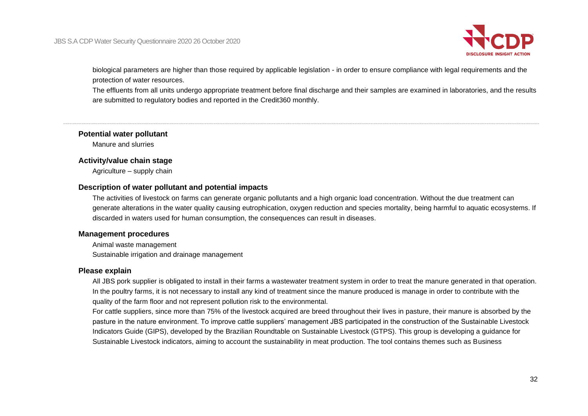

biological parameters are higher than those required by applicable legislation - in order to ensure compliance with legal requirements and the protection of water resources.

The effluents from all units undergo appropriate treatment before final discharge and their samples are examined in laboratories, and the results are submitted to regulatory bodies and reported in the Credit360 monthly.

#### **Potential water pollutant**

Manure and slurries

#### **Activity/value chain stage**

Agriculture – supply chain

#### **Description of water pollutant and potential impacts**

The activities of livestock on farms can generate organic pollutants and a high organic load concentration. Without the due treatment can generate alterations in the water quality causing eutrophication, oxygen reduction and species mortality, being harmful to aquatic ecosystems. If discarded in waters used for human consumption, the consequences can result in diseases.

### **Management procedures**

Animal waste management Sustainable irrigation and drainage management

### **Please explain**

All JBS pork supplier is obligated to install in their farms a wastewater treatment system in order to treat the manure generated in that operation. In the poultry farms, it is not necessary to install any kind of treatment since the manure produced is manage in order to contribute with the quality of the farm floor and not represent pollution risk to the environmental.

For cattle suppliers, since more than 75% of the livestock acquired are breed throughout their lives in pasture, their manure is absorbed by the pasture in the nature environment. To improve cattle suppliers' management JBS participated in the construction of the Sustainable Livestock Indicators Guide (GIPS), developed by the Brazilian Roundtable on Sustainable Livestock (GTPS). This group is developing a guidance for Sustainable Livestock indicators, aiming to account the sustainability in meat production. The tool contains themes such as Business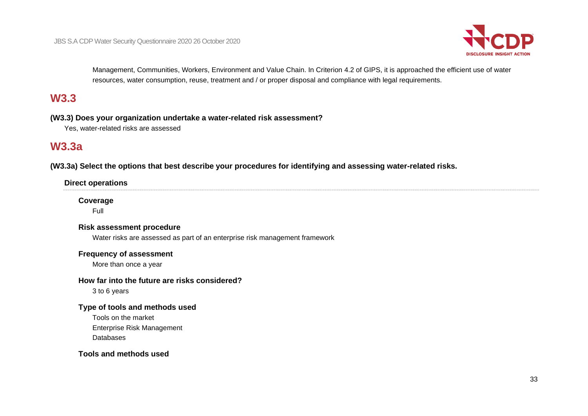

Management, Communities, Workers, Environment and Value Chain. In Criterion 4.2 of GIPS, it is approached the efficient use of water resources, water consumption, reuse, treatment and / or proper disposal and compliance with legal requirements.

# **W3.3**

**(W3.3) Does your organization undertake a water-related risk assessment?**

Yes, water-related risks are assessed

# **W3.3a**

**(W3.3a) Select the options that best describe your procedures for identifying and assessing water-related risks.**

# **Direct operations**

# **Coverage**

Full

## **Risk assessment procedure**

Water risks are assessed as part of an enterprise risk management framework

### **Frequency of assessment**

More than once a year

# **How far into the future are risks considered?**

3 to 6 years

# **Type of tools and methods used**

Tools on the market Enterprise Risk Management Databases

## **Tools and methods used**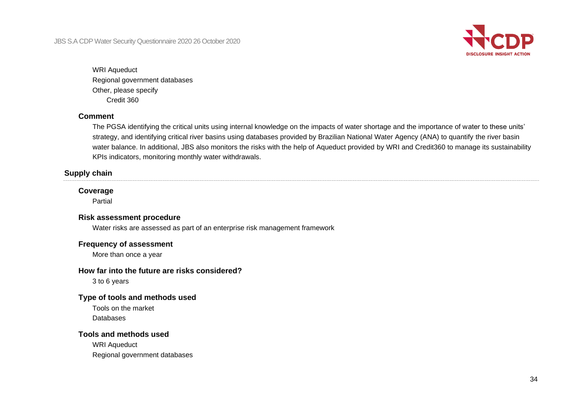

# WRI Aqueduct Regional government databases Other, please specify Credit 360

## **Comment**

The PGSA identifying the critical units using internal knowledge on the impacts of water shortage and the importance of water to these units' strategy, and identifying critical river basins using databases provided by Brazilian National Water Agency (ANA) to quantify the river basin water balance. In additional, JBS also monitors the risks with the help of Aqueduct provided by WRI and Credit360 to manage its sustainability KPIs indicators, monitoring monthly water withdrawals.

# **Supply chain**

## **Coverage**

Partial

### **Risk assessment procedure**

Water risks are assessed as part of an enterprise risk management framework

## **Frequency of assessment**

More than once a year

# **How far into the future are risks considered?**

3 to 6 years

# **Type of tools and methods used**

Tools on the market Databases

# **Tools and methods used**

WRI Aqueduct Regional government databases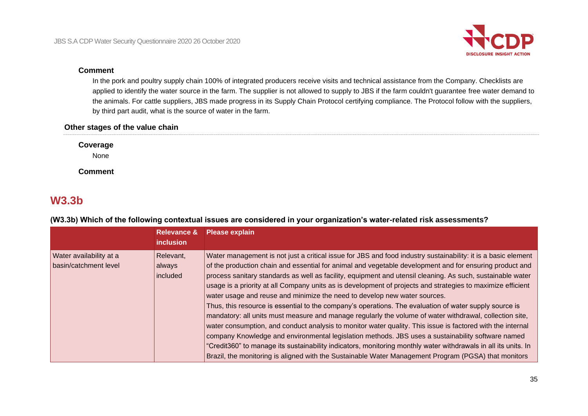

#### **Comment**

In the pork and poultry supply chain 100% of integrated producers receive visits and technical assistance from the Company. Checklists are applied to identify the water source in the farm. The supplier is not allowed to supply to JBS if the farm couldn't guarantee free water demand to the animals. For cattle suppliers, JBS made progress in its Supply Chain Protocol certifying compliance. The Protocol follow with the suppliers, by third part audit, what is the source of water in the farm.

# **Other stages of the value chain**

**Coverage**

None

**Comment**

# **W3.3b**

|                                                  | <b>Relevance &amp;</b><br><i>inclusion</i> | <b>Please explain</b>                                                                                                                                                                                                                                                                                                                                                                                                                                                                                                                                                                                                                                                                                                                                                                                                                                                                                                                                                                                                                                                                                                                                                                                |
|--------------------------------------------------|--------------------------------------------|------------------------------------------------------------------------------------------------------------------------------------------------------------------------------------------------------------------------------------------------------------------------------------------------------------------------------------------------------------------------------------------------------------------------------------------------------------------------------------------------------------------------------------------------------------------------------------------------------------------------------------------------------------------------------------------------------------------------------------------------------------------------------------------------------------------------------------------------------------------------------------------------------------------------------------------------------------------------------------------------------------------------------------------------------------------------------------------------------------------------------------------------------------------------------------------------------|
| Water availability at a<br>basin/catchment level | Relevant,<br>always<br>included            | Water management is not just a critical issue for JBS and food industry sustainability: it is a basic element<br>of the production chain and essential for animal and vegetable development and for ensuring product and<br>process sanitary standards as well as facility, equipment and utensil cleaning. As such, sustainable water<br>usage is a priority at all Company units as is development of projects and strategies to maximize efficient<br>water usage and reuse and minimize the need to develop new water sources.<br>Thus, this resource is essential to the company's operations. The evaluation of water supply source is<br>mandatory: all units must measure and manage regularly the volume of water withdrawal, collection site,<br>water consumption, and conduct analysis to monitor water quality. This issue is factored with the internal<br>company Knowledge and environmental legislation methods. JBS uses a sustainability software named<br>"Credit360" to manage its sustainability indicators, monitoring monthly water withdrawals in all its units. In<br>Brazil, the monitoring is aligned with the Sustainable Water Management Program (PGSA) that monitors |

**(W3.3b) Which of the following contextual issues are considered in your organization's water-related risk assessments?**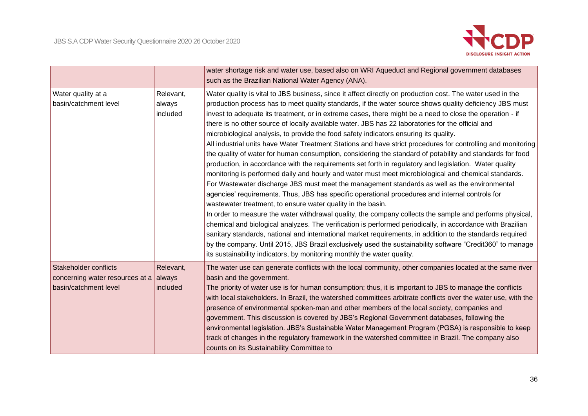

|                                                                                                  |                                 | water shortage risk and water use, based also on WRI Aqueduct and Regional government databases<br>such as the Brazilian National Water Agency (ANA).                                                                                                                                                                                                                                                                                                                                                                                                                                                                                                                                                                                                                                                                                                                                                                                                                                                                                                                                                                                                                                                                                                                                                                                                                                                                                                                                                                                                                                                                                                                                                                                                                           |
|--------------------------------------------------------------------------------------------------|---------------------------------|---------------------------------------------------------------------------------------------------------------------------------------------------------------------------------------------------------------------------------------------------------------------------------------------------------------------------------------------------------------------------------------------------------------------------------------------------------------------------------------------------------------------------------------------------------------------------------------------------------------------------------------------------------------------------------------------------------------------------------------------------------------------------------------------------------------------------------------------------------------------------------------------------------------------------------------------------------------------------------------------------------------------------------------------------------------------------------------------------------------------------------------------------------------------------------------------------------------------------------------------------------------------------------------------------------------------------------------------------------------------------------------------------------------------------------------------------------------------------------------------------------------------------------------------------------------------------------------------------------------------------------------------------------------------------------------------------------------------------------------------------------------------------------|
| Water quality at a<br>basin/catchment level                                                      | Relevant,<br>always<br>included | Water quality is vital to JBS business, since it affect directly on production cost. The water used in the<br>production process has to meet quality standards, if the water source shows quality deficiency JBS must<br>invest to adequate its treatment, or in extreme cases, there might be a need to close the operation - if<br>there is no other source of locally available water. JBS has 22 laboratories for the official and<br>microbiological analysis, to provide the food safety indicators ensuring its quality.<br>All industrial units have Water Treatment Stations and have strict procedures for controlling and monitoring<br>the quality of water for human consumption, considering the standard of potability and standards for food<br>production, in accordance with the requirements set forth in regulatory and legislation. Water quality<br>monitoring is performed daily and hourly and water must meet microbiological and chemical standards.<br>For Wastewater discharge JBS must meet the management standards as well as the environmental<br>agencies' requirements. Thus, JBS has specific operational procedures and internal controls for<br>wastewater treatment, to ensure water quality in the basin.<br>In order to measure the water withdrawal quality, the company collects the sample and performs physical,<br>chemical and biological analyzes. The verification is performed periodically, in accordance with Brazilian<br>sanitary standards, national and international market requirements, in addition to the standards required<br>by the company. Until 2015, JBS Brazil exclusively used the sustainability software "Credit360" to manage<br>its sustainability indicators, by monitoring monthly the water quality. |
| Stakeholder conflicts<br>concerning water resources at a $\vert$ always<br>basin/catchment level | Relevant,<br>included           | The water use can generate conflicts with the local community, other companies located at the same river<br>basin and the government.<br>The priority of water use is for human consumption; thus, it is important to JBS to manage the conflicts<br>with local stakeholders. In Brazil, the watershed committees arbitrate conflicts over the water use, with the<br>presence of environmental spoken-man and other members of the local society, companies and<br>government. This discussion is covered by JBS's Regional Government databases, following the<br>environmental legislation. JBS's Sustainable Water Management Program (PGSA) is responsible to keep<br>track of changes in the regulatory framework in the watershed committee in Brazil. The company also<br>counts on its Sustainability Committee to                                                                                                                                                                                                                                                                                                                                                                                                                                                                                                                                                                                                                                                                                                                                                                                                                                                                                                                                                     |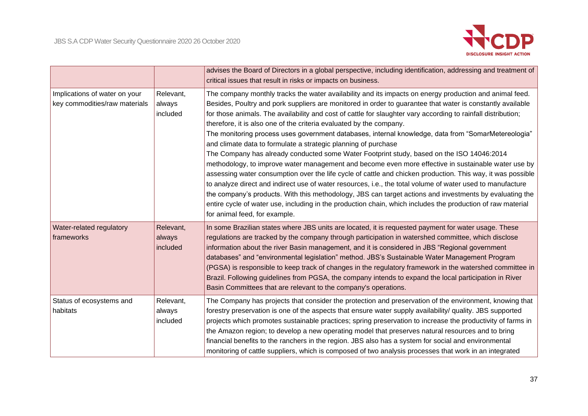

|                                                                |                                 | advises the Board of Directors in a global perspective, including identification, addressing and treatment of<br>critical issues that result in risks or impacts on business.                                                                                                                                                                                                                                                                                                                                                                                                                                                                                                                                                                                                                                                                                                                                                                                                                                                                                                                                                                                                                                                                                                      |
|----------------------------------------------------------------|---------------------------------|------------------------------------------------------------------------------------------------------------------------------------------------------------------------------------------------------------------------------------------------------------------------------------------------------------------------------------------------------------------------------------------------------------------------------------------------------------------------------------------------------------------------------------------------------------------------------------------------------------------------------------------------------------------------------------------------------------------------------------------------------------------------------------------------------------------------------------------------------------------------------------------------------------------------------------------------------------------------------------------------------------------------------------------------------------------------------------------------------------------------------------------------------------------------------------------------------------------------------------------------------------------------------------|
| Implications of water on your<br>key commodities/raw materials | Relevant,<br>always<br>included | The company monthly tracks the water availability and its impacts on energy production and animal feed.<br>Besides, Poultry and pork suppliers are monitored in order to guarantee that water is constantly available<br>for those animals. The availability and cost of cattle for slaughter vary according to rainfall distribution;<br>therefore, it is also one of the criteria evaluated by the company.<br>The monitoring process uses government databases, internal knowledge, data from "SomarMetereologia"<br>and climate data to formulate a strategic planning of purchase<br>The Company has already conducted some Water Footprint study, based on the ISO 14046:2014<br>methodology, to improve water management and become even more effective in sustainable water use by<br>assessing water consumption over the life cycle of cattle and chicken production. This way, it was possible<br>to analyze direct and indirect use of water resources, i.e., the total volume of water used to manufacture<br>the company's products. With this methodology, JBS can target actions and investments by evaluating the<br>entire cycle of water use, including in the production chain, which includes the production of raw material<br>for animal feed, for example. |
| Water-related regulatory<br>frameworks                         | Relevant,<br>always<br>included | In some Brazilian states where JBS units are located, it is requested payment for water usage. These<br>regulations are tracked by the company through participation in watershed committee, which disclose<br>information about the river Basin management, and it is considered in JBS "Regional government<br>databases" and "environmental legislation" method. JBS's Sustainable Water Management Program<br>(PGSA) is responsible to keep track of changes in the regulatory framework in the watershed committee in<br>Brazil. Following guidelines from PGSA, the company intends to expand the local participation in River<br>Basin Committees that are relevant to the company's operations.                                                                                                                                                                                                                                                                                                                                                                                                                                                                                                                                                                            |
| Status of ecosystems and<br>habitats                           | Relevant,<br>always<br>included | The Company has projects that consider the protection and preservation of the environment, knowing that<br>forestry preservation is one of the aspects that ensure water supply availability/ quality. JBS supported<br>projects which promotes sustainable practices; spring preservation to increase the productivity of farms in<br>the Amazon region; to develop a new operating model that preserves natural resources and to bring<br>financial benefits to the ranchers in the region. JBS also has a system for social and environmental<br>monitoring of cattle suppliers, which is composed of two analysis processes that work in an integrated                                                                                                                                                                                                                                                                                                                                                                                                                                                                                                                                                                                                                         |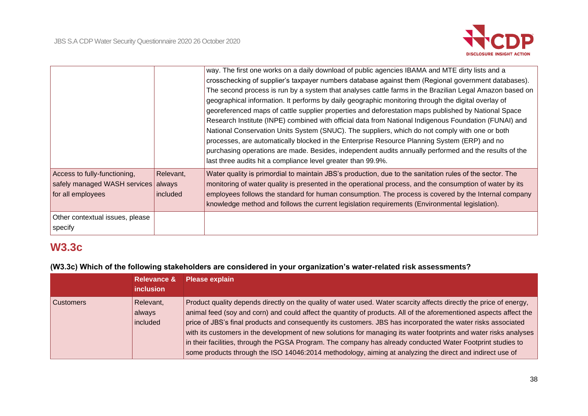

|                                                                                          |                       | way. The first one works on a daily download of public agencies IBAMA and MTE dirty lists and a<br>crosschecking of supplier's taxpayer numbers database against them (Regional government databases).<br>The second process is run by a system that analyses cattle farms in the Brazilian Legal Amazon based on<br>geographical information. It performs by daily geographic monitoring through the digital overlay of<br>georeferenced maps of cattle supplier properties and deforestation maps published by National Space<br>Research Institute (INPE) combined with official data from National Indigenous Foundation (FUNAI) and<br>National Conservation Units System (SNUC). The suppliers, which do not comply with one or both<br>processes, are automatically blocked in the Enterprise Resource Planning System (ERP) and no<br>purchasing operations are made. Besides, independent audits annually performed and the results of the<br>last three audits hit a compliance level greater than 99.9%. |
|------------------------------------------------------------------------------------------|-----------------------|---------------------------------------------------------------------------------------------------------------------------------------------------------------------------------------------------------------------------------------------------------------------------------------------------------------------------------------------------------------------------------------------------------------------------------------------------------------------------------------------------------------------------------------------------------------------------------------------------------------------------------------------------------------------------------------------------------------------------------------------------------------------------------------------------------------------------------------------------------------------------------------------------------------------------------------------------------------------------------------------------------------------|
| Access to fully-functioning,<br>safely managed WASH services always<br>for all employees | Relevant,<br>included | Water quality is primordial to maintain JBS's production, due to the sanitation rules of the sector. The<br>monitoring of water quality is presented in the operational process, and the consumption of water by its<br>employees follows the standard for human consumption. The process is covered by the Internal company<br>knowledge method and follows the current legislation requirements (Environmental legislation).                                                                                                                                                                                                                                                                                                                                                                                                                                                                                                                                                                                      |
| Other contextual issues, please<br>specify                                               |                       |                                                                                                                                                                                                                                                                                                                                                                                                                                                                                                                                                                                                                                                                                                                                                                                                                                                                                                                                                                                                                     |

# **W3.3c**

**(W3.3c) Which of the following stakeholders are considered in your organization's water-related risk assessments?**

|                  | <b>Relevance &amp;</b><br><i>inclusion</i> | <b>Please explain</b>                                                                                               |
|------------------|--------------------------------------------|---------------------------------------------------------------------------------------------------------------------|
|                  |                                            |                                                                                                                     |
| <b>Customers</b> | Relevant,                                  | Product quality depends directly on the quality of water used. Water scarcity affects directly the price of energy, |
|                  | always                                     | animal feed (soy and corn) and could affect the quantity of products. All of the aforementioned aspects affect the  |
|                  | included                                   | price of JBS's final products and consequently its customers. JBS has incorporated the water risks associated       |
|                  |                                            | with its customers in the development of new solutions for managing its water footprints and water risks analyses   |
|                  |                                            | in their facilities, through the PGSA Program. The company has already conducted Water Footprint studies to         |
|                  |                                            | some products through the ISO 14046:2014 methodology, aiming at analyzing the direct and indirect use of            |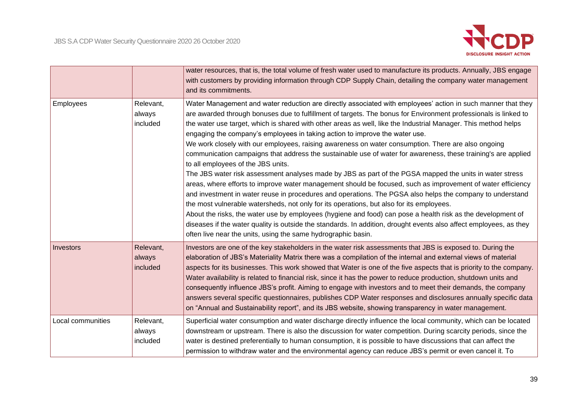

|                   |           | water resources, that is, the total volume of fresh water used to manufacture its products. Annually, JBS engage    |  |
|-------------------|-----------|---------------------------------------------------------------------------------------------------------------------|--|
|                   |           | with customers by providing information through CDP Supply Chain, detailing the company water management            |  |
|                   |           | and its commitments.                                                                                                |  |
| Employees         | Relevant, | Water Management and water reduction are directly associated with employees' action in such manner that they        |  |
|                   | always    | are awarded through bonuses due to fulfillment of targets. The bonus for Environment professionals is linked to     |  |
|                   | included  | the water use target, which is shared with other areas as well, like the Industrial Manager. This method helps      |  |
|                   |           | engaging the company's employees in taking action to improve the water use.                                         |  |
|                   |           | We work closely with our employees, raising awareness on water consumption. There are also ongoing                  |  |
|                   |           | communication campaigns that address the sustainable use of water for awareness, these training's are applied       |  |
|                   |           | to all employees of the JBS units.                                                                                  |  |
|                   |           | The JBS water risk assessment analyses made by JBS as part of the PGSA mapped the units in water stress             |  |
|                   |           | areas, where efforts to improve water management should be focused, such as improvement of water efficiency         |  |
|                   |           | and investment in water reuse in procedures and operations. The PGSA also helps the company to understand           |  |
|                   |           | the most vulnerable watersheds, not only for its operations, but also for its employees.                            |  |
|                   |           | About the risks, the water use by employees (hygiene and food) can pose a health risk as the development of         |  |
|                   |           | diseases if the water quality is outside the standards. In addition, drought events also affect employees, as they  |  |
|                   |           | often live near the units, using the same hydrographic basin.                                                       |  |
| Investors         | Relevant, | Investors are one of the key stakeholders in the water risk assessments that JBS is exposed to. During the          |  |
|                   | always    | elaboration of JBS's Materiality Matrix there was a compilation of the internal and external views of material      |  |
|                   | included  | aspects for its businesses. This work showed that Water is one of the five aspects that is priority to the company. |  |
|                   |           | Water availability is related to financial risk, since it has the power to reduce production, shutdown units and    |  |
|                   |           | consequently influence JBS's profit. Aiming to engage with investors and to meet their demands, the company         |  |
|                   |           | answers several specific questionnaires, publishes CDP Water responses and disclosures annually specific data       |  |
|                   |           | on "Annual and Sustainability report", and its JBS website, showing transparency in water management.               |  |
| Local communities | Relevant, | Superficial water consumption and water discharge directly influence the local community, which can be located      |  |
|                   | always    | downstream or upstream. There is also the discussion for water competition. During scarcity periods, since the      |  |
|                   | included  | water is destined preferentially to human consumption, it is possible to have discussions that can affect the       |  |
|                   |           | permission to withdraw water and the environmental agency can reduce JBS's permit or even cancel it. To             |  |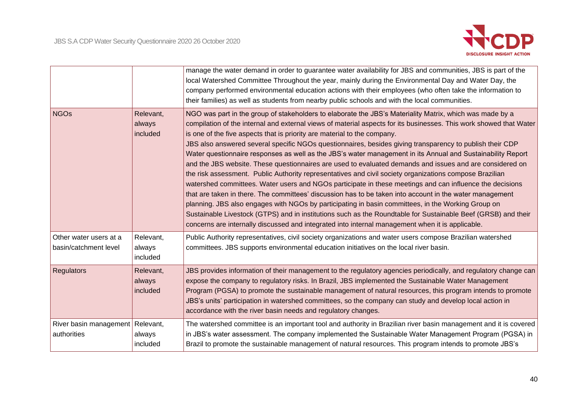

|                                                   |                                 | manage the water demand in order to guarantee water availability for JBS and communities, JBS is part of the<br>local Watershed Committee Throughout the year, mainly during the Environmental Day and Water Day, the<br>company performed environmental education actions with their employees (who often take the information to<br>their families) as well as students from nearby public schools and with the local communities.                                                                                                                                                                                                                                                                                                                                                                                                                                                                                                                                                                                                                                                                                                                                                                                                                                                                            |
|---------------------------------------------------|---------------------------------|-----------------------------------------------------------------------------------------------------------------------------------------------------------------------------------------------------------------------------------------------------------------------------------------------------------------------------------------------------------------------------------------------------------------------------------------------------------------------------------------------------------------------------------------------------------------------------------------------------------------------------------------------------------------------------------------------------------------------------------------------------------------------------------------------------------------------------------------------------------------------------------------------------------------------------------------------------------------------------------------------------------------------------------------------------------------------------------------------------------------------------------------------------------------------------------------------------------------------------------------------------------------------------------------------------------------|
| <b>NGOs</b>                                       | Relevant,<br>always<br>included | NGO was part in the group of stakeholders to elaborate the JBS's Materiality Matrix, which was made by a<br>compilation of the internal and external views of material aspects for its businesses. This work showed that Water<br>is one of the five aspects that is priority are material to the company.<br>JBS also answered several specific NGOs questionnaires, besides giving transparency to publish their CDP<br>Water questionnaire responses as well as the JBS's water management in its Annual and Sustainability Report<br>and the JBS website. These questionnaires are used to evaluated demands and issues and are considered on<br>the risk assessment. Public Authority representatives and civil society organizations compose Brazilian<br>watershed committees. Water users and NGOs participate in these meetings and can influence the decisions<br>that are taken in there. The committees' discussion has to be taken into account in the water management<br>planning. JBS also engages with NGOs by participating in basin committees, in the Working Group on<br>Sustainable Livestock (GTPS) and in institutions such as the Roundtable for Sustainable Beef (GRSB) and their<br>concerns are internally discussed and integrated into internal management when it is applicable. |
| Other water users at a<br>basin/catchment level   | Relevant,<br>always<br>included | Public Authority representatives, civil society organizations and water users compose Brazilian watershed<br>committees. JBS supports environmental education initiatives on the local river basin.                                                                                                                                                                                                                                                                                                                                                                                                                                                                                                                                                                                                                                                                                                                                                                                                                                                                                                                                                                                                                                                                                                             |
| Regulators                                        | Relevant,<br>always<br>included | JBS provides information of their management to the regulatory agencies periodically, and regulatory change can<br>expose the company to regulatory risks. In Brazil, JBS implemented the Sustainable Water Management<br>Program (PGSA) to promote the sustainable management of natural resources, this program intends to promote<br>JBS's units' participation in watershed committees, so the company can study and develop local action in<br>accordance with the river basin needs and regulatory changes.                                                                                                                                                                                                                                                                                                                                                                                                                                                                                                                                                                                                                                                                                                                                                                                               |
| River basin management   Relevant,<br>authorities | always<br>included              | The watershed committee is an important tool and authority in Brazilian river basin management and it is covered<br>in JBS's water assessment. The company implemented the Sustainable Water Management Program (PGSA) in<br>Brazil to promote the sustainable management of natural resources. This program intends to promote JBS's                                                                                                                                                                                                                                                                                                                                                                                                                                                                                                                                                                                                                                                                                                                                                                                                                                                                                                                                                                           |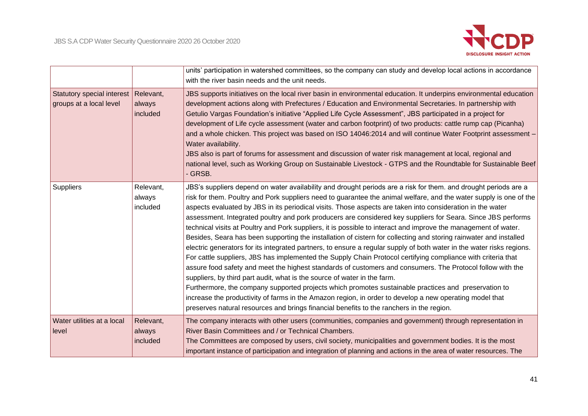

|                                                                   |                                 | units' participation in watershed committees, so the company can study and develop local actions in accordance<br>with the river basin needs and the unit needs.                                                                                                                                                                                                                                                                                                                                                                                                                                                                                                                                                                                                                                                                                                                                                                                                                                                                                                                                                                                                                                                                                                                                                                                                                                                                                              |
|-------------------------------------------------------------------|---------------------------------|---------------------------------------------------------------------------------------------------------------------------------------------------------------------------------------------------------------------------------------------------------------------------------------------------------------------------------------------------------------------------------------------------------------------------------------------------------------------------------------------------------------------------------------------------------------------------------------------------------------------------------------------------------------------------------------------------------------------------------------------------------------------------------------------------------------------------------------------------------------------------------------------------------------------------------------------------------------------------------------------------------------------------------------------------------------------------------------------------------------------------------------------------------------------------------------------------------------------------------------------------------------------------------------------------------------------------------------------------------------------------------------------------------------------------------------------------------------|
| Statutory special interest   Relevant,<br>groups at a local level | always<br>included              | JBS supports initiatives on the local river basin in environmental education. It underpins environmental education<br>development actions along with Prefectures / Education and Environmental Secretaries. In partnership with<br>Getulio Vargas Foundation's initiative "Applied Life Cycle Assessment", JBS participated in a project for<br>development of Life cycle assessment (water and carbon footprint) of two products: cattle rump cap (Picanha)<br>and a whole chicken. This project was based on ISO 14046:2014 and will continue Water Footprint assessment -<br>Water availability.<br>JBS also is part of forums for assessment and discussion of water risk management at local, regional and<br>national level, such as Working Group on Sustainable Livestock - GTPS and the Roundtable for Sustainable Beef<br>- GRSB.                                                                                                                                                                                                                                                                                                                                                                                                                                                                                                                                                                                                                   |
| Suppliers                                                         | Relevant,<br>always<br>included | JBS's suppliers depend on water availability and drought periods are a risk for them. and drought periods are a<br>risk for them. Poultry and Pork suppliers need to guarantee the animal welfare, and the water supply is one of the<br>aspects evaluated by JBS in its periodical visits. Those aspects are taken into consideration in the water<br>assessment. Integrated poultry and pork producers are considered key suppliers for Seara. Since JBS performs<br>technical visits at Poultry and Pork suppliers, it is possible to interact and improve the management of water.<br>Besides, Seara has been supporting the installation of cistern for collecting and storing rainwater and installed<br>electric generators for its integrated partners, to ensure a regular supply of both water in the water risks regions.<br>For cattle suppliers, JBS has implemented the Supply Chain Protocol certifying compliance with criteria that<br>assure food safety and meet the highest standards of customers and consumers. The Protocol follow with the<br>suppliers, by third part audit, what is the source of water in the farm.<br>Furthermore, the company supported projects which promotes sustainable practices and preservation to<br>increase the productivity of farms in the Amazon region, in order to develop a new operating model that<br>preserves natural resources and brings financial benefits to the ranchers in the region. |
| Water utilities at a local<br>level                               | Relevant,<br>always<br>included | The company interacts with other users (communities, companies and government) through representation in<br>River Basin Committees and / or Technical Chambers.<br>The Committees are composed by users, civil society, municipalities and government bodies. It is the most<br>important instance of participation and integration of planning and actions in the area of water resources. The                                                                                                                                                                                                                                                                                                                                                                                                                                                                                                                                                                                                                                                                                                                                                                                                                                                                                                                                                                                                                                                               |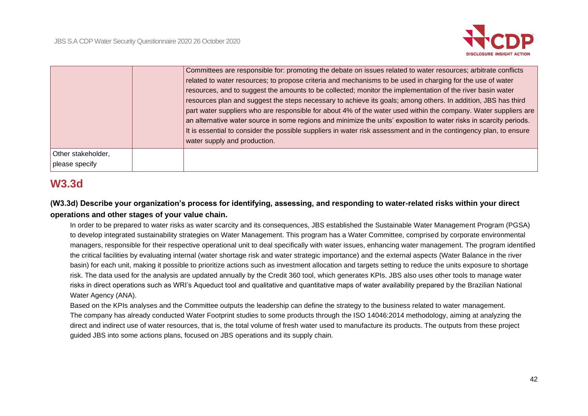

|                                      | Committees are responsible for: promoting the debate on issues related to water resources; arbitrate conflicts<br>related to water resources; to propose criteria and mechanisms to be used in charging for the use of water<br>resources, and to suggest the amounts to be collected; monitor the implementation of the river basin water<br>resources plan and suggest the steps necessary to achieve its goals; among others. In addition, JBS has third<br>part water suppliers who are responsible for about 4% of the water used within the company. Water suppliers are<br>an alternative water source in some regions and minimize the units' exposition to water risks in scarcity periods.<br>It is essential to consider the possible suppliers in water risk assessment and in the contingency plan, to ensure<br>water supply and production. |
|--------------------------------------|------------------------------------------------------------------------------------------------------------------------------------------------------------------------------------------------------------------------------------------------------------------------------------------------------------------------------------------------------------------------------------------------------------------------------------------------------------------------------------------------------------------------------------------------------------------------------------------------------------------------------------------------------------------------------------------------------------------------------------------------------------------------------------------------------------------------------------------------------------|
| Other stakeholder,<br>please specify |                                                                                                                                                                                                                                                                                                                                                                                                                                                                                                                                                                                                                                                                                                                                                                                                                                                            |

# **W3.3d**

# **(W3.3d) Describe your organization's process for identifying, assessing, and responding to water-related risks within your direct operations and other stages of your value chain.**

In order to be prepared to water risks as water scarcity and its consequences, JBS established the Sustainable Water Management Program (PGSA) to develop integrated sustainability strategies on Water Management. This program has a Water Committee, comprised by corporate environmental managers, responsible for their respective operational unit to deal specifically with water issues, enhancing water management. The program identified the critical facilities by evaluating internal (water shortage risk and water strategic importance) and the external aspects (Water Balance in the river basin) for each unit, making it possible to prioritize actions such as investment allocation and targets setting to reduce the units exposure to shortage risk. The data used for the analysis are updated annually by the Credit 360 tool, which generates KPIs. JBS also uses other tools to manage water risks in direct operations such as WRI's Aqueduct tool and qualitative and quantitative maps of water availability prepared by the Brazilian National Water Agency (ANA).

Based on the KPIs analyses and the Committee outputs the leadership can define the strategy to the business related to water management. The company has already conducted Water Footprint studies to some products through the ISO 14046:2014 methodology, aiming at analyzing the direct and indirect use of water resources, that is, the total volume of fresh water used to manufacture its products. The outputs from these project guided JBS into some actions plans, focused on JBS operations and its supply chain.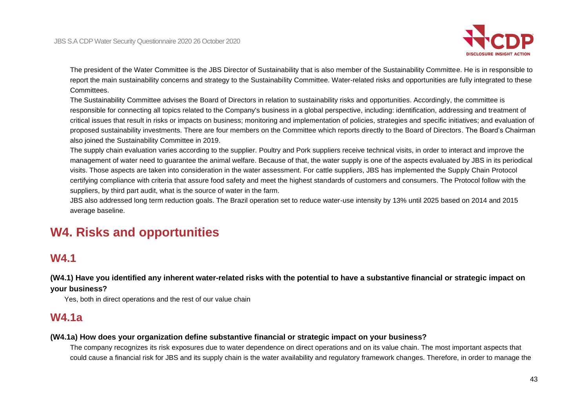

The president of the Water Committee is the JBS Director of Sustainability that is also member of the Sustainability Committee. He is in responsible to report the main sustainability concerns and strategy to the Sustainability Committee. Water-related risks and opportunities are fully integrated to these Committees.

The Sustainability Committee advises the Board of Directors in relation to sustainability risks and opportunities. Accordingly, the committee is responsible for connecting all topics related to the Company's business in a global perspective, including: identification, addressing and treatment of critical issues that result in risks or impacts on business; monitoring and implementation of policies, strategies and specific initiatives; and evaluation of proposed sustainability investments. There are four members on the Committee which reports directly to the Board of Directors. The Board's Chairman also joined the Sustainability Committee in 2019.

The supply chain evaluation varies according to the supplier. Poultry and Pork suppliers receive technical visits, in order to interact and improve the management of water need to guarantee the animal welfare. Because of that, the water supply is one of the aspects evaluated by JBS in its periodical visits. Those aspects are taken into consideration in the water assessment. For cattle suppliers, JBS has implemented the Supply Chain Protocol certifying compliance with criteria that assure food safety and meet the highest standards of customers and consumers. The Protocol follow with the suppliers, by third part audit, what is the source of water in the farm.

JBS also addressed long term reduction goals. The Brazil operation set to reduce water-use intensity by 13% until 2025 based on 2014 and 2015 average baseline.

# **W4. Risks and opportunities**

# **W4.1**

**(W4.1) Have you identified any inherent water-related risks with the potential to have a substantive financial or strategic impact on your business?**

Yes, both in direct operations and the rest of our value chain

# **W4.1a**

#### **(W4.1a) How does your organization define substantive financial or strategic impact on your business?**

The company recognizes its risk exposures due to water dependence on direct operations and on its value chain. The most important aspects that could cause a financial risk for JBS and its supply chain is the water availability and regulatory framework changes. Therefore, in order to manage the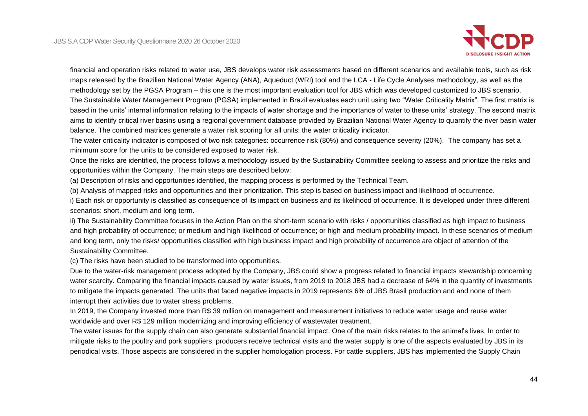

financial and operation risks related to water use, JBS develops water risk assessments based on different scenarios and available tools, such as risk maps released by the Brazilian National Water Agency (ANA), Aqueduct (WRI) tool and the LCA - Life Cycle Analyses methodology, as well as the methodology set by the PGSA Program – this one is the most important evaluation tool for JBS which was developed customized to JBS scenario. The Sustainable Water Management Program (PGSA) implemented in Brazil evaluates each unit using two "Water Criticality Matrix". The first matrix is based in the units' internal information relating to the impacts of water shortage and the importance of water to these units' strategy. The second matrix aims to identify critical river basins using a regional government database provided by Brazilian National Water Agency to quantify the river basin water balance. The combined matrices generate a water risk scoring for all units: the water criticality indicator.

The water criticality indicator is composed of two risk categories: occurrence risk (80%) and consequence severity (20%). The company has set a minimum score for the units to be considered exposed to water risk.

Once the risks are identified, the process follows a methodology issued by the Sustainability Committee seeking to assess and prioritize the risks and opportunities within the Company. The main steps are described below:

(a) Description of risks and opportunities identified, the mapping process is performed by the Technical Team.

(b) Analysis of mapped risks and opportunities and their prioritization. This step is based on business impact and likelihood of occurrence.

i) Each risk or opportunity is classified as consequence of its impact on business and its likelihood of occurrence. It is developed under three different scenarios: short, medium and long term.

ii) The Sustainability Committee focuses in the Action Plan on the short-term scenario with risks / opportunities classified as high impact to business and high probability of occurrence; or medium and high likelihood of occurrence; or high and medium probability impact. In these scenarios of medium and long term, only the risks/ opportunities classified with high business impact and high probability of occurrence are object of attention of the Sustainability Committee.

(c) The risks have been studied to be transformed into opportunities.

Due to the water-risk management process adopted by the Company, JBS could show a progress related to financial impacts stewardship concerning water scarcity. Comparing the financial impacts caused by water issues, from 2019 to 2018 JBS had a decrease of 64% in the quantity of investments to mitigate the impacts generated. The units that faced negative impacts in 2019 represents 6% of JBS Brasil production and and none of them interrupt their activities due to water stress problems.

In 2019, the Company invested more than R\$ 39 million on management and measurement initiatives to reduce water usage and reuse water worldwide and over R\$ 129 million modernizing and improving efficiency of wastewater treatment.

The water issues for the supply chain can also generate substantial financial impact. One of the main risks relates to the animal's lives. In order to mitigate risks to the poultry and pork suppliers, producers receive technical visits and the water supply is one of the aspects evaluated by JBS in its periodical visits. Those aspects are considered in the supplier homologation process. For cattle suppliers, JBS has implemented the Supply Chain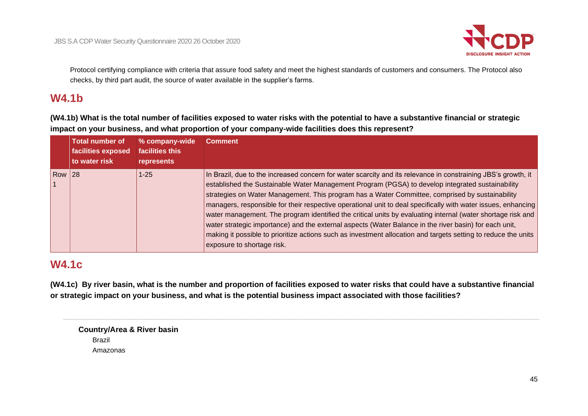

Protocol certifying compliance with criteria that assure food safety and meet the highest standards of customers and consumers. The Protocol also checks, by third part audit, the source of water available in the supplier's farms.

# **W4.1b**

**(W4.1b) What is the total number of facilities exposed to water risks with the potential to have a substantive financial or strategic impact on your business, and what proportion of your company-wide facilities does this represent?**

|               | <b>Total number of</b><br>facilities exposed<br>to water risk | % company-wide<br>facilities this<br>represents | <b>Comment</b>                                                                                                                                                                                                                                                                                                                                                                                                                                                                                                                                                                                                                                                                                                                                                                                                 |
|---------------|---------------------------------------------------------------|-------------------------------------------------|----------------------------------------------------------------------------------------------------------------------------------------------------------------------------------------------------------------------------------------------------------------------------------------------------------------------------------------------------------------------------------------------------------------------------------------------------------------------------------------------------------------------------------------------------------------------------------------------------------------------------------------------------------------------------------------------------------------------------------------------------------------------------------------------------------------|
| <b>Row 28</b> |                                                               | $1 - 25$                                        | In Brazil, due to the increased concern for water scarcity and its relevance in constraining JBS's growth, it<br>established the Sustainable Water Management Program (PGSA) to develop integrated sustainability<br>strategies on Water Management. This program has a Water Committee, comprised by sustainability<br>managers, responsible for their respective operational unit to deal specifically with water issues, enhancing<br>water management. The program identified the critical units by evaluating internal (water shortage risk and<br>water strategic importance) and the external aspects (Water Balance in the river basin) for each unit,<br>making it possible to prioritize actions such as investment allocation and targets setting to reduce the units<br>exposure to shortage risk. |

# **W4.1c**

**(W4.1c) By river basin, what is the number and proportion of facilities exposed to water risks that could have a substantive financial or strategic impact on your business, and what is the potential business impact associated with those facilities?**

| <b>Country/Area &amp; River basin</b> |  |
|---------------------------------------|--|
| Brazil                                |  |
| Amazonas                              |  |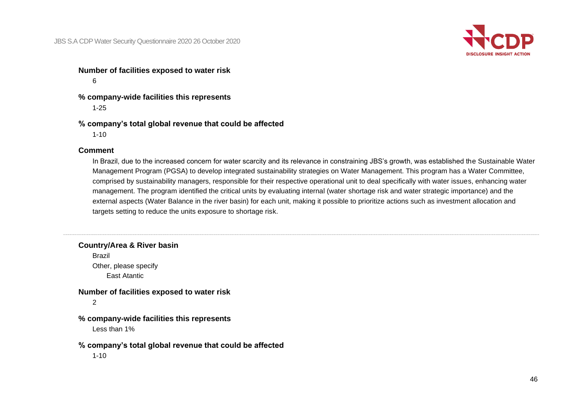

**Number of facilities exposed to water risk** 6

**% company-wide facilities this represents** 1-25

**% company's total global revenue that could be affected** 1-10

#### **Comment**

In Brazil, due to the increased concern for water scarcity and its relevance in constraining JBS's growth, was established the Sustainable Water Management Program (PGSA) to develop integrated sustainability strategies on Water Management. This program has a Water Committee, comprised by sustainability managers, responsible for their respective operational unit to deal specifically with water issues, enhancing water management. The program identified the critical units by evaluating internal (water shortage risk and water strategic importance) and the external aspects (Water Balance in the river basin) for each unit, making it possible to prioritize actions such as investment allocation and targets setting to reduce the units exposure to shortage risk.

**Country/Area & River basin**

Brazil Other, please specify East Atantic

#### **Number of facilities exposed to water risk**

2

**% company-wide facilities this represents**

Less than 1%

#### **% company's total global revenue that could be affected**

1-10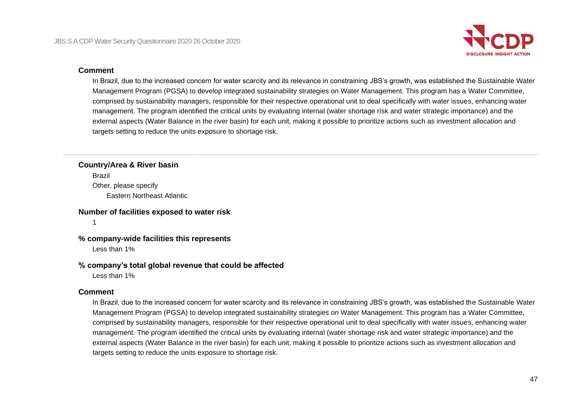

#### **Comment**

In Brazil, due to the increased concern for water scarcity and its relevance in constraining JBS's growth, was established the Sustainable Water Management Program (PGSA) to develop integrated sustainability strategies on Water Management. This program has a Water Committee, comprised by sustainability managers, responsible for their respective operational unit to deal specifically with water issues, enhancing water management. The program identified the critical units by evaluating internal (water shortage risk and water strategic importance) and the external aspects (Water Balance in the river basin) for each unit, making it possible to prioritize actions such as investment allocation and targets setting to reduce the units exposure to shortage risk.

# **Country/Area & River basin** Brazil Other, please specify

Eastern Northeast Atlantic

#### **Number of facilities exposed to water risk**

1

#### **% company-wide facilities this represents**

Less than 1%

#### **% company's total global revenue that could be affected**

Less than 1%

#### **Comment**

In Brazil, due to the increased concern for water scarcity and its relevance in constraining JBS's growth, was established the Sustainable Water Management Program (PGSA) to develop integrated sustainability strategies on Water Management. This program has a Water Committee, comprised by sustainability managers, responsible for their respective operational unit to deal specifically with water issues, enhancing water management. The program identified the critical units by evaluating internal (water shortage risk and water strategic importance) and the external aspects (Water Balance in the river basin) for each unit, making it possible to prioritize actions such as investment allocation and targets setting to reduce the units exposure to shortage risk.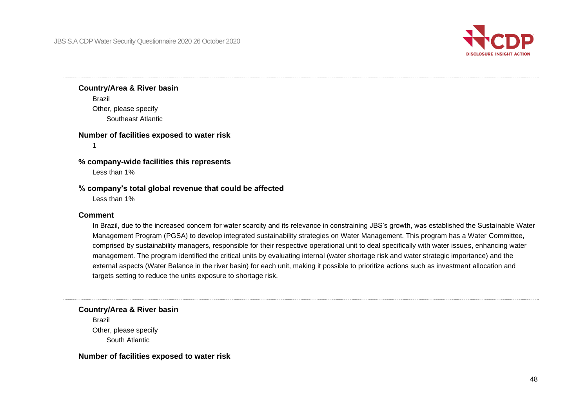

# **Country/Area & River basin**

Brazil Other, please specify Southeast Atlantic

#### **Number of facilities exposed to water risk**

1

# **% company-wide facilities this represents**

Less than 1%

#### **% company's total global revenue that could be affected**

Less than 1%

#### **Comment**

In Brazil, due to the increased concern for water scarcity and its relevance in constraining JBS's growth, was established the Sustainable Water Management Program (PGSA) to develop integrated sustainability strategies on Water Management. This program has a Water Committee, comprised by sustainability managers, responsible for their respective operational unit to deal specifically with water issues, enhancing water management. The program identified the critical units by evaluating internal (water shortage risk and water strategic importance) and the external aspects (Water Balance in the river basin) for each unit, making it possible to prioritize actions such as investment allocation and targets setting to reduce the units exposure to shortage risk.

**Country/Area & River basin**

Brazil Other, please specify South Atlantic

#### **Number of facilities exposed to water risk**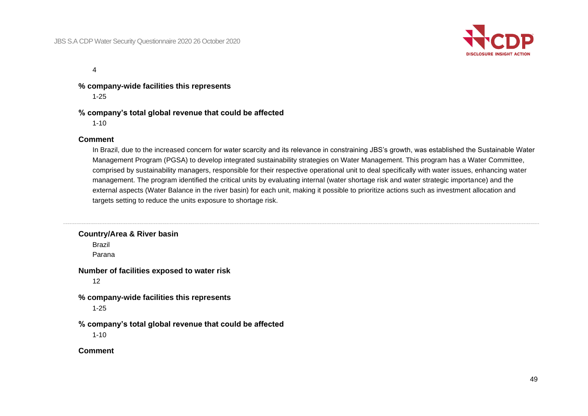

4

**% company-wide facilities this represents**

1-25

## **% company's total global revenue that could be affected**

1-10

#### **Comment**

In Brazil, due to the increased concern for water scarcity and its relevance in constraining JBS's growth, was established the Sustainable Water Management Program (PGSA) to develop integrated sustainability strategies on Water Management. This program has a Water Committee, comprised by sustainability managers, responsible for their respective operational unit to deal specifically with water issues, enhancing water management. The program identified the critical units by evaluating internal (water shortage risk and water strategic importance) and the external aspects (Water Balance in the river basin) for each unit, making it possible to prioritize actions such as investment allocation and targets setting to reduce the units exposure to shortage risk.

**Country/Area & River basin** Brazil Parana **Number of facilities exposed to water risk** 12 **% company-wide facilities this represents** 1-25 **% company's total global revenue that could be affected** 1-10 **Comment**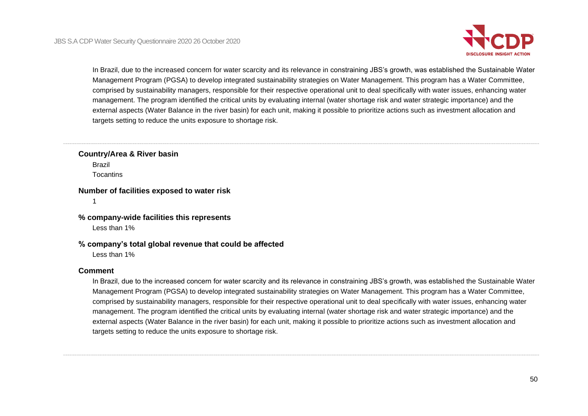

In Brazil, due to the increased concern for water scarcity and its relevance in constraining JBS's growth, was established the Sustainable Water Management Program (PGSA) to develop integrated sustainability strategies on Water Management. This program has a Water Committee, comprised by sustainability managers, responsible for their respective operational unit to deal specifically with water issues, enhancing water management. The program identified the critical units by evaluating internal (water shortage risk and water strategic importance) and the external aspects (Water Balance in the river basin) for each unit, making it possible to prioritize actions such as investment allocation and targets setting to reduce the units exposure to shortage risk.

#### **Country/Area & River basin**

Brazil **Tocantins** 

#### **Number of facilities exposed to water risk**

1

#### **% company-wide facilities this represents**

Less than 1%

## **% company's total global revenue that could be affected**

Less than 1%

#### **Comment**

In Brazil, due to the increased concern for water scarcity and its relevance in constraining JBS's growth, was established the Sustainable Water Management Program (PGSA) to develop integrated sustainability strategies on Water Management. This program has a Water Committee, comprised by sustainability managers, responsible for their respective operational unit to deal specifically with water issues, enhancing water management. The program identified the critical units by evaluating internal (water shortage risk and water strategic importance) and the external aspects (Water Balance in the river basin) for each unit, making it possible to prioritize actions such as investment allocation and targets setting to reduce the units exposure to shortage risk.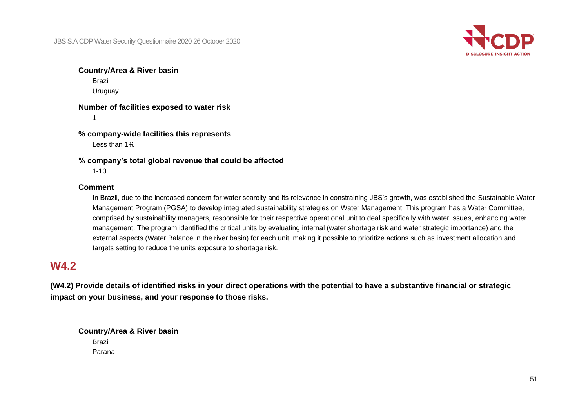

#### **Country/Area & River basin**

Brazil

Uruguay

#### **Number of facilities exposed to water risk**

1

## **% company-wide facilities this represents**

Less than 1%

#### **% company's total global revenue that could be affected**

1-10

#### **Comment**

In Brazil, due to the increased concern for water scarcity and its relevance in constraining JBS's growth, was established the Sustainable Water Management Program (PGSA) to develop integrated sustainability strategies on Water Management. This program has a Water Committee, comprised by sustainability managers, responsible for their respective operational unit to deal specifically with water issues, enhancing water management. The program identified the critical units by evaluating internal (water shortage risk and water strategic importance) and the external aspects (Water Balance in the river basin) for each unit, making it possible to prioritize actions such as investment allocation and targets setting to reduce the units exposure to shortage risk.

# **W4.2**

**(W4.2) Provide details of identified risks in your direct operations with the potential to have a substantive financial or strategic impact on your business, and your response to those risks.**

**Country/Area & River basin** Brazil Parana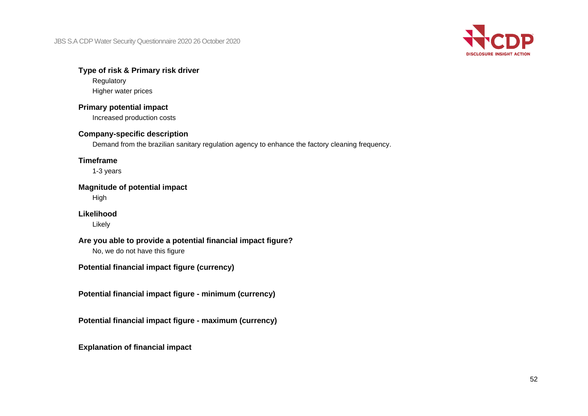

## **Type of risk & Primary risk driver**

Regulatory Higher water prices

# **Primary potential impact**

Increased production costs

## **Company-specific description**

Demand from the brazilian sanitary regulation agency to enhance the factory cleaning frequency.

## **Timeframe**

1-3 years

## **Magnitude of potential impact**

High

# **Likelihood**

Likely

# **Are you able to provide a potential financial impact figure?**

No, we do not have this figure

**Potential financial impact figure (currency)**

**Potential financial impact figure - minimum (currency)**

**Potential financial impact figure - maximum (currency)**

**Explanation of financial impact**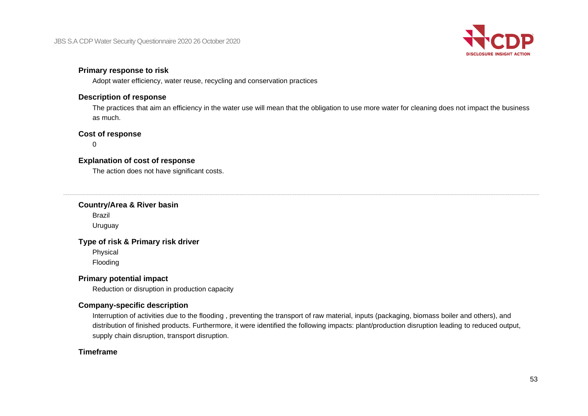

## **Primary response to risk**

Adopt water efficiency, water reuse, recycling and conservation practices

## **Description of response**

The practices that aim an efficiency in the water use will mean that the obligation to use more water for cleaning does not impact the business as much.

## **Cost of response**

0

# **Explanation of cost of response**

The action does not have significant costs.

## **Country/Area & River basin**

Brazil Uruguay

## **Type of risk & Primary risk driver**

Physical

Flooding

## **Primary potential impact**

Reduction or disruption in production capacity

## **Company-specific description**

Interruption of activities due to the flooding , preventing the transport of raw material, inputs (packaging, biomass boiler and others), and distribution of finished products. Furthermore, it were identified the following impacts: plant/production disruption leading to reduced output, supply chain disruption, transport disruption.

## **Timeframe**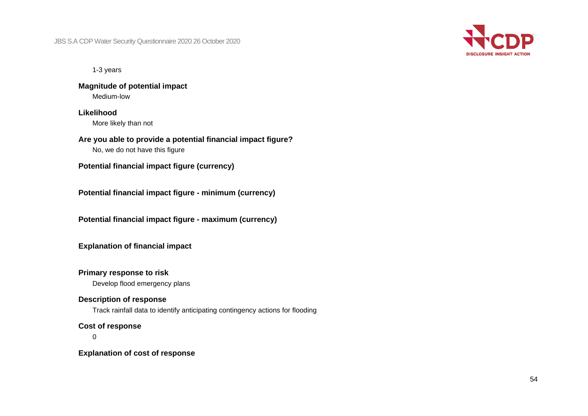

1-3 years

**Magnitude of potential impact** Medium-low

**Likelihood** More likely than not

**Are you able to provide a potential financial impact figure?** No, we do not have this figure

**Potential financial impact figure (currency)**

**Potential financial impact figure - minimum (currency)**

**Potential financial impact figure - maximum (currency)**

**Explanation of financial impact**

## **Primary response to risk**

Develop flood emergency plans

#### **Description of response**

Track rainfall data to identify anticipating contingency actions for flooding

#### **Cost of response**

 $\Omega$ 

**Explanation of cost of response**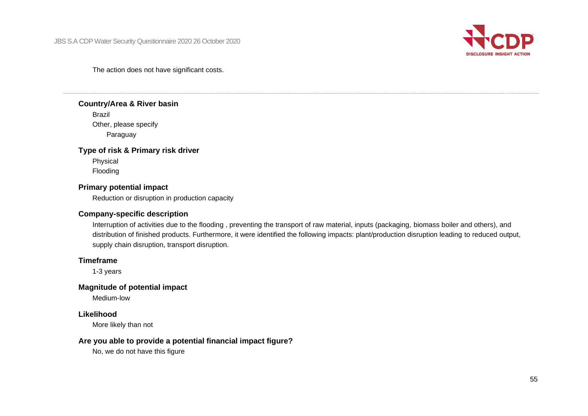

#### The action does not have significant costs.

#### **Country/Area & River basin**

Brazil Other, please specify Paraguay

#### **Type of risk & Primary risk driver**

Physical Flooding

#### **Primary potential impact**

Reduction or disruption in production capacity

#### **Company-specific description**

Interruption of activities due to the flooding , preventing the transport of raw material, inputs (packaging, biomass boiler and others), and distribution of finished products. Furthermore, it were identified the following impacts: plant/production disruption leading to reduced output, supply chain disruption, transport disruption.

## **Timeframe**

1-3 years

# **Magnitude of potential impact**

Medium-low

#### **Likelihood**

More likely than not

## **Are you able to provide a potential financial impact figure?**

No, we do not have this figure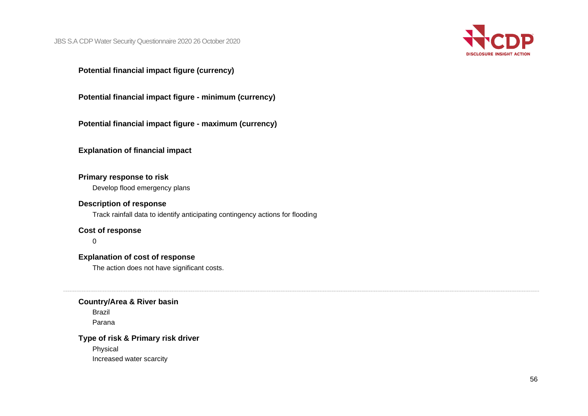

**Potential financial impact figure (currency)**

**Potential financial impact figure - minimum (currency)**

**Potential financial impact figure - maximum (currency)**

**Explanation of financial impact**

### **Primary response to risk**

Develop flood emergency plans

# **Description of response**

Track rainfall data to identify anticipating contingency actions for flooding

### **Cost of response**

 $\Omega$ 

# **Explanation of cost of response**

The action does not have significant costs.

#### **Country/Area & River basin**

Brazil Parana

# **Type of risk & Primary risk driver**

Physical Increased water scarcity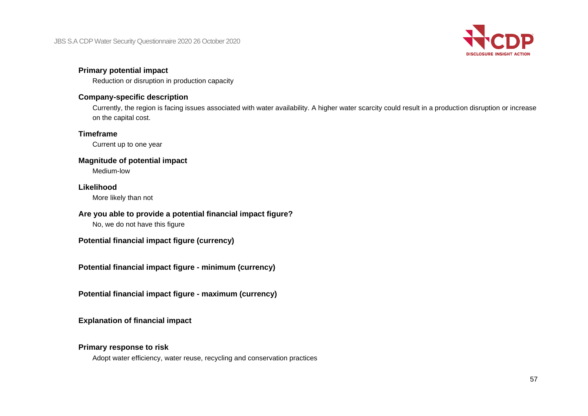

# **Primary potential impact**

Reduction or disruption in production capacity

# **Company-specific description**

Currently, the region is facing issues associated with water availability. A higher water scarcity could result in a production disruption or increase on the capital cost.

# **Timeframe**

Current up to one year

#### **Magnitude of potential impact**

Medium-low

## **Likelihood**

More likely than not

# **Are you able to provide a potential financial impact figure?**

No, we do not have this figure

**Potential financial impact figure (currency)**

**Potential financial impact figure - minimum (currency)**

**Potential financial impact figure - maximum (currency)**

**Explanation of financial impact**

# **Primary response to risk**

Adopt water efficiency, water reuse, recycling and conservation practices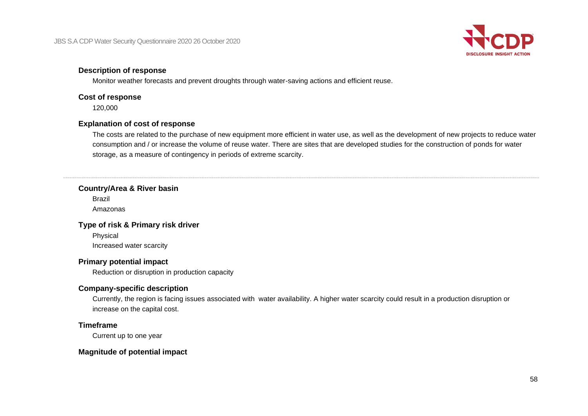

#### **Description of response**

Monitor weather forecasts and prevent droughts through water-saving actions and efficient reuse.

#### **Cost of response**

120,000

# **Explanation of cost of response**

The costs are related to the purchase of new equipment more efficient in water use, as well as the development of new projects to reduce water consumption and / or increase the volume of reuse water. There are sites that are developed studies for the construction of ponds for water storage, as a measure of contingency in periods of extreme scarcity.

#### **Country/Area & River basin**

Brazil Amazonas

## **Type of risk & Primary risk driver**

Physical Increased water scarcity

# **Primary potential impact**

Reduction or disruption in production capacity

# **Company-specific description**

Currently, the region is facing issues associated with water availability. A higher water scarcity could result in a production disruption or increase on the capital cost.

## **Timeframe**

Current up to one year

## **Magnitude of potential impact**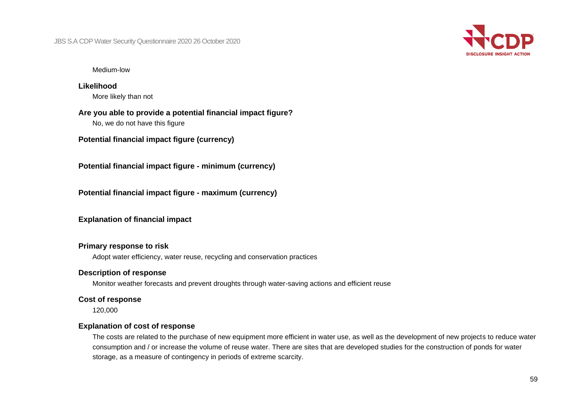

#### Medium-low

**Likelihood** More likely than not

**Are you able to provide a potential financial impact figure?** No, we do not have this figure

**Potential financial impact figure (currency)**

**Potential financial impact figure - minimum (currency)**

**Potential financial impact figure - maximum (currency)**

**Explanation of financial impact**

#### **Primary response to risk**

Adopt water efficiency, water reuse, recycling and conservation practices

#### **Description of response**

Monitor weather forecasts and prevent droughts through water-saving actions and efficient reuse

#### **Cost of response**

120,000

#### **Explanation of cost of response**

The costs are related to the purchase of new equipment more efficient in water use, as well as the development of new projects to reduce water consumption and / or increase the volume of reuse water. There are sites that are developed studies for the construction of ponds for water storage, as a measure of contingency in periods of extreme scarcity.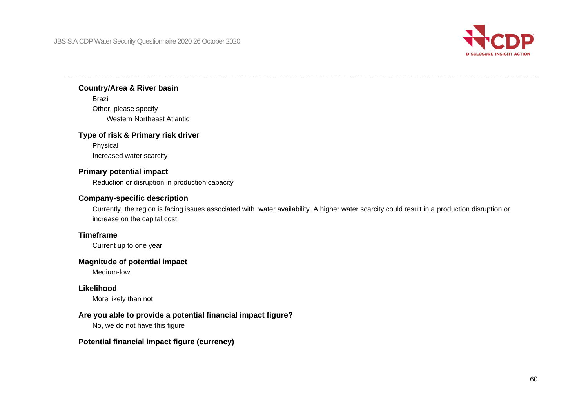

#### **Country/Area & River basin**

Brazil Other, please specify Western Northeast Atlantic

## **Type of risk & Primary risk driver**

Physical Increased water scarcity

## **Primary potential impact**

Reduction or disruption in production capacity

## **Company-specific description**

Currently, the region is facing issues associated with water availability. A higher water scarcity could result in a production disruption or increase on the capital cost.

#### **Timeframe**

Current up to one year

## **Magnitude of potential impact**

Medium-low

## **Likelihood**

More likely than not

## **Are you able to provide a potential financial impact figure?**

No, we do not have this figure

## **Potential financial impact figure (currency)**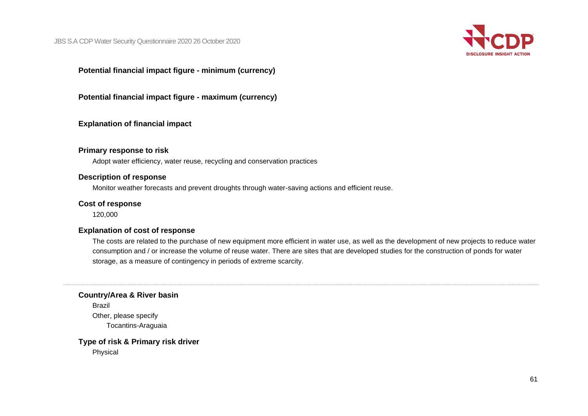

**Potential financial impact figure - minimum (currency)**

**Potential financial impact figure - maximum (currency)**

**Explanation of financial impact**

#### **Primary response to risk**

Adopt water efficiency, water reuse, recycling and conservation practices

#### **Description of response**

Monitor weather forecasts and prevent droughts through water-saving actions and efficient reuse.

#### **Cost of response**

120,000

#### **Explanation of cost of response**

The costs are related to the purchase of new equipment more efficient in water use, as well as the development of new projects to reduce water consumption and / or increase the volume of reuse water. There are sites that are developed studies for the construction of ponds for water storage, as a measure of contingency in periods of extreme scarcity.

**Country/Area & River basin**

Brazil Other, please specify Tocantins-Araguaia

**Type of risk & Primary risk driver** Physical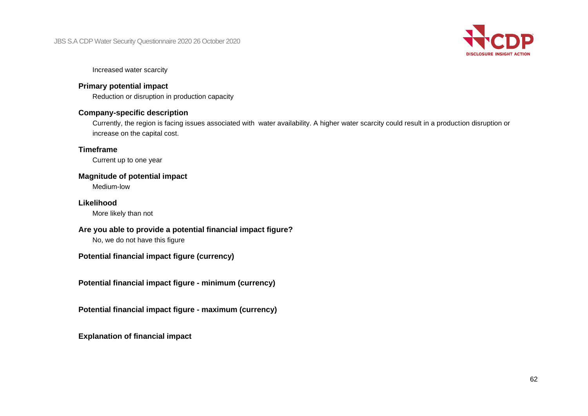

Increased water scarcity

## **Primary potential impact**

Reduction or disruption in production capacity

#### **Company-specific description**

Currently, the region is facing issues associated with water availability. A higher water scarcity could result in a production disruption or increase on the capital cost.

## **Timeframe**

Current up to one year

## **Magnitude of potential impact**

Medium-low

# **Likelihood**

More likely than not

## **Are you able to provide a potential financial impact figure?**

No, we do not have this figure

# **Potential financial impact figure (currency)**

**Potential financial impact figure - minimum (currency)**

**Potential financial impact figure - maximum (currency)**

**Explanation of financial impact**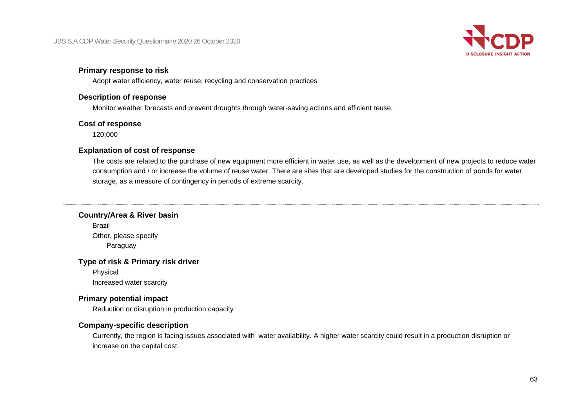

#### **Primary response to risk**

Adopt water efficiency, water reuse, recycling and conservation practices

#### **Description of response**

Monitor weather forecasts and prevent droughts through water-saving actions and efficient reuse.

#### **Cost of response**

120,000

#### **Explanation of cost of response**

The costs are related to the purchase of new equipment more efficient in water use, as well as the development of new projects to reduce water consumption and / or increase the volume of reuse water. There are sites that are developed studies for the construction of ponds for water storage, as a measure of contingency in periods of extreme scarcity.

#### **Country/Area & River basin**

Brazil Other, please specify Paraguay

## **Type of risk & Primary risk driver**

Physical Increased water scarcity

## **Primary potential impact**

Reduction or disruption in production capacity

#### **Company-specific description**

Currently, the region is facing issues associated with water availability. A higher water scarcity could result in a production disruption or increase on the capital cost.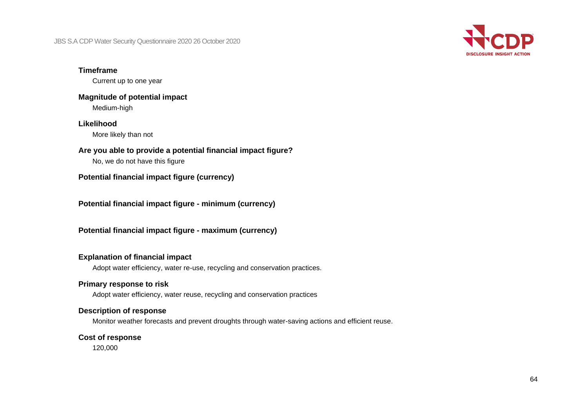

#### **Timeframe**

Current up to one year

## **Magnitude of potential impact** Medium-high

#### **Likelihood**

More likely than not

# **Are you able to provide a potential financial impact figure?**

No, we do not have this figure

**Potential financial impact figure (currency)**

**Potential financial impact figure - minimum (currency)**

**Potential financial impact figure - maximum (currency)**

# **Explanation of financial impact**

Adopt water efficiency, water re-use, recycling and conservation practices.

# **Primary response to risk**

Adopt water efficiency, water reuse, recycling and conservation practices

## **Description of response**

Monitor weather forecasts and prevent droughts through water-saving actions and efficient reuse.

## **Cost of response**

120,000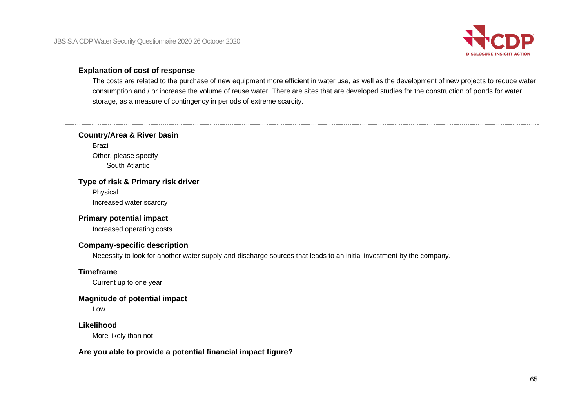

#### **Explanation of cost of response**

The costs are related to the purchase of new equipment more efficient in water use, as well as the development of new projects to reduce water consumption and / or increase the volume of reuse water. There are sites that are developed studies for the construction of ponds for water storage, as a measure of contingency in periods of extreme scarcity.

#### **Country/Area & River basin**

Brazil Other, please specify South Atlantic

#### **Type of risk & Primary risk driver**

Physical Increased water scarcity

## **Primary potential impact**

Increased operating costs

#### **Company-specific description**

Necessity to look for another water supply and discharge sources that leads to an initial investment by the company.

#### **Timeframe**

Current up to one year

#### **Magnitude of potential impact**

Low

#### **Likelihood**

More likely than not

## **Are you able to provide a potential financial impact figure?**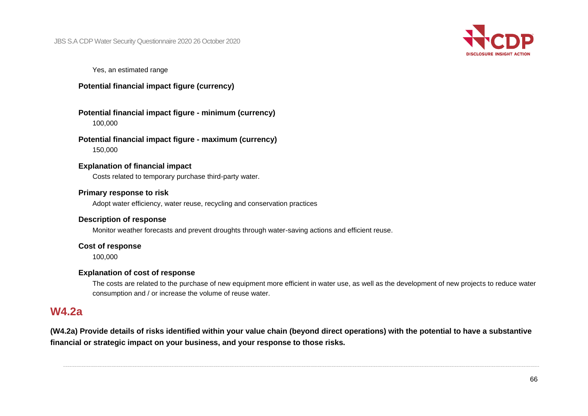

Yes, an estimated range

## **Potential financial impact figure (currency)**

## **Potential financial impact figure - minimum (currency)** 100,000

## **Potential financial impact figure - maximum (currency)** 150,000

#### **Explanation of financial impact**

Costs related to temporary purchase third-party water.

#### **Primary response to risk**

Adopt water efficiency, water reuse, recycling and conservation practices

## **Description of response**

Monitor weather forecasts and prevent droughts through water-saving actions and efficient reuse.

#### **Cost of response**

100,000

## **Explanation of cost of response**

The costs are related to the purchase of new equipment more efficient in water use, as well as the development of new projects to reduce water consumption and / or increase the volume of reuse water.

# **W4.2a**

**(W4.2a) Provide details of risks identified within your value chain (beyond direct operations) with the potential to have a substantive financial or strategic impact on your business, and your response to those risks.**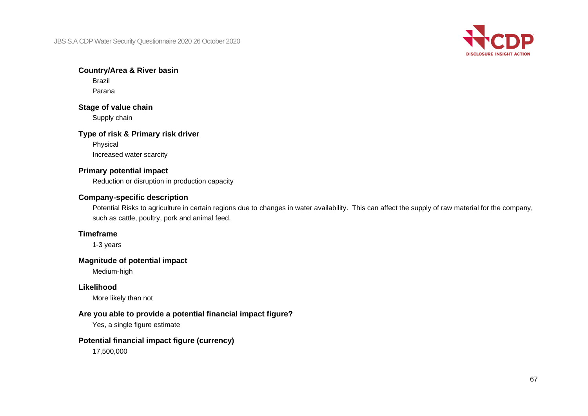

#### **Country/Area & River basin**

Brazil Parana

#### **Stage of value chain**

Supply chain

#### **Type of risk & Primary risk driver**

Physical Increased water scarcity

## **Primary potential impact**

Reduction or disruption in production capacity

## **Company-specific description**

Potential Risks to agriculture in certain regions due to changes in water availability. This can affect the supply of raw material for the company, such as cattle, poultry, pork and animal feed.

### **Timeframe**

1-3 years

## **Magnitude of potential impact**

Medium-high

# **Likelihood**

More likely than not

## **Are you able to provide a potential financial impact figure?**

Yes, a single figure estimate

## **Potential financial impact figure (currency)**

17,500,000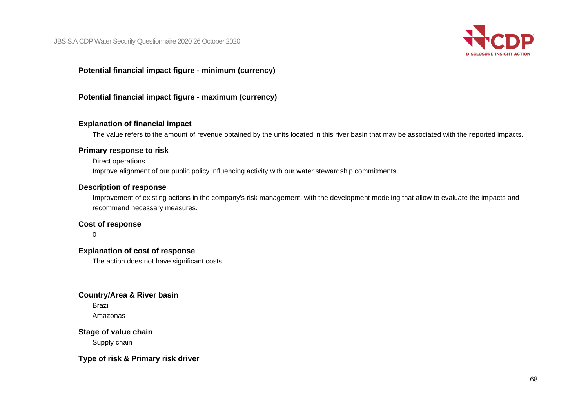

# **Potential financial impact figure - minimum (currency)**

## **Potential financial impact figure - maximum (currency)**

#### **Explanation of financial impact**

The value refers to the amount of revenue obtained by the units located in this river basin that may be associated with the reported impacts.

#### **Primary response to risk**

Direct operations

Improve alignment of our public policy influencing activity with our water stewardship commitments

#### **Description of response**

Improvement of existing actions in the company's risk management, with the development modeling that allow to evaluate the impacts and recommend necessary measures.

#### **Cost of response**

0

**Explanation of cost of response**

The action does not have significant costs.

**Country/Area & River basin**

Brazil Amazonas

**Stage of value chain** Supply chain

**Type of risk & Primary risk driver**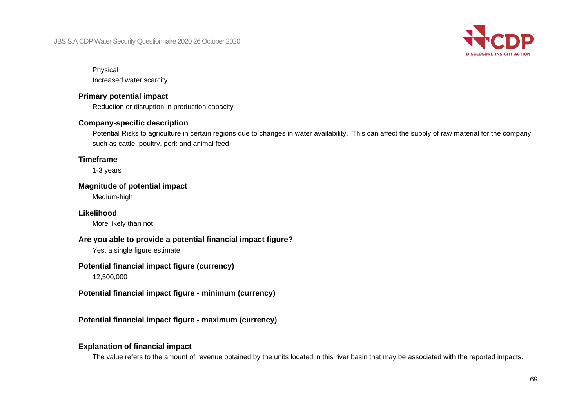

#### Physical

Increased water scarcity

## **Primary potential impact**

Reduction or disruption in production capacity

# **Company-specific description**

Potential Risks to agriculture in certain regions due to changes in water availability. This can affect the supply of raw material for the company, such as cattle, poultry, pork and animal feed.

## **Timeframe**

1-3 years

#### **Magnitude of potential impact**

Medium-high

# **Likelihood**

More likely than not

## **Are you able to provide a potential financial impact figure?**

Yes, a single figure estimate

# **Potential financial impact figure (currency)**

12,500,000

**Potential financial impact figure - minimum (currency)**

**Potential financial impact figure - maximum (currency)**

## **Explanation of financial impact**

The value refers to the amount of revenue obtained by the units located in this river basin that may be associated with the reported impacts.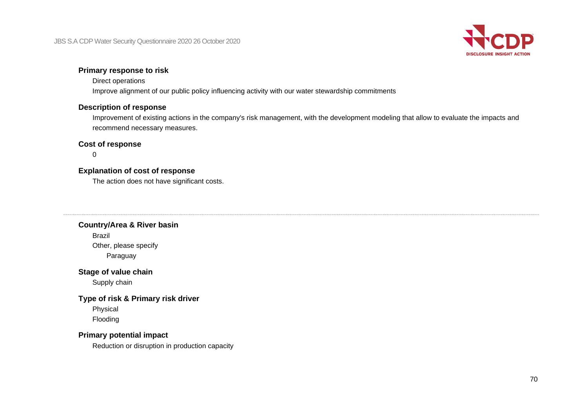

# **Primary response to risk**

#### Direct operations

Improve alignment of our public policy influencing activity with our water stewardship commitments

## **Description of response**

Improvement of existing actions in the company's risk management, with the development modeling that allow to evaluate the impacts and recommend necessary measures.

#### **Cost of response**

0

## **Explanation of cost of response**

The action does not have significant costs.

#### **Country/Area & River basin**

Brazil Other, please specify Paraguay

#### **Stage of value chain**

Supply chain

#### **Type of risk & Primary risk driver**

Physical Flooding

## **Primary potential impact**

Reduction or disruption in production capacity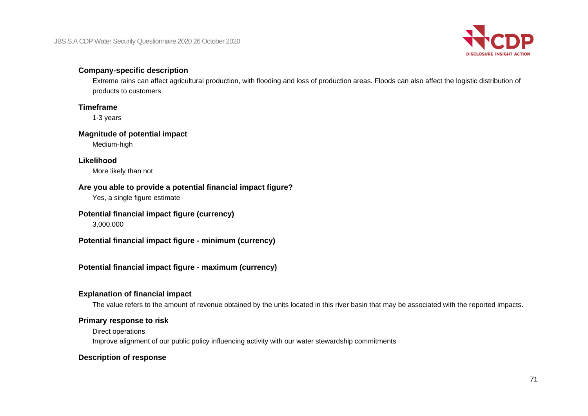

## **Company-specific description**

Extreme rains can affect agricultural production, with flooding and loss of production areas. Floods can also affect the logistic distribution of products to customers.

## **Timeframe**

1-3 years

## **Magnitude of potential impact**

Medium-high

# **Likelihood**

More likely than not

# **Are you able to provide a potential financial impact figure?**

Yes, a single figure estimate

## **Potential financial impact figure (currency)**

3,000,000

**Potential financial impact figure - minimum (currency)**

# **Potential financial impact figure - maximum (currency)**

# **Explanation of financial impact**

The value refers to the amount of revenue obtained by the units located in this river basin that may be associated with the reported impacts.

# **Primary response to risk**

Direct operations

Improve alignment of our public policy influencing activity with our water stewardship commitments

# **Description of response**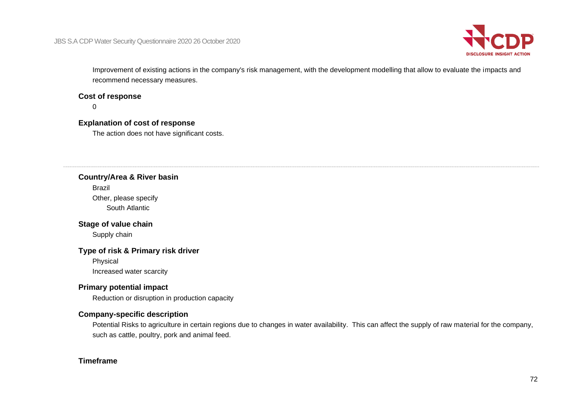

Improvement of existing actions in the company's risk management, with the development modelling that allow to evaluate the impacts and recommend necessary measures.

#### **Cost of response**

 $\Omega$ 

#### **Explanation of cost of response**

The action does not have significant costs.

#### **Country/Area & River basin**

Brazil

Other, please specify South Atlantic

#### **Stage of value chain**

Supply chain

## **Type of risk & Primary risk driver**

Physical Increased water scarcity

# **Primary potential impact**

Reduction or disruption in production capacity

# **Company-specific description**

Potential Risks to agriculture in certain regions due to changes in water availability. This can affect the supply of raw material for the company, such as cattle, poultry, pork and animal feed.

## **Timeframe**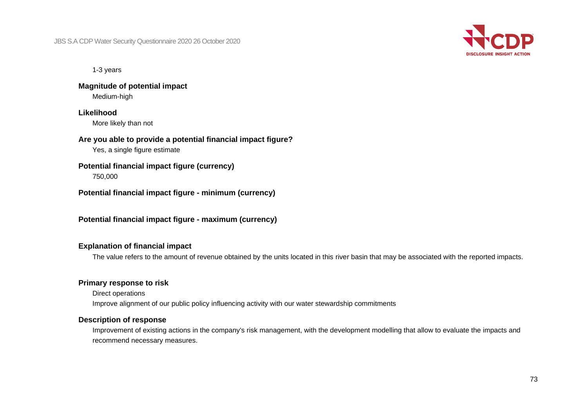

1-3 years

**Magnitude of potential impact** Medium-high

## **Likelihood**

More likely than not

#### **Are you able to provide a potential financial impact figure?**

Yes, a single figure estimate

# **Potential financial impact figure (currency)**

750,000

**Potential financial impact figure - minimum (currency)**

**Potential financial impact figure - maximum (currency)**

## **Explanation of financial impact**

The value refers to the amount of revenue obtained by the units located in this river basin that may be associated with the reported impacts.

## **Primary response to risk**

Direct operations Improve alignment of our public policy influencing activity with our water stewardship commitments

#### **Description of response**

Improvement of existing actions in the company's risk management, with the development modelling that allow to evaluate the impacts and recommend necessary measures.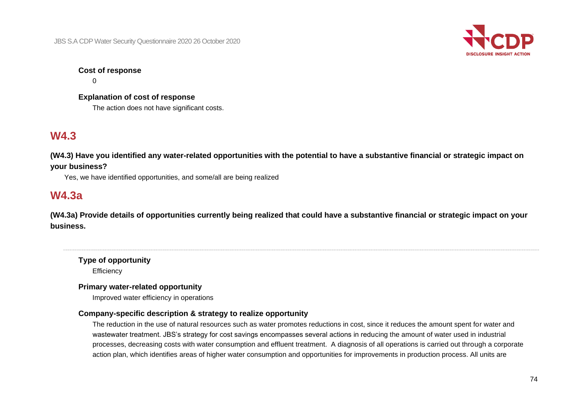

## **Cost of response**

 $\Omega$ 

**Explanation of cost of response** The action does not have significant costs.

# **W4.3**

**(W4.3) Have you identified any water-related opportunities with the potential to have a substantive financial or strategic impact on your business?**

Yes, we have identified opportunities, and some/all are being realized

## **W4.3a**

**(W4.3a) Provide details of opportunities currently being realized that could have a substantive financial or strategic impact on your business.**

**Type of opportunity Efficiency** 

#### **Primary water-related opportunity**

Improved water efficiency in operations

## **Company-specific description & strategy to realize opportunity**

The reduction in the use of natural resources such as water promotes reductions in cost, since it reduces the amount spent for water and wastewater treatment. JBS's strategy for cost savings encompasses several actions in reducing the amount of water used in industrial processes, decreasing costs with water consumption and effluent treatment. A diagnosis of all operations is carried out through a corporate action plan, which identifies areas of higher water consumption and opportunities for improvements in production process. All units are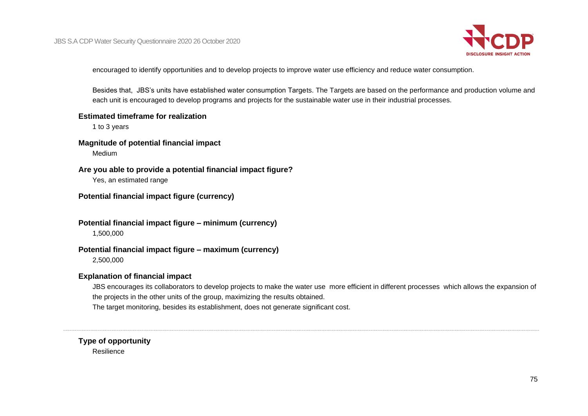

encouraged to identify opportunities and to develop projects to improve water use efficiency and reduce water consumption.

Besides that, JBS's units have established water consumption Targets. The Targets are based on the performance and production volume and each unit is encouraged to develop programs and projects for the sustainable water use in their industrial processes.

#### **Estimated timeframe for realization**

1 to 3 years

#### **Magnitude of potential financial impact**

Medium

#### **Are you able to provide a potential financial impact figure?**

Yes, an estimated range

### **Potential financial impact figure (currency)**

#### **Potential financial impact figure – minimum (currency)**

1,500,000

#### **Potential financial impact figure – maximum (currency)**

2,500,000

#### **Explanation of financial impact**

JBS encourages its collaborators to develop projects to make the water use more efficient in different processes which allows the expansion of the projects in the other units of the group, maximizing the results obtained. The target monitoring, besides its establishment, does not generate significant cost.

## **Type of opportunity** Resilience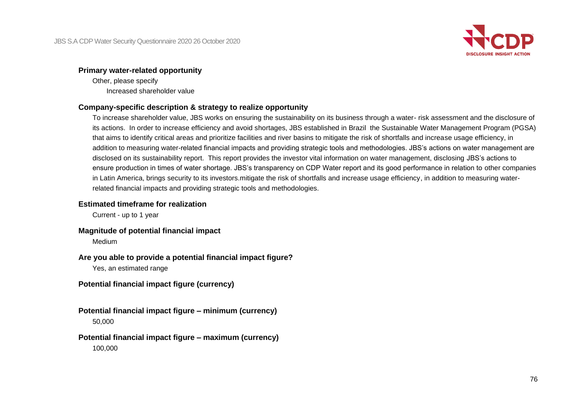

#### **Primary water-related opportunity**

Other, please specify Increased shareholder value

#### **Company-specific description & strategy to realize opportunity**

To increase shareholder value, JBS works on ensuring the sustainability on its business through a water- risk assessment and the disclosure of its actions. In order to increase efficiency and avoid shortages, JBS established in Brazil the Sustainable Water Management Program (PGSA) that aims to identify critical areas and prioritize facilities and river basins to mitigate the risk of shortfalls and increase usage efficiency, in addition to measuring water-related financial impacts and providing strategic tools and methodologies. JBS's actions on water management are disclosed on its sustainability report. This report provides the investor vital information on water management, disclosing JBS's actions to ensure production in times of water shortage. JBS's transparency on CDP Water report and its good performance in relation to other companies in Latin America, brings security to its investors.mitigate the risk of shortfalls and increase usage efficiency, in addition to measuring waterrelated financial impacts and providing strategic tools and methodologies.

#### **Estimated timeframe for realization**

Current - up to 1 year

#### **Magnitude of potential financial impact**

Medium

#### **Are you able to provide a potential financial impact figure?**

Yes, an estimated range

**Potential financial impact figure (currency)**

## **Potential financial impact figure – minimum (currency)**

50,000

#### **Potential financial impact figure – maximum (currency)** 100,000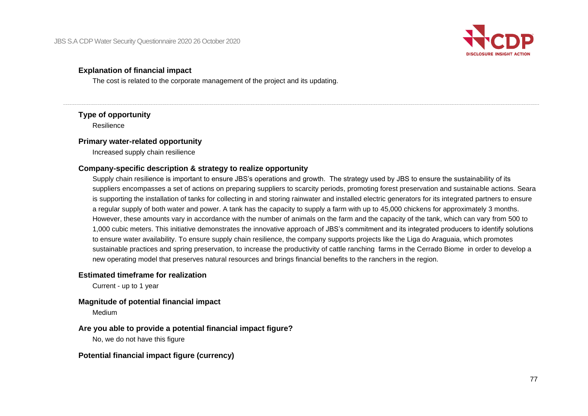

### **Explanation of financial impact**

The cost is related to the corporate management of the project and its updating.

#### **Type of opportunity**

Resilience

#### **Primary water-related opportunity**

Increased supply chain resilience

## **Company-specific description & strategy to realize opportunity**

Supply chain resilience is important to ensure JBS's operations and growth. The strategy used by JBS to ensure the sustainability of its suppliers encompasses a set of actions on preparing suppliers to scarcity periods, promoting forest preservation and sustainable actions. Seara is supporting the installation of tanks for collecting in and storing rainwater and installed electric generators for its integrated partners to ensure a regular supply of both water and power. A tank has the capacity to supply a farm with up to 45,000 chickens for approximately 3 months. However, these amounts vary in accordance with the number of animals on the farm and the capacity of the tank, which can vary from 500 to 1,000 cubic meters. This initiative demonstrates the innovative approach of JBS's commitment and its integrated producers to identify solutions to ensure water availability. To ensure supply chain resilience, the company supports projects like the Liga do Araguaia, which promotes sustainable practices and spring preservation, to increase the productivity of cattle ranching farms in the Cerrado Biome in order to develop a new operating model that preserves natural resources and brings financial benefits to the ranchers in the region.

#### **Estimated timeframe for realization**

Current - up to 1 year

#### **Magnitude of potential financial impact**

Medium

#### **Are you able to provide a potential financial impact figure?**

No, we do not have this figure

#### **Potential financial impact figure (currency)**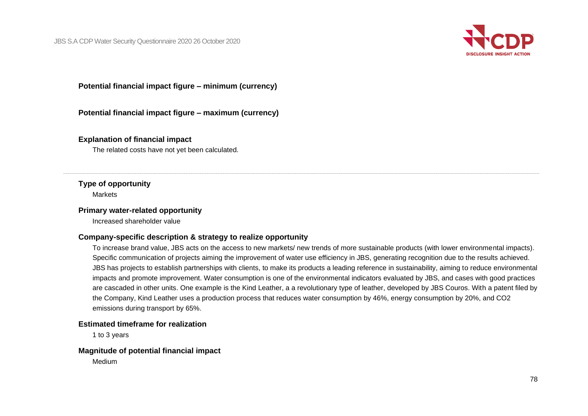

**Potential financial impact figure – minimum (currency)**

**Potential financial impact figure – maximum (currency)**

#### **Explanation of financial impact**

The related costs have not yet been calculated.

#### **Type of opportunity**

**Markets** 

#### **Primary water-related opportunity**

Increased shareholder value

#### **Company-specific description & strategy to realize opportunity**

To increase brand value, JBS acts on the access to new markets/ new trends of more sustainable products (with lower environmental impacts). Specific communication of projects aiming the improvement of water use efficiency in JBS, generating recognition due to the results achieved. JBS has projects to establish partnerships with clients, to make its products a leading reference in sustainability, aiming to reduce environmental impacts and promote improvement. Water consumption is one of the environmental indicators evaluated by JBS, and cases with good practices are cascaded in other units. One example is the Kind Leather, a a revolutionary type of leather, developed by JBS Couros. With a patent filed by the Company, Kind Leather uses a production process that reduces water consumption by 46%, energy consumption by 20%, and CO2 emissions during transport by 65%.

#### **Estimated timeframe for realization**

1 to 3 years

#### **Magnitude of potential financial impact**

Medium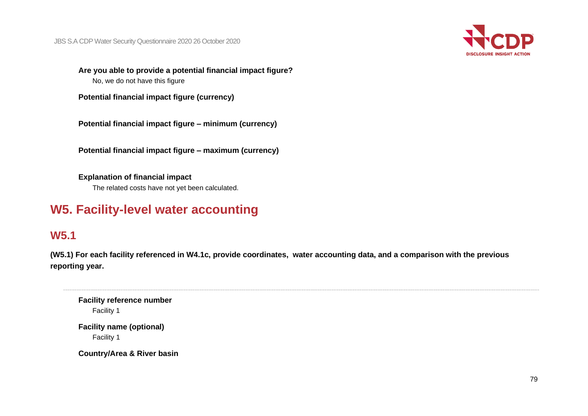

**Are you able to provide a potential financial impact figure?** No, we do not have this figure

**Potential financial impact figure (currency)**

**Potential financial impact figure – minimum (currency)**

**Potential financial impact figure – maximum (currency)**

**Explanation of financial impact** The related costs have not yet been calculated.

# **W5. Facility-level water accounting**

## **W5.1**

**(W5.1) For each facility referenced in W4.1c, provide coordinates, water accounting data, and a comparison with the previous reporting year.**

**Facility reference number** Facility 1

**Facility name (optional)** Facility 1

**Country/Area & River basin**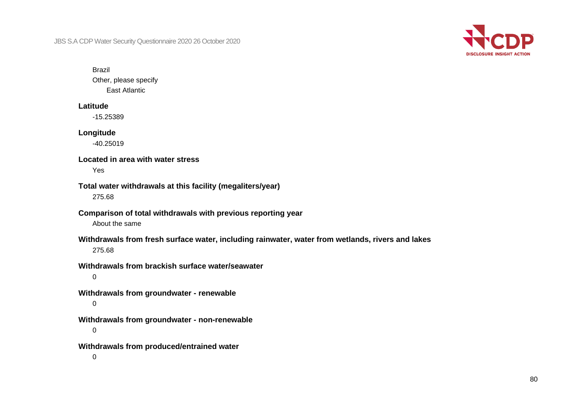

#### Brazil

Other, please specify East Atlantic

#### **Latitude**

-15.25389

#### **Longitude**

-40.25019

### **Located in area with water stress**

Yes

### **Total water withdrawals at this facility (megaliters/year)** 275.68

#### **Comparison of total withdrawals with previous reporting year** About the same

## **Withdrawals from fresh surface water, including rainwater, water from wetlands, rivers and lakes** 275.68

## **Withdrawals from brackish surface water/seawater**

0

**Withdrawals from groundwater - renewable**  $\Omega$ 

**Withdrawals from groundwater - non-renewable**

0

**Withdrawals from produced/entrained water**

0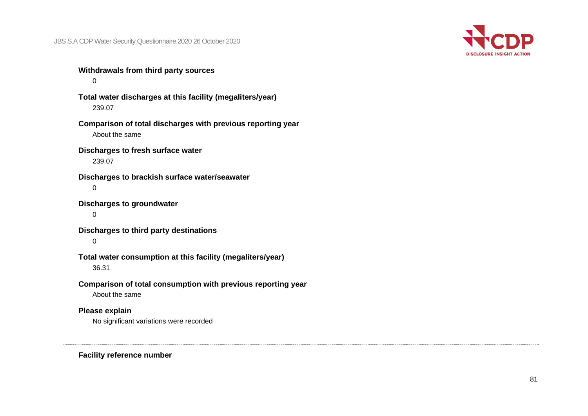

**Withdrawals from third party sources**

 $\Omega$ 

**Total water discharges at this facility (megaliters/year)** 239.07

**Comparison of total discharges with previous reporting year** About the same

**Discharges to fresh surface water** 239.07

**Discharges to brackish surface water/seawater**  $\Omega$ 

**Discharges to groundwater**

0

**Discharges to third party destinations**

 $\Omega$ 

**Total water consumption at this facility (megaliters/year)**

36.31

**Comparison of total consumption with previous reporting year**

About the same

## **Please explain**

No significant variations were recorded

**Facility reference number**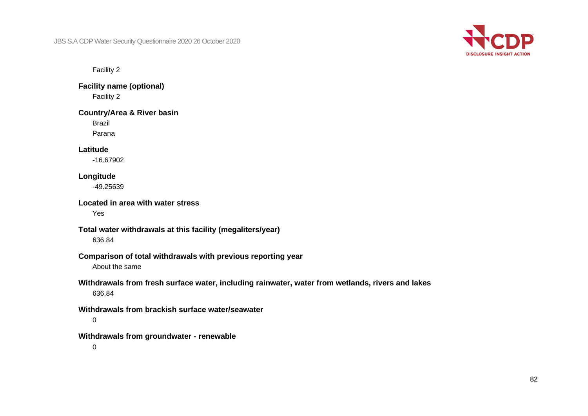

Facility 2

**Facility name (optional)** Facility 2

**Country/Area & River basin**

Brazil

Parana

**Latitude**

-16.67902

## **Longitude**

-49.25639

**Located in area with water stress**

Yes

#### **Total water withdrawals at this facility (megaliters/year)**

636.84

## **Comparison of total withdrawals with previous reporting year**

About the same

## **Withdrawals from fresh surface water, including rainwater, water from wetlands, rivers and lakes**

636.84

## **Withdrawals from brackish surface water/seawater**

0

#### **Withdrawals from groundwater - renewable**

 $\Omega$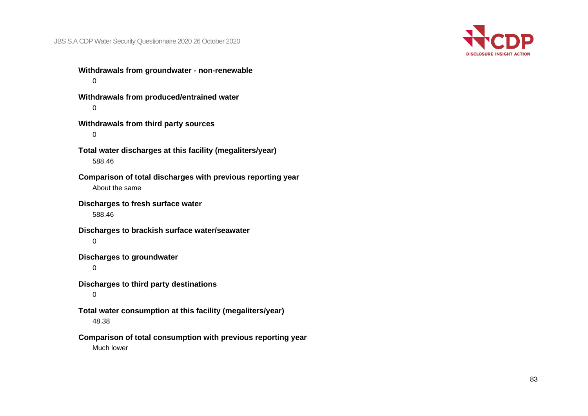

**Withdrawals from groundwater - non-renewable**  $\Omega$ 

**Withdrawals from produced/entrained water**  $\Omega$ 

**Withdrawals from third party sources** 0

**Total water discharges at this facility (megaliters/year)** 588.46

**Comparison of total discharges with previous reporting year** About the same

**Discharges to fresh surface water**

588.46

**Discharges to brackish surface water/seawater**  $\Omega$ 

**Discharges to groundwater**

0

**Discharges to third party destinations**

0

**Total water consumption at this facility (megaliters/year)**

48.38

**Comparison of total consumption with previous reporting year**

Much lower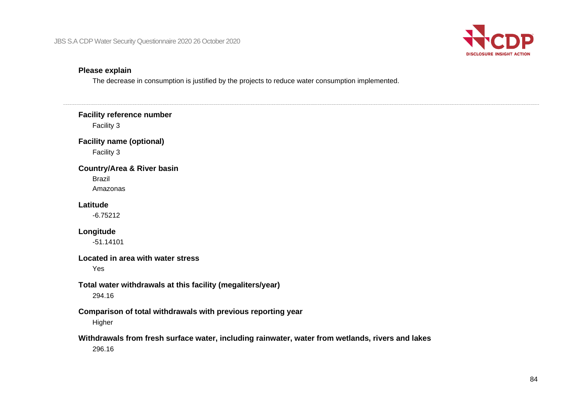

#### **Please explain**

The decrease in consumption is justified by the projects to reduce water consumption implemented.

# **Facility reference number** Facility 3 **Facility name (optional)** Facility 3 **Country/Area & River basin** Brazil Amazonas **Latitude** -6.75212 **Longitude** -51.14101 **Located in area with water stress** Yes **Total water withdrawals at this facility (megaliters/year)** 294.16 **Comparison of total withdrawals with previous reporting year** Higher **Withdrawals from fresh surface water, including rainwater, water from wetlands, rivers and lakes** 296.16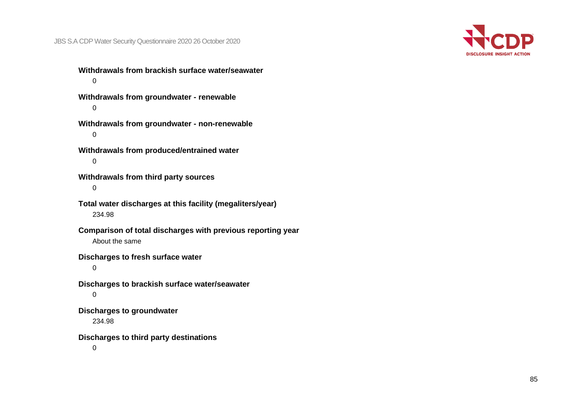

**Withdrawals from brackish surface water/seawater**  $\Omega$ **Withdrawals from groundwater - renewable**  $\Omega$ 

**Withdrawals from groundwater - non-renewable** 0

**Withdrawals from produced/entrained water**  $\Omega$ 

**Withdrawals from third party sources** 0

**Total water discharges at this facility (megaliters/year)** 234.98

**Comparison of total discharges with previous reporting year** About the same

**Discharges to fresh surface water**

0

**Discharges to brackish surface water/seawater** 0

**Discharges to groundwater**

234.98

**Discharges to third party destinations**

 $\Omega$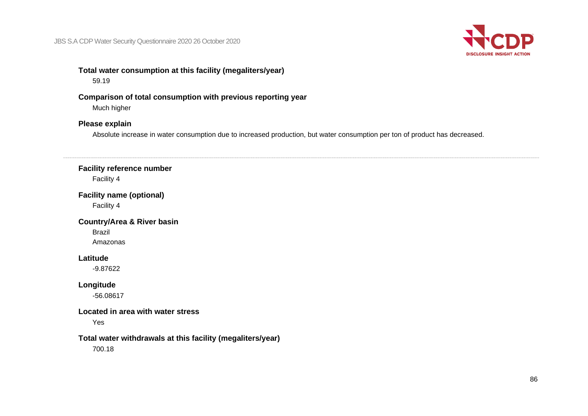

## **Total water consumption at this facility (megaliters/year)**

59.19

### **Comparison of total consumption with previous reporting year**

Much higher

## **Please explain**

Absolute increase in water consumption due to increased production, but water consumption per ton of product has decreased.

#### **Facility reference number**

Facility 4

## **Facility name (optional)**

Facility 4

## **Country/Area & River basin** Brazil Amazonas

## **Latitude**

-9.87622

## **Longitude**

-56.08617

### **Located in area with water stress**

Yes

#### **Total water withdrawals at this facility (megaliters/year)**

700.18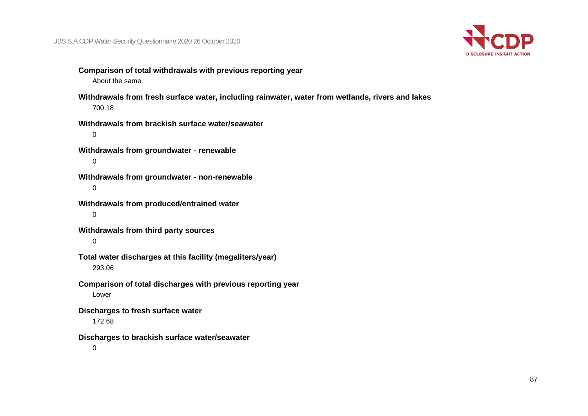

- **Comparison of total withdrawals with previous reporting year** About the same
- **Withdrawals from fresh surface water, including rainwater, water from wetlands, rivers and lakes** 700.18
- **Withdrawals from brackish surface water/seawater** 0
- **Withdrawals from groundwater - renewable**  $\Omega$
- **Withdrawals from groundwater - non-renewable** 0
- **Withdrawals from produced/entrained water** 0
- **Withdrawals from third party sources**

#### $\Omega$

- **Total water discharges at this facility (megaliters/year)** 293.06
- **Comparison of total discharges with previous reporting year** Lower
- **Discharges to fresh surface water**
	- 172.68
- **Discharges to brackish surface water/seawater**
	- $\Omega$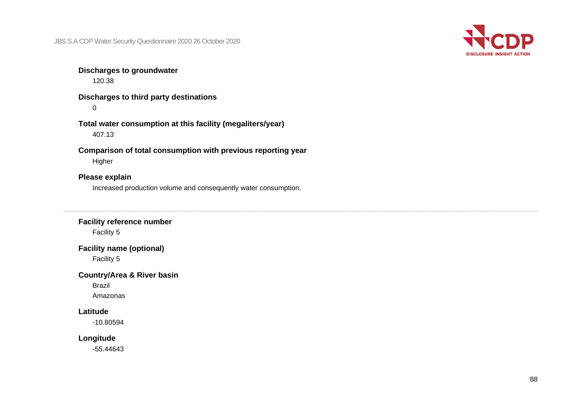

## **Discharges to groundwater**

120.38

**Discharges to third party destinations**  $\Omega$ 

**Total water consumption at this facility (megaliters/year)** 407.13

**Comparison of total consumption with previous reporting year** Higher

## **Please explain**

Increased production volume and consequently water consumption.

## **Facility reference number** Facility 5

## **Facility name (optional)**

Facility 5

#### **Country/Area & River basin**

Brazil Amazonas

## **Latitude**

-10.80594

#### **Longitude**

-55.44643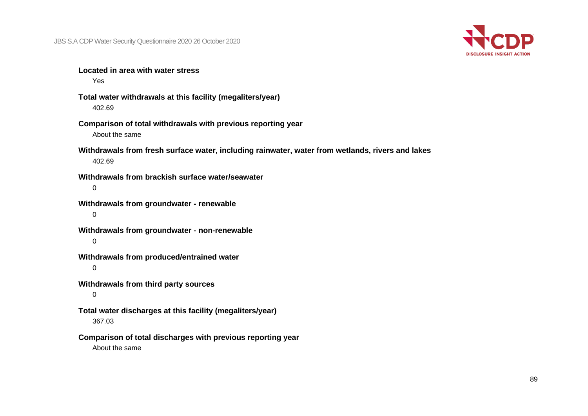

**Located in area with water stress**

Yes

**Total water withdrawals at this facility (megaliters/year)** 402.69

**Comparison of total withdrawals with previous reporting year** About the same

**Withdrawals from fresh surface water, including rainwater, water from wetlands, rivers and lakes** 402.69

**Withdrawals from brackish surface water/seawater**  $\Omega$ 

**Withdrawals from groundwater - renewable** 0

**Withdrawals from groundwater - non-renewable**  $\Omega$ 

**Withdrawals from produced/entrained water**

0

**Withdrawals from third party sources**

0

**Total water discharges at this facility (megaliters/year)** 367.03

**Comparison of total discharges with previous reporting year** About the same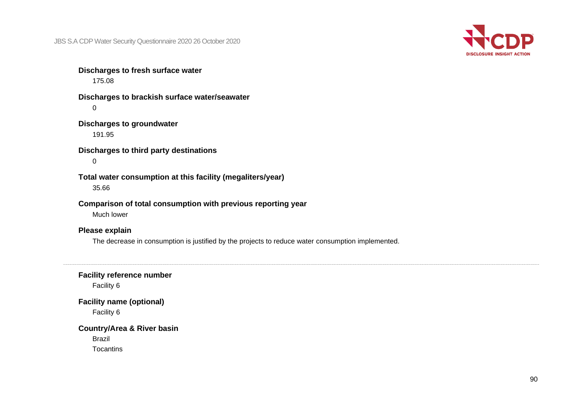

**Discharges to fresh surface water** 175.08

**Discharges to brackish surface water/seawater**  $\Omega$ 

**Discharges to groundwater** 191.95

**Discharges to third party destinations**  $\Omega$ 

**Total water consumption at this facility (megaliters/year)** 35.66

**Comparison of total consumption with previous reporting year**

Much lower

#### **Please explain**

The decrease in consumption is justified by the projects to reduce water consumption implemented.

**Facility reference number**

Facility 6

**Facility name (optional)**

Facility 6

#### **Country/Area & River basin**

Brazil **Tocantins**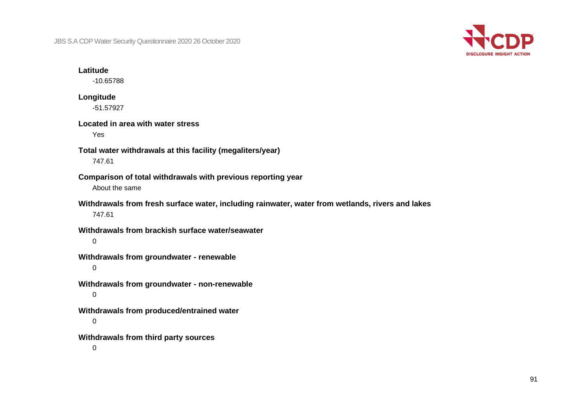

#### **Latitude**

-10.65788

#### **Longitude** -51.57927

#### **Located in area with water stress**

Yes

- **Total water withdrawals at this facility (megaliters/year)** 747.61
- **Comparison of total withdrawals with previous reporting year** About the same
- **Withdrawals from fresh surface water, including rainwater, water from wetlands, rivers and lakes** 747.61
- **Withdrawals from brackish surface water/seawater**

 $\Omega$ 

**Withdrawals from groundwater - renewable**

0

- **Withdrawals from groundwater - non-renewable** 0
- **Withdrawals from produced/entrained water**

0

**Withdrawals from third party sources**

 $\Omega$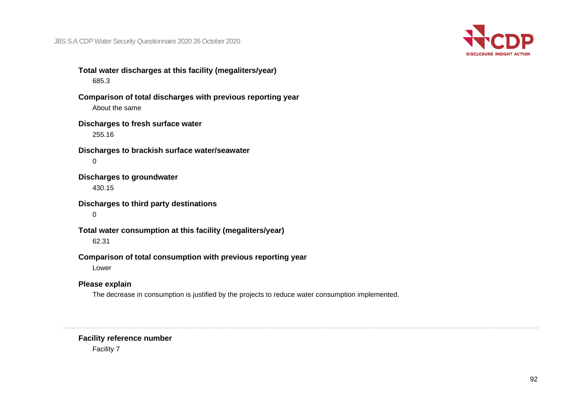

**Total water discharges at this facility (megaliters/year)** 685.3

**Comparison of total discharges with previous reporting year** About the same

#### **Discharges to fresh surface water** 255.16

**Discharges to brackish surface water/seawater**  $\Omega$ 

**Discharges to groundwater** 430.15

**Discharges to third party destinations**

0

**Total water consumption at this facility (megaliters/year)** 62.31

**Comparison of total consumption with previous reporting year**

Lower

## **Please explain**

The decrease in consumption is justified by the projects to reduce water consumption implemented.

#### **Facility reference number**

Facility 7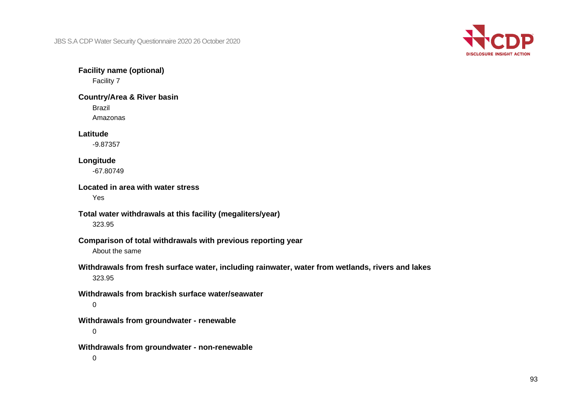

**Facility name (optional)**

Facility 7

**Country/Area & River basin**

Brazil

Amazonas

## **Latitude**

-9.87357

## **Longitude**

-67.80749

## **Located in area with water stress**

Yes

## **Total water withdrawals at this facility (megaliters/year)**

323.95

### **Comparison of total withdrawals with previous reporting year**

About the same

## **Withdrawals from fresh surface water, including rainwater, water from wetlands, rivers and lakes**

323.95

#### **Withdrawals from brackish surface water/seawater**

0

#### **Withdrawals from groundwater - renewable**

0

#### **Withdrawals from groundwater - non-renewable**

 $\Omega$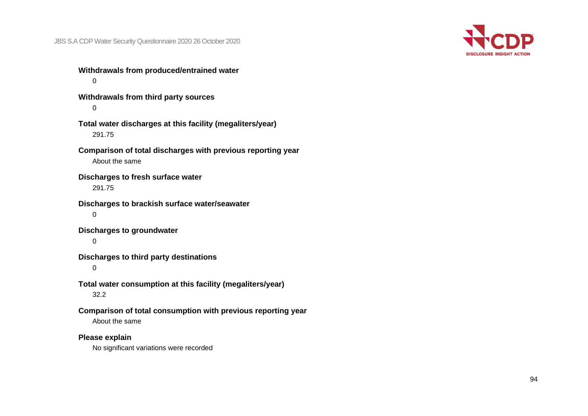

**Withdrawals from produced/entrained water**  $\Omega$ **Withdrawals from third party sources**  $\Omega$ **Total water discharges at this facility (megaliters/year)** 291.75 **Comparison of total discharges with previous reporting year** About the same **Discharges to fresh surface water** 291.75 **Discharges to brackish surface water/seawater**

0

**Discharges to groundwater**

 $\Omega$ 

**Discharges to third party destinations**

0

**Total water consumption at this facility (megaliters/year)** 32.2

**Comparison of total consumption with previous reporting year**

About the same

**Please explain**

No significant variations were recorded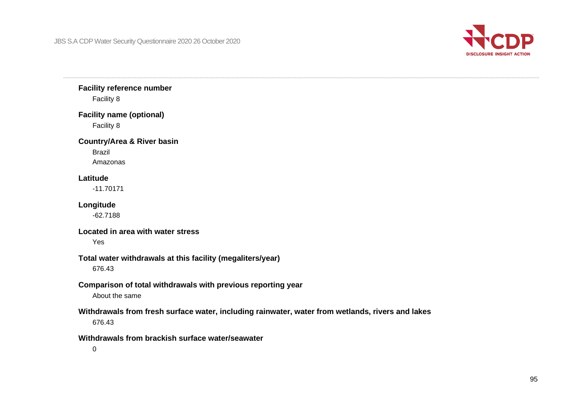

**Facility reference number** Facility 8

**Facility name (optional)** Facility 8

**Country/Area & River basin**

Brazil Amazonas

#### **Latitude**

-11.70171

#### **Longitude**

-62.7188

#### **Located in area with water stress**

Yes

#### **Total water withdrawals at this facility (megaliters/year)**

676.43

## **Comparison of total withdrawals with previous reporting year**

About the same

### **Withdrawals from fresh surface water, including rainwater, water from wetlands, rivers and lakes**

676.43

## **Withdrawals from brackish surface water/seawater**

 $\Omega$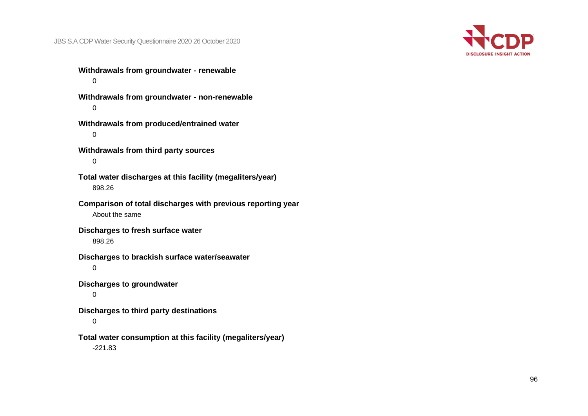

**Withdrawals from groundwater - renewable**  $\Omega$ 

**Withdrawals from groundwater - non-renewable**  $\Omega$ 

**Withdrawals from produced/entrained water** 0

**Withdrawals from third party sources**  $\Omega$ 

**Total water discharges at this facility (megaliters/year)** 898.26

**Comparison of total discharges with previous reporting year** About the same

**Discharges to fresh surface water** 898.26

**Discharges to brackish surface water/seawater**

0

**Discharges to groundwater**

0

**Discharges to third party destinations**

0

**Total water consumption at this facility (megaliters/year)**

-221.83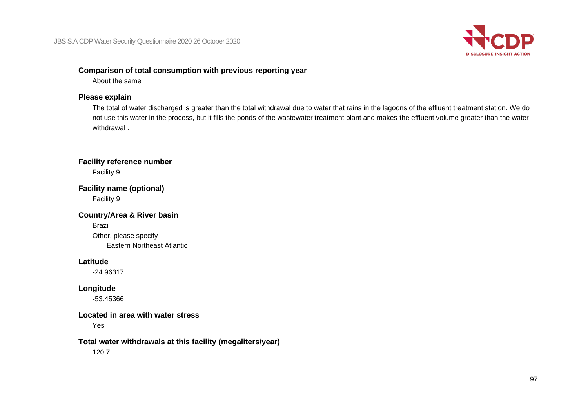

## **Comparison of total consumption with previous reporting year**

About the same

## **Please explain**

The total of water discharged is greater than the total withdrawal due to water that rains in the lagoons of the effluent treatment station. We do not use this water in the process, but it fills the ponds of the wastewater treatment plant and makes the effluent volume greater than the water withdrawal .

## **Facility reference number** Facility 9

**Facility name (optional)** Facility 9

**Country/Area & River basin** Brazil Other, please specify Eastern Northeast Atlantic

#### **Latitude**

-24.96317

## **Longitude**

-53.45366

### **Located in area with water stress**

Yes

## **Total water withdrawals at this facility (megaliters/year)**

120.7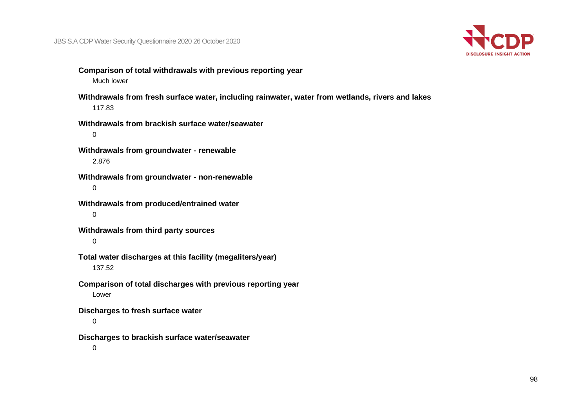

- **Comparison of total withdrawals with previous reporting year** Much lower
- **Withdrawals from fresh surface water, including rainwater, water from wetlands, rivers and lakes** 117.83
- **Withdrawals from brackish surface water/seawater** 0
- **Withdrawals from groundwater - renewable** 2.876
- **Withdrawals from groundwater - non-renewable** 0
- **Withdrawals from produced/entrained water** 0
- **Withdrawals from third party sources**

#### $\Omega$

**Total water discharges at this facility (megaliters/year)**

#### 137.52

- **Comparison of total discharges with previous reporting year** Lower
- **Discharges to fresh surface water**
	- 0
- **Discharges to brackish surface water/seawater**
	- $\Omega$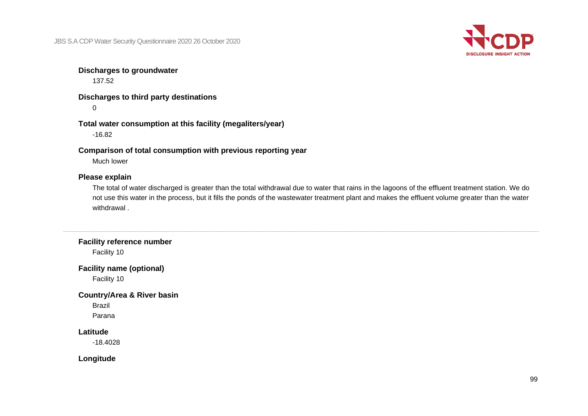

#### **Discharges to groundwater**

137.52

**Discharges to third party destinations**  $\Omega$ 

**Total water consumption at this facility (megaliters/year)** -16.82

**Comparison of total consumption with previous reporting year**

Much lower

#### **Please explain**

The total of water discharged is greater than the total withdrawal due to water that rains in the lagoons of the effluent treatment station. We do not use this water in the process, but it fills the ponds of the wastewater treatment plant and makes the effluent volume greater than the water withdrawal .

**Facility reference number**

Facility 10

**Facility name (optional)**

Facility 10

**Country/Area & River basin**

Brazil Parana

#### **Latitude**

-18.4028

**Longitude**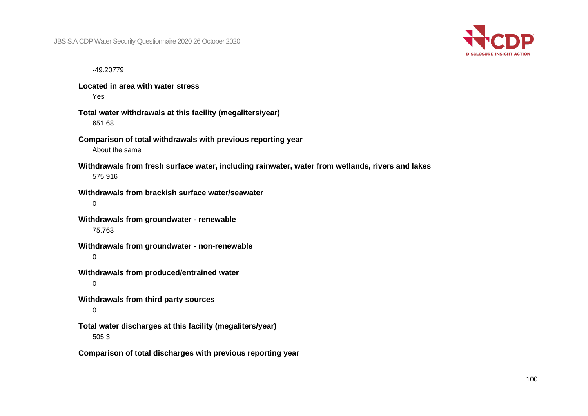

-49.20779

**Located in area with water stress** Yes

- **Total water withdrawals at this facility (megaliters/year)** 651.68
- **Comparison of total withdrawals with previous reporting year** About the same
- **Withdrawals from fresh surface water, including rainwater, water from wetlands, rivers and lakes** 575.916
- **Withdrawals from brackish surface water/seawater** 0
- **Withdrawals from groundwater - renewable** 75.763
- **Withdrawals from groundwater - non-renewable** 0
- **Withdrawals from produced/entrained water**
	- $\Omega$
- **Withdrawals from third party sources**

#### 0

**Total water discharges at this facility (megaliters/year)** 505.3

**Comparison of total discharges with previous reporting year**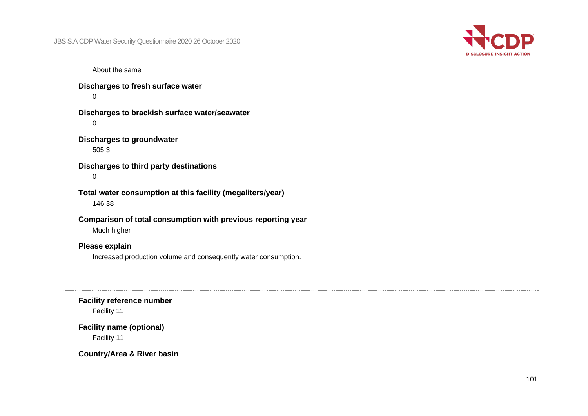

About the same

**Discharges to fresh surface water**  $\Omega$ 

**Discharges to brackish surface water/seawater**  $\Omega$ 

**Discharges to groundwater** 505.3

**Discharges to third party destinations** 0

**Total water consumption at this facility (megaliters/year)** 146.38

**Comparison of total consumption with previous reporting year** Much higher

**Please explain**

Increased production volume and consequently water consumption.

**Facility reference number**

Facility 11

**Facility name (optional)** Facility 11

**Country/Area & River basin**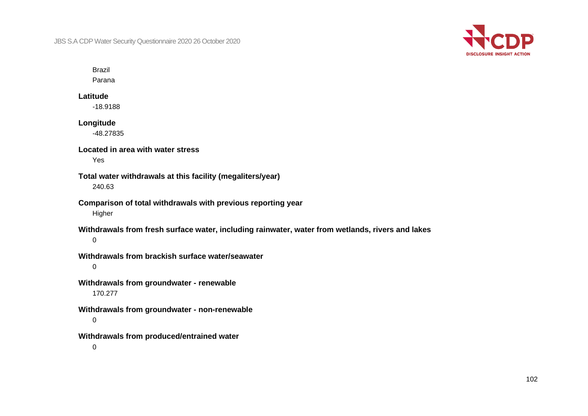

## Brazil

Parana

#### **Latitude**

-18.9188

#### **Longitude**

-48.27835

# **Located in area with water stress**

Yes

### **Total water withdrawals at this facility (megaliters/year)** 240.63

## **Comparison of total withdrawals with previous reporting year** Higher

## **Withdrawals from fresh surface water, including rainwater, water from wetlands, rivers and lakes**

 $\Omega$ 

## **Withdrawals from brackish surface water/seawater**

0

## **Withdrawals from groundwater - renewable** 170.277

## **Withdrawals from groundwater - non-renewable** 0

## **Withdrawals from produced/entrained water**

 $\Omega$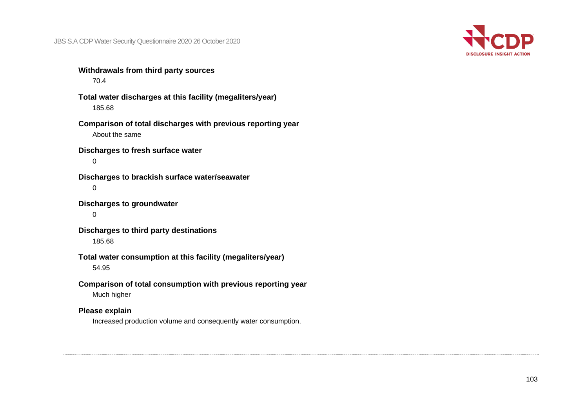

**Withdrawals from third party sources** 70.4

**Total water discharges at this facility (megaliters/year)** 185.68

**Comparison of total discharges with previous reporting year** About the same

**Discharges to fresh surface water**  $\Omega$ 

**Discharges to brackish surface water/seawater**  $\Omega$ 

**Discharges to groundwater**

0

**Discharges to third party destinations** 185.68

**Total water consumption at this facility (megaliters/year)**

54.95

**Comparison of total consumption with previous reporting year**

Much higher

## **Please explain**

Increased production volume and consequently water consumption.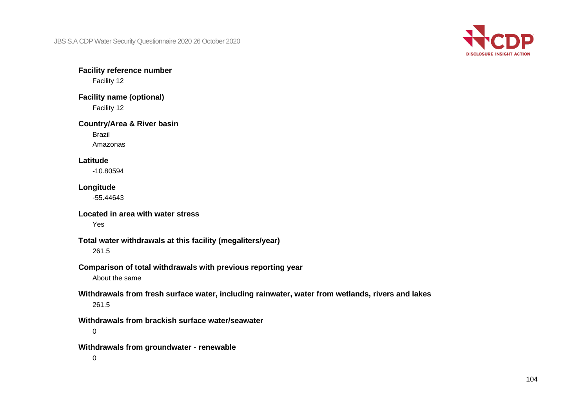

**Facility reference number**

Facility 12

**Facility name (optional)** Facility 12

#### **Country/Area & River basin**

Brazil

Amazonas

## **Latitude**

-10.80594

## **Longitude**

-55.44643

## **Located in area with water stress**

Yes

## **Total water withdrawals at this facility (megaliters/year)**

261.5

## **Comparison of total withdrawals with previous reporting year**

About the same

# **Withdrawals from fresh surface water, including rainwater, water from wetlands, rivers and lakes**

261.5

#### **Withdrawals from brackish surface water/seawater**

0

#### **Withdrawals from groundwater - renewable**

0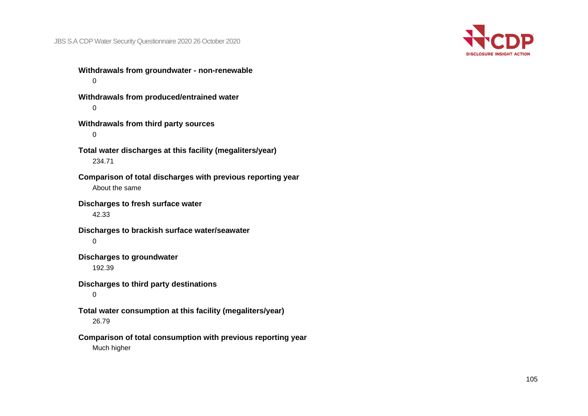

**Withdrawals from groundwater - non-renewable**  $\Omega$ 

**Withdrawals from produced/entrained water**  $\Omega$ 

**Withdrawals from third party sources** 0

**Total water discharges at this facility (megaliters/year)** 234.71

**Comparison of total discharges with previous reporting year** About the same

**Discharges to fresh surface water**

42.33

**Discharges to brackish surface water/seawater**  $\Omega$ 

**Discharges to groundwater**

192.39

**Discharges to third party destinations**

0

**Total water consumption at this facility (megaliters/year)**

26.79

**Comparison of total consumption with previous reporting year** Much higher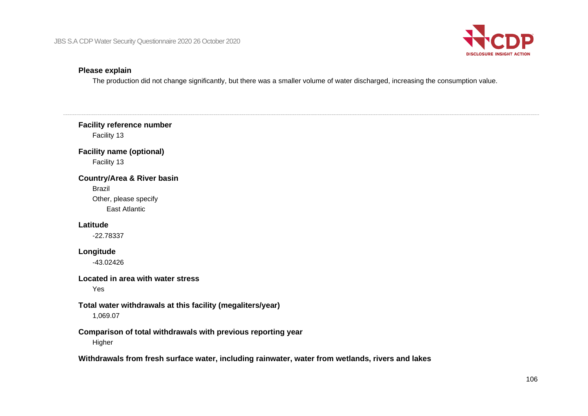

#### **Please explain**

The production did not change significantly, but there was a smaller volume of water discharged, increasing the consumption value.

**Facility reference number** Facility 13 **Facility name (optional)** Facility 13 **Country/Area & River basin** Brazil Other, please specify East Atlantic **Latitude** -22.78337 **Longitude** -43.02426 **Located in area with water stress** Yes **Total water withdrawals at this facility (megaliters/year)** 1,069.07 **Comparison of total withdrawals with previous reporting year** Higher **Withdrawals from fresh surface water, including rainwater, water from wetlands, rivers and lakes**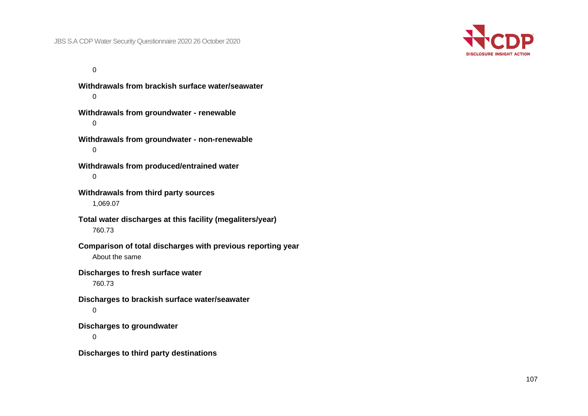

 $\Omega$ 

**Withdrawals from brackish surface water/seawater**  $\Omega$ **Withdrawals from groundwater - renewable**  $\Omega$ **Withdrawals from groundwater - non-renewable** 0 **Withdrawals from produced/entrained water** 0 **Withdrawals from third party sources** 1,069.07 **Total water discharges at this facility (megaliters/year)** 760.73 **Comparison of total discharges with previous reporting year** About the same **Discharges to fresh surface water** 760.73 **Discharges to brackish surface water/seawater** 0 **Discharges to groundwater**  $\Omega$ **Discharges to third party destinations**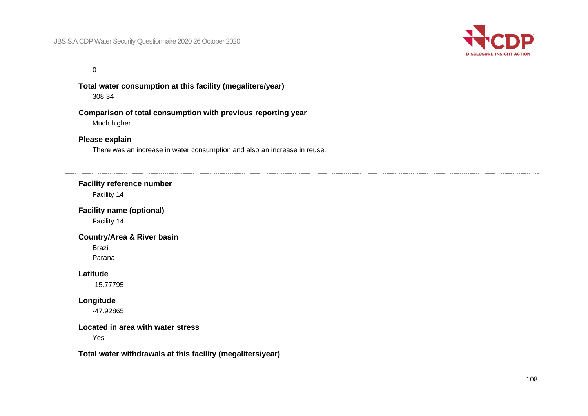

 $\Omega$ 

**Total water consumption at this facility (megaliters/year)** 308.34

**Comparison of total consumption with previous reporting year** Much higher

#### **Please explain**

There was an increase in water consumption and also an increase in reuse.

#### **Facility reference number**

Facility 14

**Facility name (optional)**

Facility 14

#### **Country/Area & River basin**

Brazil

Parana

#### **Latitude**

-15.77795

#### **Longitude**

-47.92865

#### **Located in area with water stress**

Yes

**Total water withdrawals at this facility (megaliters/year)**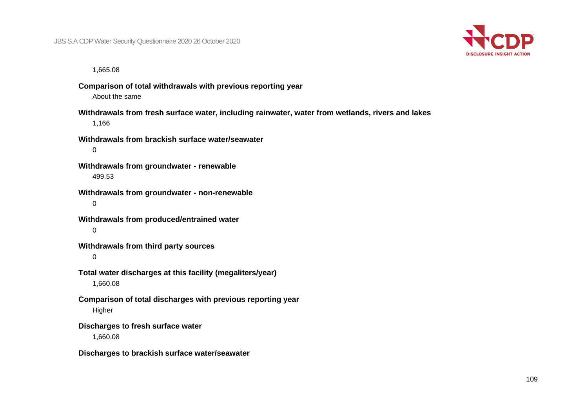

1,665.08

**Comparison of total withdrawals with previous reporting year** About the same

**Withdrawals from fresh surface water, including rainwater, water from wetlands, rivers and lakes** 1,166

**Withdrawals from brackish surface water/seawater**  $\Omega$ 

**Withdrawals from groundwater - renewable** 499.53

**Withdrawals from groundwater - non-renewable** 0

**Withdrawals from produced/entrained water**  $\Omega$ 

**Withdrawals from third party sources**

0

**Total water discharges at this facility (megaliters/year)** 1,660.08

**Comparison of total discharges with previous reporting year** Higher

**Discharges to fresh surface water**

1,660.08

**Discharges to brackish surface water/seawater**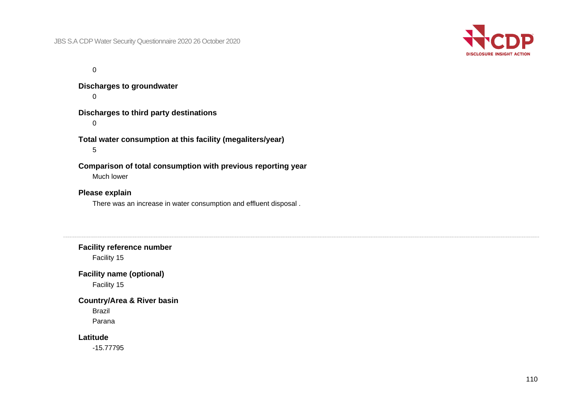

 $\Omega$ 

**Discharges to groundwater**  $\Omega$ 

**Discharges to third party destinations**

 $\Omega$ 

**Total water consumption at this facility (megaliters/year)** 5

**Comparison of total consumption with previous reporting year**

Much lower

**Please explain**

There was an increase in water consumption and effluent disposal .

**Facility reference number**

Facility 15

**Facility name (optional)**

Facility 15

**Country/Area & River basin**

Brazil

Parana

## **Latitude**

-15.77795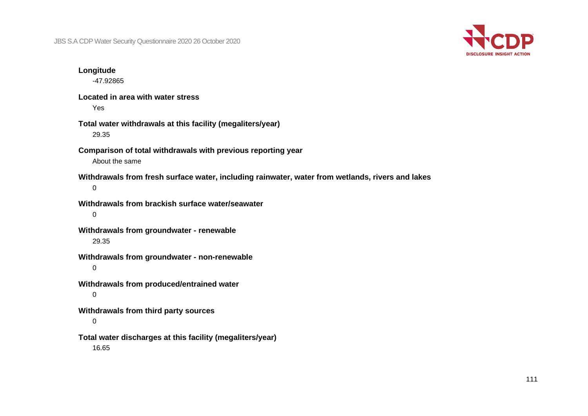

#### **Longitude**

-47.92865

**Located in area with water stress** Yes

- **Total water withdrawals at this facility (megaliters/year)** 29.35
- **Comparison of total withdrawals with previous reporting year** About the same
- **Withdrawals from fresh surface water, including rainwater, water from wetlands, rivers and lakes** 0
- **Withdrawals from brackish surface water/seawater** 0
- **Withdrawals from groundwater - renewable** 29.35
- **Withdrawals from groundwater - non-renewable**
	- 0
- **Withdrawals from produced/entrained water** 0
- **Withdrawals from third party sources**
	- 0
- **Total water discharges at this facility (megaliters/year)** 16.65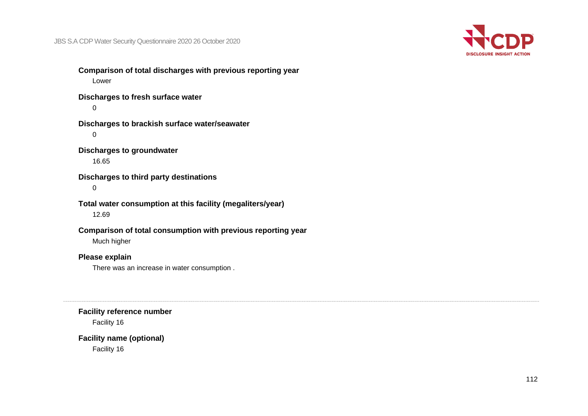

**Comparison of total discharges with previous reporting year** Lower **Discharges to fresh surface water**  $\Omega$ **Discharges to brackish surface water/seawater** 0

**Discharges to groundwater** 16.65

**Discharges to third party destinations**

0

**Total water consumption at this facility (megaliters/year)** 12.69

**Comparison of total consumption with previous reporting year** Much higher

## **Please explain**

There was an increase in water consumption .

**Facility reference number**

Facility 16

**Facility name (optional)** Facility 16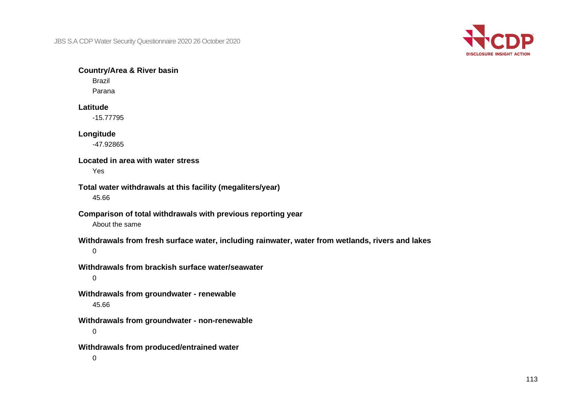

#### **Country/Area & River basin**

Brazil Parana

#### **Latitude**

-15.77795

#### **Longitude**

-47.92865

#### **Located in area with water stress**

Yes

## **Total water withdrawals at this facility (megaliters/year)**

45.66

## **Comparison of total withdrawals with previous reporting year**

About the same

#### **Withdrawals from fresh surface water, including rainwater, water from wetlands, rivers and lakes**

0

## **Withdrawals from brackish surface water/seawater**

 $\Omega$ 

#### **Withdrawals from groundwater - renewable** 45.66

**Withdrawals from groundwater - non-renewable**

0

**Withdrawals from produced/entrained water**

 $\Omega$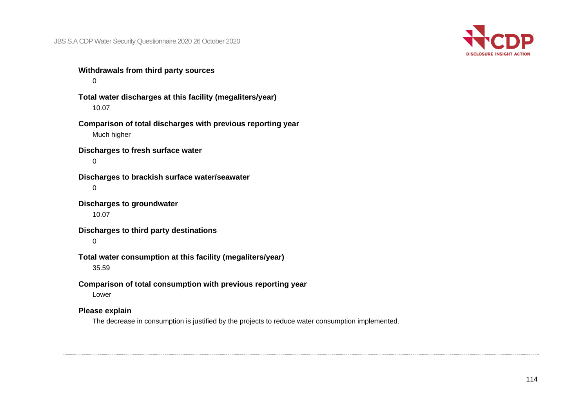

**Withdrawals from third party sources**

 $\Omega$ 

**Total water discharges at this facility (megaliters/year)** 10.07

**Comparison of total discharges with previous reporting year** Much higher

**Discharges to fresh surface water**  $\Omega$ 

**Discharges to brackish surface water/seawater**  $\Omega$ 

**Discharges to groundwater** 10.07

**Discharges to third party destinations**

 $\Omega$ 

**Total water consumption at this facility (megaliters/year)**

35.59

**Comparison of total consumption with previous reporting year**

Lower

## **Please explain**

The decrease in consumption is justified by the projects to reduce water consumption implemented.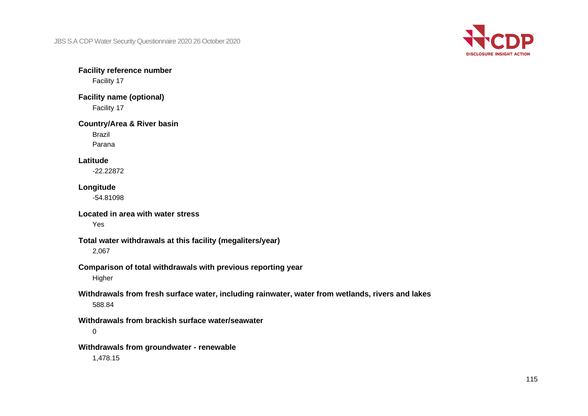

**Facility reference number**

Facility 17

**Facility name (optional)** Facility 17

#### **Country/Area & River basin**

Brazil

Parana

#### **Latitude**

-22.22872

## **Longitude**

-54.81098

## **Located in area with water stress**

Yes

## **Total water withdrawals at this facility (megaliters/year)**

2,067

#### **Comparison of total withdrawals with previous reporting year**

Higher

## **Withdrawals from fresh surface water, including rainwater, water from wetlands, rivers and lakes** 588.84

**Withdrawals from brackish surface water/seawater**

0

**Withdrawals from groundwater - renewable**

1,478.15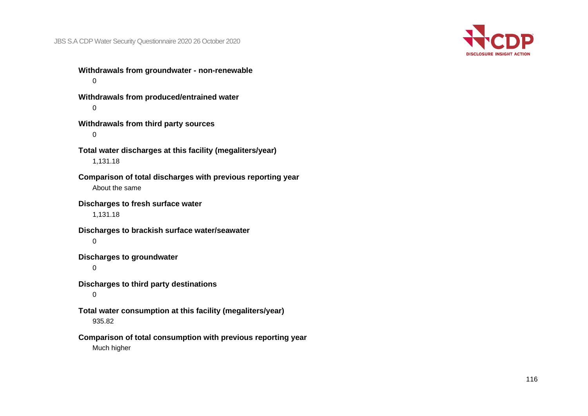

**Withdrawals from groundwater - non-renewable**  $\Omega$ 

**Withdrawals from produced/entrained water**  $\Omega$ 

**Withdrawals from third party sources** 0

**Total water discharges at this facility (megaliters/year)** 1,131.18

**Comparison of total discharges with previous reporting year** About the same

**Discharges to fresh surface water**

1,131.18

**Discharges to brackish surface water/seawater**  $\Omega$ 

**Discharges to groundwater**

0

**Discharges to third party destinations**

0

**Total water consumption at this facility (megaliters/year)** 935.82

**Comparison of total consumption with previous reporting year** Much higher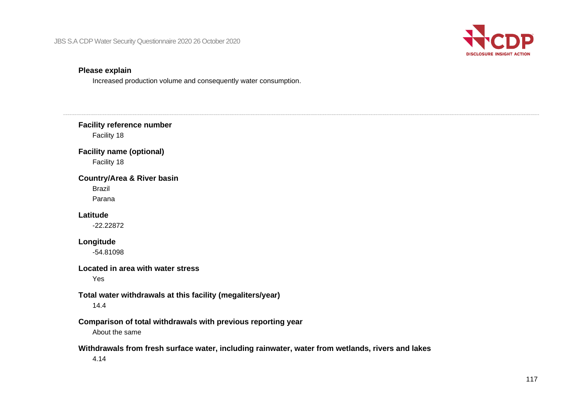

## **Please explain**

 $\cdots$ 

Increased production volume and consequently water consumption.

| <b>Facility reference number</b><br>Facility 18                                                          |
|----------------------------------------------------------------------------------------------------------|
| <b>Facility name (optional)</b><br>Facility 18                                                           |
| <b>Country/Area &amp; River basin</b><br><b>Brazil</b><br>Parana                                         |
| Latitude<br>$-22.22872$                                                                                  |
| Longitude<br>$-54.81098$                                                                                 |
| Located in area with water stress<br>Yes                                                                 |
| Total water withdrawals at this facility (megaliters/year)<br>14.4                                       |
| Comparison of total withdrawals with previous reporting year<br>About the same                           |
| Withdrawals from fresh surface water, including rainwater, water from wetlands, rivers and lakes<br>4.14 |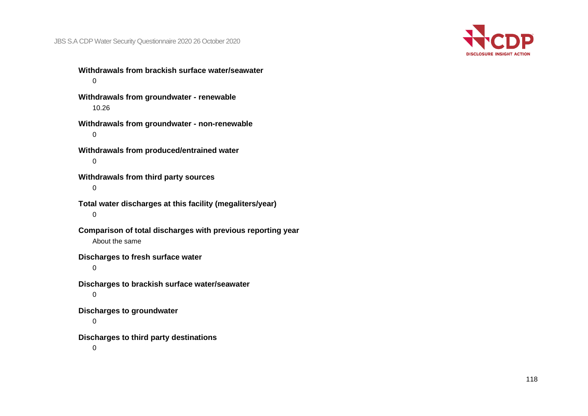

**Withdrawals from brackish surface water/seawater**  $\Omega$ 

**Withdrawals from groundwater - renewable** 10.26

**Withdrawals from groundwater - non-renewable** 0

**Withdrawals from produced/entrained water**  $\Omega$ 

**Withdrawals from third party sources** 0

**Total water discharges at this facility (megaliters/year)** 0

**Comparison of total discharges with previous reporting year** About the same

**Discharges to fresh surface water**

0

**Discharges to brackish surface water/seawater** 0

**Discharges to groundwater**

 $\Omega$ 

**Discharges to third party destinations**

 $\Omega$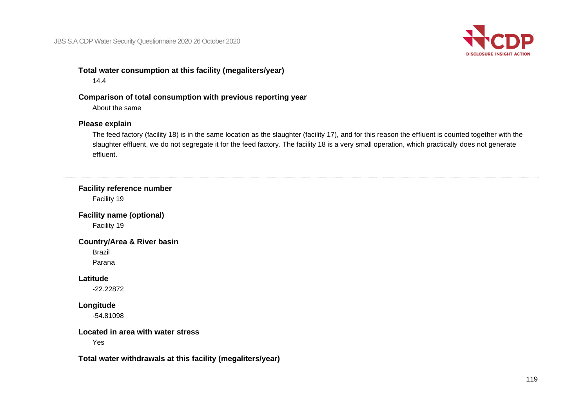

## **Total water consumption at this facility (megaliters/year)**

#### 14.4

## **Comparison of total consumption with previous reporting year**

About the same

## **Please explain**

The feed factory (facility 18) is in the same location as the slaughter (facility 17), and for this reason the effluent is counted together with the slaughter effluent, we do not segregate it for the feed factory. The facility 18 is a very small operation, which practically does not generate effluent.

| <b>Facility reference number</b><br>Facility 19            |  |
|------------------------------------------------------------|--|
| <b>Facility name (optional)</b>                            |  |
| Facility 19                                                |  |
| <b>Country/Area &amp; River basin</b>                      |  |
| <b>Brazil</b>                                              |  |
| Parana                                                     |  |
| Latitude                                                   |  |
| $-22.22872$                                                |  |
| Longitude                                                  |  |
| $-54.81098$                                                |  |
| Located in area with water stress                          |  |
| Yes                                                        |  |
| Total water withdrawals at this facility (megaliters/year) |  |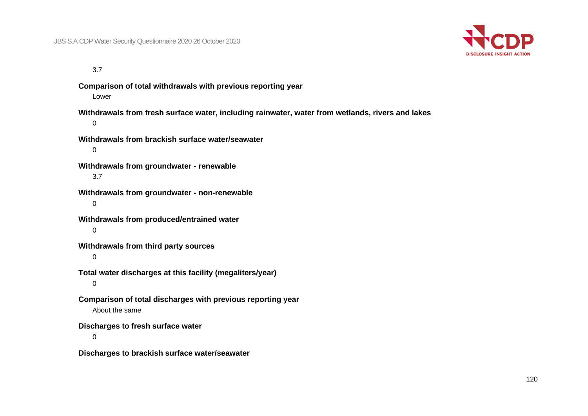

3.7

**Comparison of total withdrawals with previous reporting year** Lower **Withdrawals from fresh surface water, including rainwater, water from wetlands, rivers and lakes**  $\Omega$ **Withdrawals from brackish surface water/seawater**  $\Omega$ 

**Withdrawals from groundwater - renewable** 3.7

**Withdrawals from groundwater - non-renewable** 0

**Withdrawals from produced/entrained water**  $\Omega$ 

**Withdrawals from third party sources**

0

**Total water discharges at this facility (megaliters/year)**  $\Omega$ 

**Comparison of total discharges with previous reporting year** About the same

**Discharges to fresh surface water**

 $\Omega$ 

**Discharges to brackish surface water/seawater**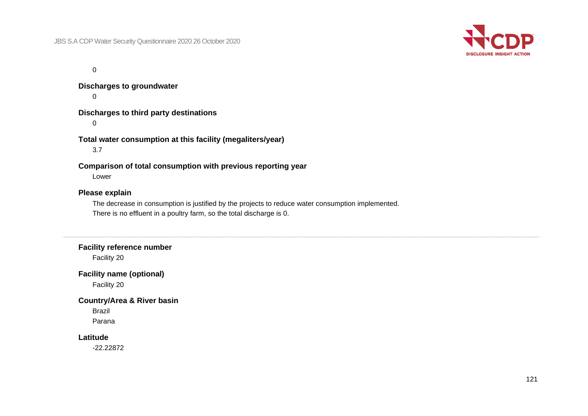

 $\Omega$ 

**Discharges to groundwater**

 $\Omega$ 

**Discharges to third party destinations**

 $\Omega$ 

**Total water consumption at this facility (megaliters/year)**

3.7

**Comparison of total consumption with previous reporting year**

Lower

#### **Please explain**

The decrease in consumption is justified by the projects to reduce water consumption implemented. There is no effluent in a poultry farm, so the total discharge is 0.

#### **Facility reference number**

Facility 20

#### **Facility name (optional)**

Facility 20

#### **Country/Area & River basin**

Brazil

Parana

#### **Latitude**

-22.22872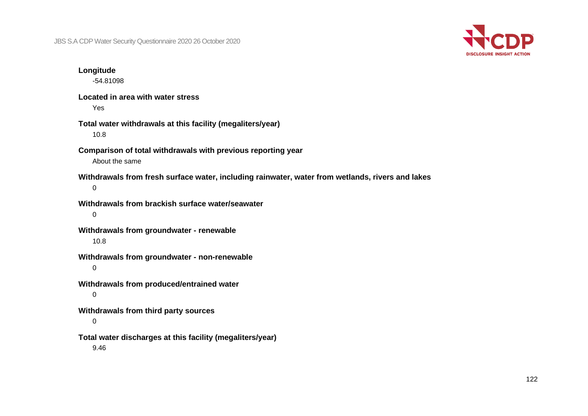

**Longitude** -54.81098 **Located in area with water stress** Yes **Total water withdrawals at this facility (megaliters/year)** 10.8 **Comparison of total withdrawals with previous reporting year** About the same **Withdrawals from fresh surface water, including rainwater, water from wetlands, rivers and lakes** 0 **Withdrawals from brackish surface water/seawater** 0 **Withdrawals from groundwater - renewable** 10.8 **Withdrawals from groundwater - non-renewable** 0 **Withdrawals from produced/entrained water** 0 **Withdrawals from third party sources** 0 **Total water discharges at this facility (megaliters/year)** 9.46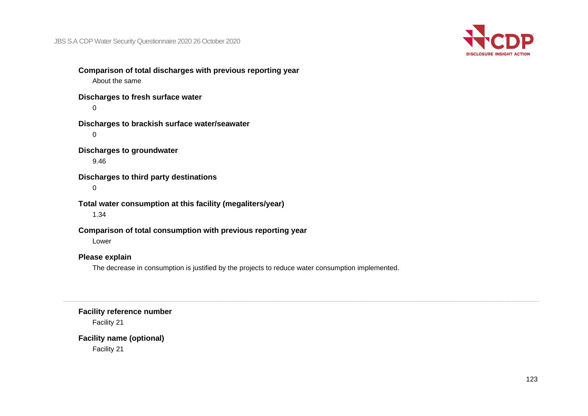

**Comparison of total discharges with previous reporting year** About the same **Discharges to fresh surface water**  $\Omega$ **Discharges to brackish surface water/seawater** 0 **Discharges to groundwater** 9.46 **Discharges to third party destinations** 0 **Total water consumption at this facility (megaliters/year)** 1.34 **Comparison of total consumption with previous reporting year** Lower **Please explain**

The decrease in consumption is justified by the projects to reduce water consumption implemented.

**Facility reference number**

Facility 21

**Facility name (optional)** Facility 21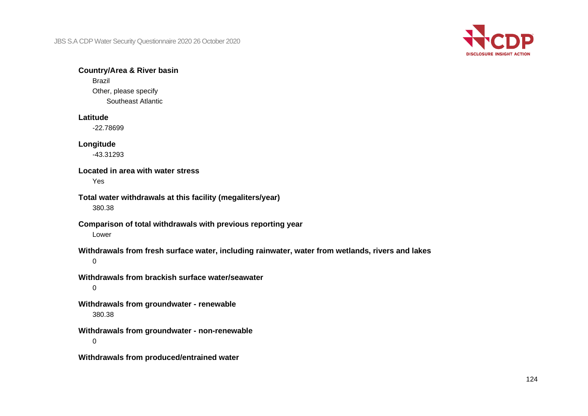

#### **Country/Area & River basin**

Brazil Other, please specify Southeast Atlantic

#### **Latitude**

-22.78699

#### **Longitude**

-43.31293

#### **Located in area with water stress**

Yes

#### **Total water withdrawals at this facility (megaliters/year)**

380.38

# **Comparison of total withdrawals with previous reporting year**

Lower

# **Withdrawals from fresh surface water, including rainwater, water from wetlands, rivers and lakes**

 $\Omega$ 

# **Withdrawals from brackish surface water/seawater**

0

## **Withdrawals from groundwater - renewable** 380.38

**Withdrawals from groundwater - non-renewable**  $\Omega$ 

**Withdrawals from produced/entrained water**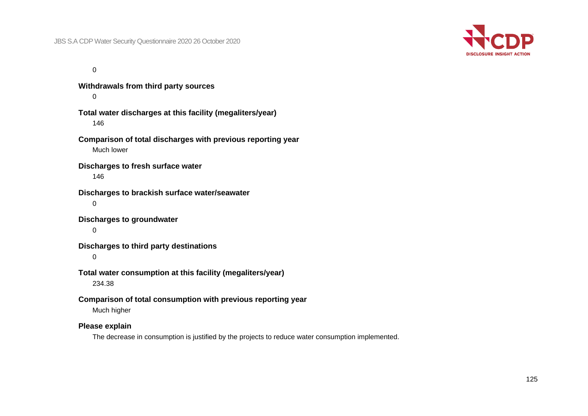

 $\Omega$ 

**Withdrawals from third party sources**  $\Omega$ **Total water discharges at this facility (megaliters/year)** 146 **Comparison of total discharges with previous reporting year** Much lower **Discharges to fresh surface water** 146 **Discharges to brackish surface water/seawater** 0 **Discharges to groundwater**  $\Omega$ **Discharges to third party destinations** 0 **Total water consumption at this facility (megaliters/year)** 234.38 **Comparison of total consumption with previous reporting year** Much higher **Please explain** The decrease in consumption is justified by the projects to reduce water consumption implemented.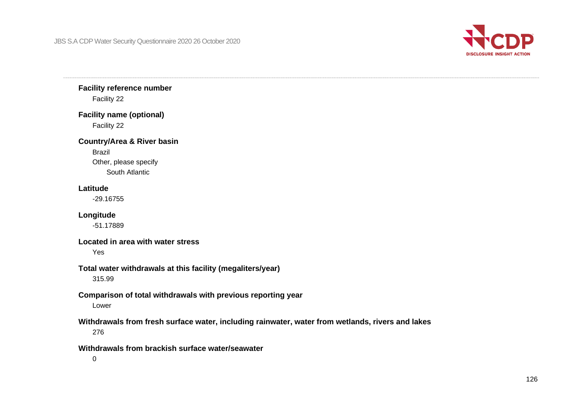

**Facility reference number** Facility 22

**Facility name (optional)** Facility 22

**Country/Area & River basin** Brazil

> Other, please specify South Atlantic

#### **Latitude**

-29.16755

**Longitude**

-51.17889

**Located in area with water stress**

Yes

## **Total water withdrawals at this facility (megaliters/year)**

315.99

#### **Comparison of total withdrawals with previous reporting year** Lower

**Withdrawals from fresh surface water, including rainwater, water from wetlands, rivers and lakes** 276

**Withdrawals from brackish surface water/seawater**

 $\Omega$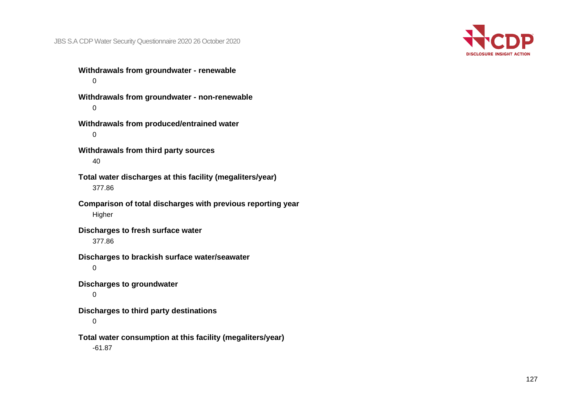

**Withdrawals from groundwater - renewable**  $\Omega$ 

**Withdrawals from groundwater - non-renewable**  $\Omega$ 

**Withdrawals from produced/entrained water** 0

**Withdrawals from third party sources** 40

**Total water discharges at this facility (megaliters/year)** 377.86

**Comparison of total discharges with previous reporting year** Higher

**Discharges to fresh surface water** 377.86

**Discharges to brackish surface water/seawater**

0

**Discharges to groundwater**

0

**Discharges to third party destinations**

0

**Total water consumption at this facility (megaliters/year)**

-61.87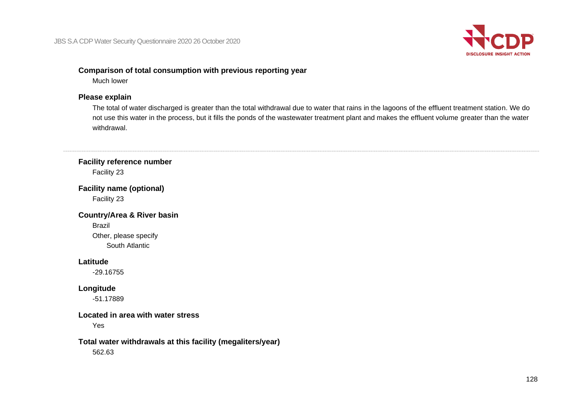

## **Comparison of total consumption with previous reporting year**

Much lower

## **Please explain**

The total of water discharged is greater than the total withdrawal due to water that rains in the lagoons of the effluent treatment station. We do not use this water in the process, but it fills the ponds of the wastewater treatment plant and makes the effluent volume greater than the water withdrawal.

## **Facility reference number** Facility 23

**Facility name (optional)** Facility 23

**Country/Area & River basin** Brazil Other, please specify South Atlantic

#### **Latitude**

-29.16755

## **Longitude**

-51.17889

#### **Located in area with water stress**

Yes

#### **Total water withdrawals at this facility (megaliters/year)** 562.63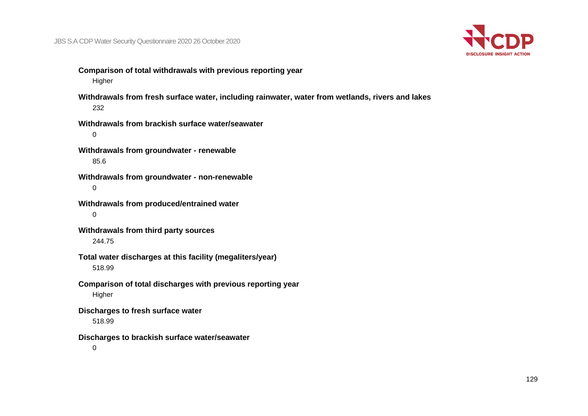

- **Comparison of total withdrawals with previous reporting year** Higher
- **Withdrawals from fresh surface water, including rainwater, water from wetlands, rivers and lakes** 232
- **Withdrawals from brackish surface water/seawater** 0
- **Withdrawals from groundwater - renewable** 85.6
- **Withdrawals from groundwater - non-renewable** 0
- **Withdrawals from produced/entrained water** 0
- **Withdrawals from third party sources** 244.75
- **Total water discharges at this facility (megaliters/year)** 518.99
- **Comparison of total discharges with previous reporting year** Higher
- **Discharges to fresh surface water**
	- 518.99
- **Discharges to brackish surface water/seawater**
	- $\Omega$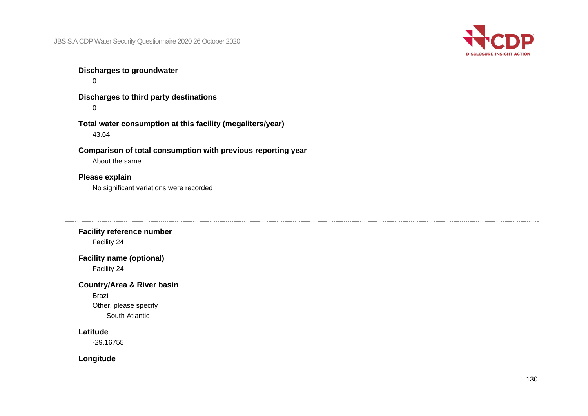

## **Discharges to groundwater**

 $\Omega$ 

**Discharges to third party destinations**  $\Omega$ 

**Total water consumption at this facility (megaliters/year)** 43.64

**Comparison of total consumption with previous reporting year**

About the same

## **Please explain**

No significant variations were recorded

## **Facility reference number** Facility 24

## **Facility name (optional)**

Facility 24

## **Country/Area & River basin**

Brazil Other, please specify South Atlantic

#### **Latitude**

-29.16755

**Longitude**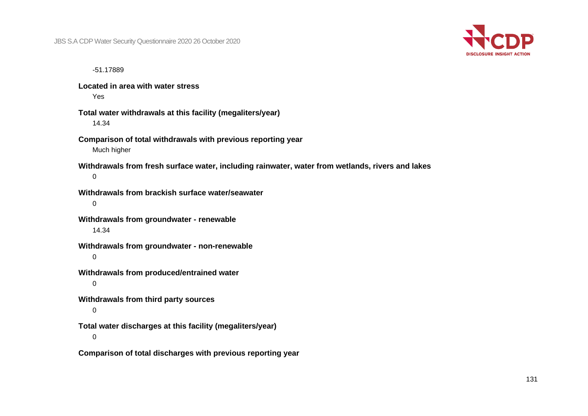

-51.17889

**Located in area with water stress** Yes

- **Total water withdrawals at this facility (megaliters/year)** 14.34
- **Comparison of total withdrawals with previous reporting year** Much higher
- **Withdrawals from fresh surface water, including rainwater, water from wetlands, rivers and lakes** 0
- **Withdrawals from brackish surface water/seawater** 0
- **Withdrawals from groundwater - renewable** 14.34
- **Withdrawals from groundwater - non-renewable** 0
- **Withdrawals from produced/entrained water**
	- $\Omega$
- **Withdrawals from third party sources**
	- 0
- **Total water discharges at this facility (megaliters/year)**
	- $\Omega$
- **Comparison of total discharges with previous reporting year**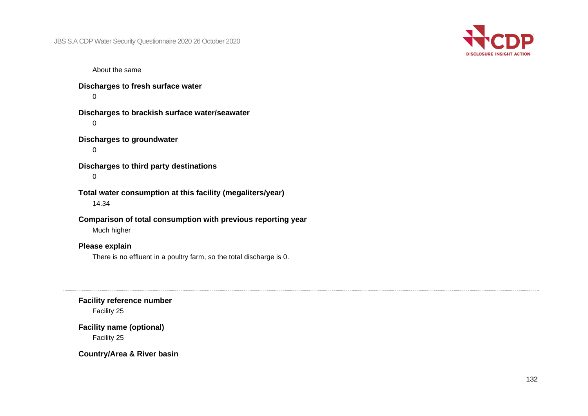

About the same

**Discharges to fresh surface water**  $\Omega$ 

**Discharges to brackish surface water/seawater**  $\Omega$ 

```
Discharges to groundwater
```
 $\Omega$ 

**Discharges to third party destinations** 0

**Total water consumption at this facility (megaliters/year)** 14.34

**Comparison of total consumption with previous reporting year** Much higher

## **Please explain**

There is no effluent in a poultry farm, so the total discharge is 0.

**Facility reference number**

Facility 25

**Facility name (optional)** Facility 25

**Country/Area & River basin**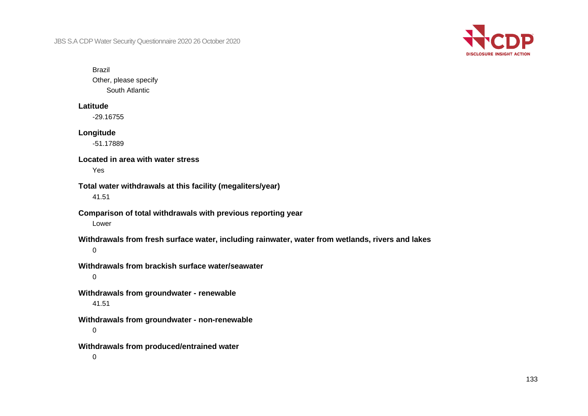

Brazil

Other, please specify South Atlantic

#### **Latitude**

-29.16755

#### **Longitude**

-51.17889

## **Located in area with water stress**

Yes

## **Total water withdrawals at this facility (megaliters/year)**

41.51

#### **Comparison of total withdrawals with previous reporting year** Lower

**Withdrawals from fresh surface water, including rainwater, water from wetlands, rivers and lakes**

0

## **Withdrawals from brackish surface water/seawater**

0

**Withdrawals from groundwater - renewable** 41.51

**Withdrawals from groundwater - non-renewable**

0

**Withdrawals from produced/entrained water**

0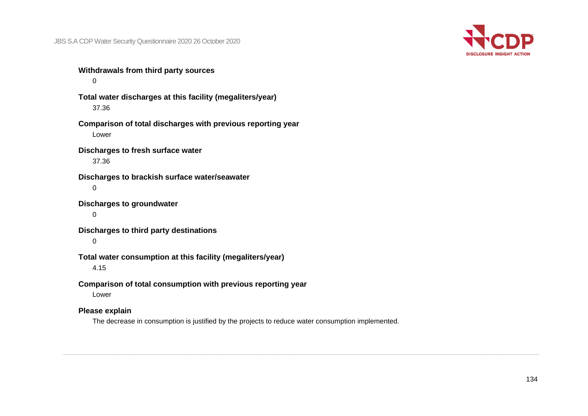

**Withdrawals from third party sources**  $\Omega$ 

**Total water discharges at this facility (megaliters/year)** 37.36

**Comparison of total discharges with previous reporting year** Lower

**Discharges to fresh surface water** 37.36

**Discharges to brackish surface water/seawater**  $\Omega$ 

**Discharges to groundwater**

0

**Discharges to third party destinations**

 $\Omega$ 

**Total water consumption at this facility (megaliters/year)**

4.15

**Comparison of total consumption with previous reporting year**

Lower

#### **Please explain**

The decrease in consumption is justified by the projects to reduce water consumption implemented.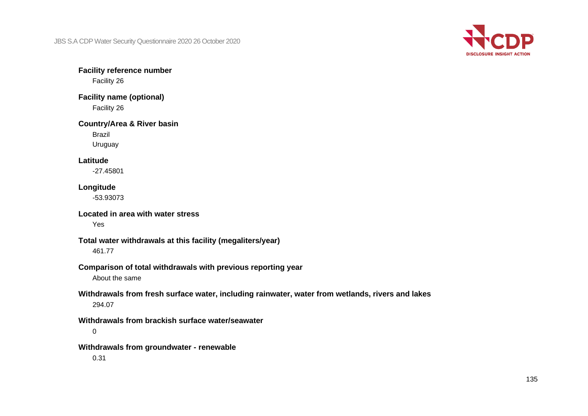

**Facility reference number** Facility 26

**Facility name (optional)** Facility 26

#### **Country/Area & River basin**

Brazil

Uruguay

#### **Latitude**

-27.45801

#### **Longitude**

-53.93073

#### **Located in area with water stress**

Yes

#### **Total water withdrawals at this facility (megaliters/year)**

461.77

#### **Comparison of total withdrawals with previous reporting year**

About the same

#### **Withdrawals from fresh surface water, including rainwater, water from wetlands, rivers and lakes** 294.07

**Withdrawals from brackish surface water/seawater**

0

#### **Withdrawals from groundwater - renewable**

0.31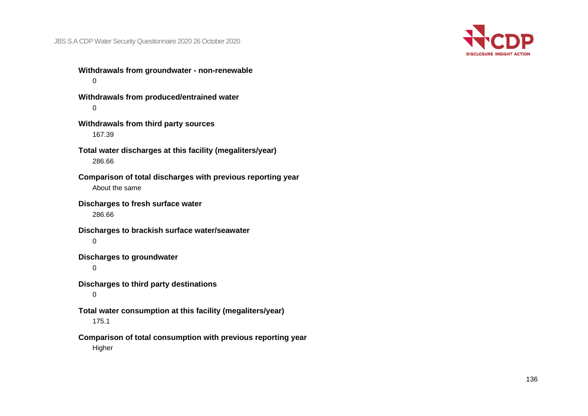

**Withdrawals from groundwater - non-renewable**  $\Omega$ 

**Withdrawals from produced/entrained water**  $\Omega$ 

**Withdrawals from third party sources** 167.39

**Total water discharges at this facility (megaliters/year)** 286.66

**Comparison of total discharges with previous reporting year** About the same

**Discharges to fresh surface water**

286.66

**Discharges to brackish surface water/seawater**  $\Omega$ 

**Discharges to groundwater**

0

**Discharges to third party destinations**

0

**Total water consumption at this facility (megaliters/year)**

175.1

**Comparison of total consumption with previous reporting year**

Higher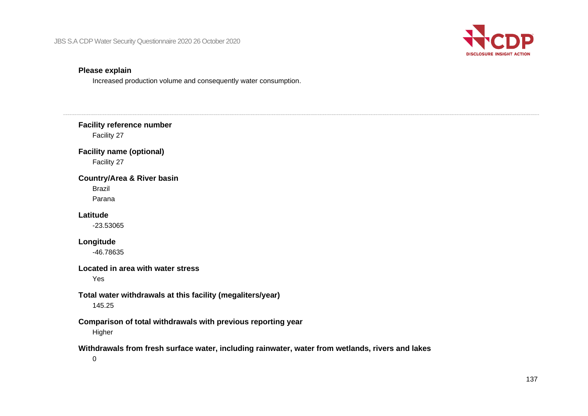

## **Please explain**

Increased production volume and consequently water consumption.

| <b>Facility reference number</b><br>Facility 27                                                                 |
|-----------------------------------------------------------------------------------------------------------------|
| <b>Facility name (optional)</b><br>Facility 27                                                                  |
| <b>Country/Area &amp; River basin</b><br><b>Brazil</b><br>Parana                                                |
| Latitude<br>$-23.53065$                                                                                         |
| Longitude<br>-46.78635                                                                                          |
| Located in area with water stress<br>Yes                                                                        |
| Total water withdrawals at this facility (megaliters/year)<br>145.25                                            |
| Comparison of total withdrawals with previous reporting year<br>Higher                                          |
| Withdrawals from fresh surface water, including rainwater, water from wetlands, rivers and lakes<br>$\mathbf 0$ |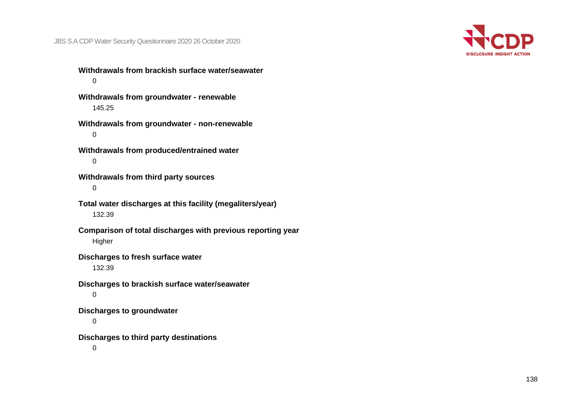

**Withdrawals from brackish surface water/seawater**  $\Omega$ 

**Withdrawals from groundwater - renewable** 145.25

**Withdrawals from groundwater - non-renewable** 0

**Withdrawals from produced/entrained water**  $\Omega$ 

**Withdrawals from third party sources** 0

**Total water discharges at this facility (megaliters/year)** 132.39

**Comparison of total discharges with previous reporting year** Higher

**Discharges to fresh surface water**

132.39

**Discharges to brackish surface water/seawater** 0

**Discharges to groundwater**

0

**Discharges to third party destinations**

 $\Omega$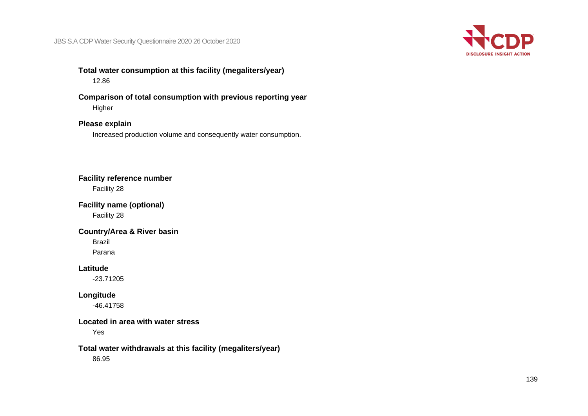

## **Total water consumption at this facility (megaliters/year)** 12.86

**Comparison of total consumption with previous reporting year** Higher

## **Please explain**

Increased production volume and consequently water consumption.

#### **Facility reference number**

Facility 28

**Facility name (optional)**

Facility 28

#### **Country/Area & River basin**

Brazil Parana

**Latitude**

-23.71205

#### **Longitude**

-46.41758

#### **Located in area with water stress**

Yes

#### **Total water withdrawals at this facility (megaliters/year)**

86.95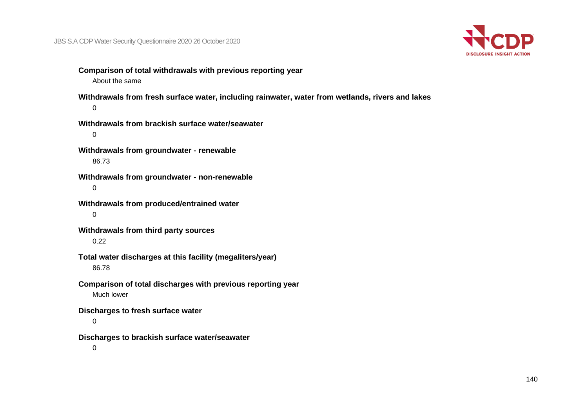

**Comparison of total withdrawals with previous reporting year** About the same

**Withdrawals from fresh surface water, including rainwater, water from wetlands, rivers and lakes**  $\Omega$ 

**Withdrawals from brackish surface water/seawater** 0

**Withdrawals from groundwater - renewable** 86.73

**Withdrawals from groundwater - non-renewable** 0

**Withdrawals from produced/entrained water** 0

**Withdrawals from third party sources** 0.22

**Total water discharges at this facility (megaliters/year)** 86.78

**Comparison of total discharges with previous reporting year** Much lower

**Discharges to fresh surface water**

0

**Discharges to brackish surface water/seawater**

 $\Omega$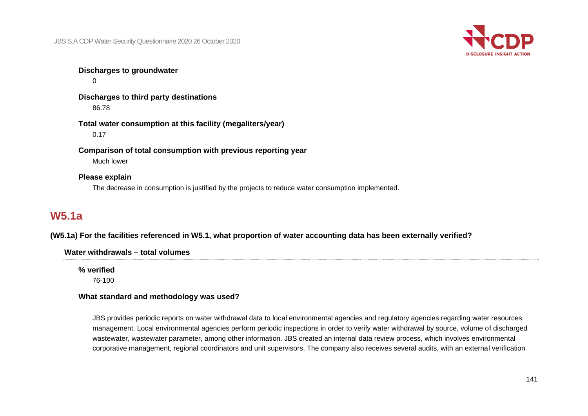

**Discharges to groundwater**  $\Omega$ 

**Discharges to third party destinations** 86.78

**Total water consumption at this facility (megaliters/year)** 0.17

**Comparison of total consumption with previous reporting year** Much lower

#### **Please explain**

The decrease in consumption is justified by the projects to reduce water consumption implemented.

# **W5.1a**

**(W5.1a) For the facilities referenced in W5.1, what proportion of water accounting data has been externally verified?**

#### **Water withdrawals – total volumes**

**% verified**

76-100

## **What standard and methodology was used?**

JBS provides periodic reports on water withdrawal data to local environmental agencies and regulatory agencies regarding water resources management. Local environmental agencies perform periodic inspections in order to verify water withdrawal by source, volume of discharged wastewater, wastewater parameter, among other information. JBS created an internal data review process, which involves environmental corporative management, regional coordinators and unit supervisors. The company also receives several audits, with an external verification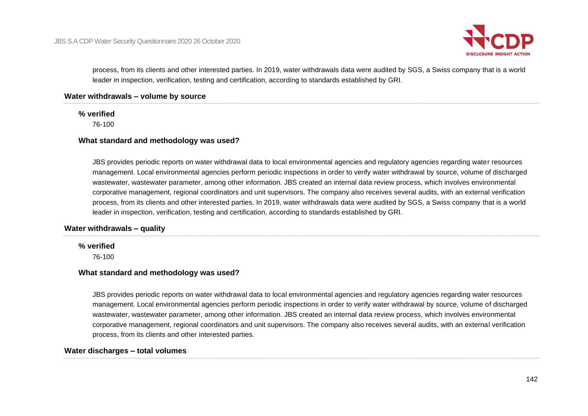

process, from its clients and other interested parties. In 2019, water withdrawals data were audited by SGS, a Swiss company that is a world leader in inspection, verification, testing and certification, according to standards established by GRI.

#### **Water withdrawals – volume by source**

#### **% verified**

76-100

#### **What standard and methodology was used?**

JBS provides periodic reports on water withdrawal data to local environmental agencies and regulatory agencies regarding water resources management. Local environmental agencies perform periodic inspections in order to verify water withdrawal by source, volume of discharged wastewater, wastewater parameter, among other information. JBS created an internal data review process, which involves environmental corporative management, regional coordinators and unit supervisors. The company also receives several audits, with an external verification process, from its clients and other interested parties. In 2019, water withdrawals data were audited by SGS, a Swiss company that is a world leader in inspection, verification, testing and certification, according to standards established by GRI.

#### **Water withdrawals – quality**

#### **% verified**

76-100

#### **What standard and methodology was used?**

JBS provides periodic reports on water withdrawal data to local environmental agencies and regulatory agencies regarding water resources management. Local environmental agencies perform periodic inspections in order to verify water withdrawal by source, volume of discharged wastewater, wastewater parameter, among other information. JBS created an internal data review process, which involves environmental corporative management, regional coordinators and unit supervisors. The company also receives several audits, with an external verification process, from its clients and other interested parties.

#### **Water discharges – total volumes**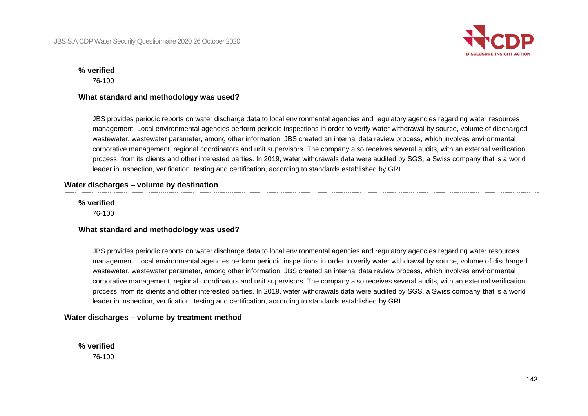

#### **% verified**

76-100

#### **What standard and methodology was used?**

JBS provides periodic reports on water discharge data to local environmental agencies and regulatory agencies regarding water resources management. Local environmental agencies perform periodic inspections in order to verify water withdrawal by source, volume of discharged wastewater, wastewater parameter, among other information. JBS created an internal data review process, which involves environmental corporative management, regional coordinators and unit supervisors. The company also receives several audits, with an external verification process, from its clients and other interested parties. In 2019, water withdrawals data were audited by SGS, a Swiss company that is a world leader in inspection, verification, testing and certification, according to standards established by GRI.

#### **Water discharges – volume by destination**

#### **% verified**

76-100

#### **What standard and methodology was used?**

JBS provides periodic reports on water discharge data to local environmental agencies and regulatory agencies regarding water resources management. Local environmental agencies perform periodic inspections in order to verify water withdrawal by source, volume of discharged wastewater, wastewater parameter, among other information. JBS created an internal data review process, which involves environmental corporative management, regional coordinators and unit supervisors. The company also receives several audits, with an external verification process, from its clients and other interested parties. In 2019, water withdrawals data were audited by SGS, a Swiss company that is a world leader in inspection, verification, testing and certification, according to standards established by GRI.

#### **Water discharges – volume by treatment method**

**% verified** 76-100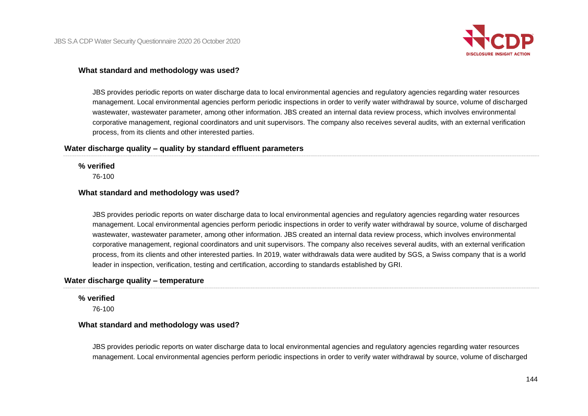

#### **What standard and methodology was used?**

JBS provides periodic reports on water discharge data to local environmental agencies and regulatory agencies regarding water resources management. Local environmental agencies perform periodic inspections in order to verify water withdrawal by source, volume of discharged wastewater, wastewater parameter, among other information. JBS created an internal data review process, which involves environmental corporative management, regional coordinators and unit supervisors. The company also receives several audits, with an external verification process, from its clients and other interested parties.

#### **Water discharge quality – quality by standard effluent parameters**

**% verified**

76-100

#### **What standard and methodology was used?**

JBS provides periodic reports on water discharge data to local environmental agencies and regulatory agencies regarding water resources management. Local environmental agencies perform periodic inspections in order to verify water withdrawal by source, volume of discharged wastewater, wastewater parameter, among other information. JBS created an internal data review process, which involves environmental corporative management, regional coordinators and unit supervisors. The company also receives several audits, with an external verification process, from its clients and other interested parties. In 2019, water withdrawals data were audited by SGS, a Swiss company that is a world leader in inspection, verification, testing and certification, according to standards established by GRI.

#### **Water discharge quality – temperature**

#### **% verified**

76-100

#### **What standard and methodology was used?**

JBS provides periodic reports on water discharge data to local environmental agencies and regulatory agencies regarding water resources management. Local environmental agencies perform periodic inspections in order to verify water withdrawal by source, volume of discharged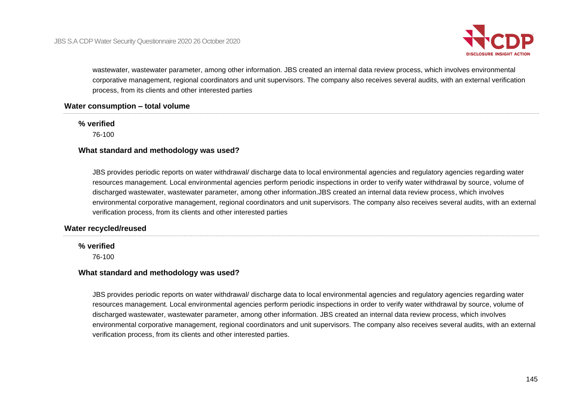

wastewater, wastewater parameter, among other information. JBS created an internal data review process, which involves environmental corporative management, regional coordinators and unit supervisors. The company also receives several audits, with an external verification process, from its clients and other interested parties

#### **Water consumption – total volume**

### **% verified**

76-100

#### **What standard and methodology was used?**

JBS provides periodic reports on water withdrawal/ discharge data to local environmental agencies and regulatory agencies regarding water resources management. Local environmental agencies perform periodic inspections in order to verify water withdrawal by source, volume of discharged wastewater, wastewater parameter, among other information.JBS created an internal data review process, which involves environmental corporative management, regional coordinators and unit supervisors. The company also receives several audits, with an external verification process, from its clients and other interested parties

#### **Water recycled/reused**

#### **% verified**

76-100

#### **What standard and methodology was used?**

JBS provides periodic reports on water withdrawal/ discharge data to local environmental agencies and regulatory agencies regarding water resources management. Local environmental agencies perform periodic inspections in order to verify water withdrawal by source, volume of discharged wastewater, wastewater parameter, among other information. JBS created an internal data review process, which involves environmental corporative management, regional coordinators and unit supervisors. The company also receives several audits, with an external verification process, from its clients and other interested parties.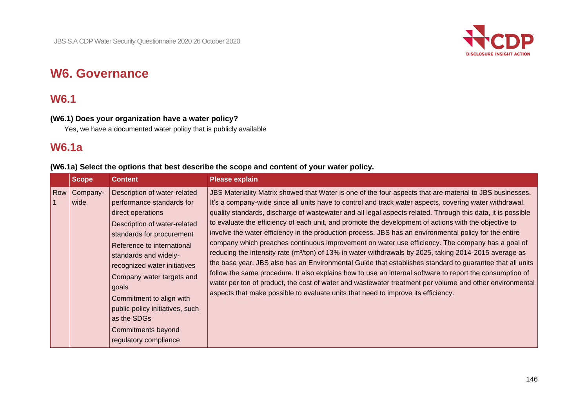

# **W6. Governance**

# **W6.1**

# **(W6.1) Does your organization have a water policy?**

Yes, we have a documented water policy that is publicly available

# **W6.1a**

**(W6.1a) Select the options that best describe the scope and content of your water policy.**

|     | <b>Scope</b><br><b>Content</b>                                                                                                                                                                                                                                                                                                                                                                                            |
|-----|---------------------------------------------------------------------------------------------------------------------------------------------------------------------------------------------------------------------------------------------------------------------------------------------------------------------------------------------------------------------------------------------------------------------------|
| Row | Company-<br>Description of water-related<br>performance standards for<br>wide<br>direct operations<br>Description of water-related<br>standards for procurement<br>Reference to international<br>standards and widely-<br>recognized water initiatives<br>Company water targets and<br>goals<br>Commitment to align with<br>public policy initiatives, such<br>as the SDGs<br>Commitments beyond<br>regulatory compliance |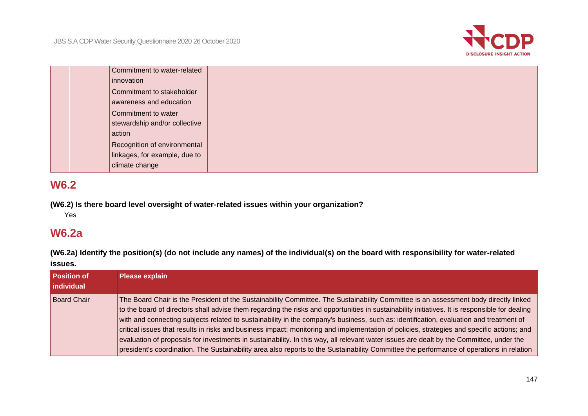

| Commitment to water-related   |
|-------------------------------|
|                               |
| innovation                    |
| Commitment to stakeholder     |
| awareness and education       |
|                               |
| Commitment to water           |
| stewardship and/or collective |
| action                        |
|                               |
| Recognition of environmental  |
| linkages, for example, due to |
|                               |
| climate change                |

# **W6.2**

**(W6.2) Is there board level oversight of water-related issues within your organization?**

Yes

# **W6.2a**

**(W6.2a) Identify the position(s) (do not include any names) of the individual(s) on the board with responsibility for water-related issues.**

| <b>Position of</b><br>individual | <b>Please explain</b>                                                                                                                                                                                                                                                                                                                                                                                                                                                                                                                                                                                                                                                                                                                                                                                                                                                 |
|----------------------------------|-----------------------------------------------------------------------------------------------------------------------------------------------------------------------------------------------------------------------------------------------------------------------------------------------------------------------------------------------------------------------------------------------------------------------------------------------------------------------------------------------------------------------------------------------------------------------------------------------------------------------------------------------------------------------------------------------------------------------------------------------------------------------------------------------------------------------------------------------------------------------|
| <b>Board Chair</b>               | The Board Chair is the President of the Sustainability Committee. The Sustainability Committee is an assessment body directly linked<br>to the board of directors shall advise them regarding the risks and opportunities in sustainability initiatives. It is responsible for dealing<br>with and connecting subjects related to sustainability in the company's business, such as: identification, evaluation and treatment of<br>critical issues that results in risks and business impact; monitoring and implementation of policies, strategies and specific actions; and<br>evaluation of proposals for investments in sustainability. In this way, all relevant water issues are dealt by the Committee, under the<br>president's coordination. The Sustainability area also reports to the Sustainability Committee the performance of operations in relation |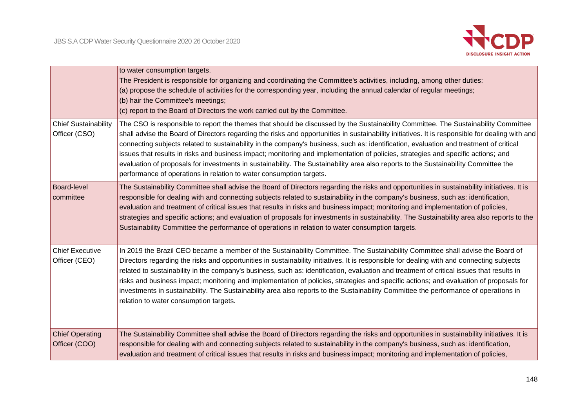

|                                              | to water consumption targets.<br>The President is responsible for organizing and coordinating the Committee's activities, including, among other duties:<br>(a) propose the schedule of activities for the corresponding year, including the annual calendar of regular meetings;<br>(b) hair the Committee's meetings;<br>(c) report to the Board of Directors the work carried out by the Committee.                                                                                                                                                                                                                                                                                                                                                                             |
|----------------------------------------------|------------------------------------------------------------------------------------------------------------------------------------------------------------------------------------------------------------------------------------------------------------------------------------------------------------------------------------------------------------------------------------------------------------------------------------------------------------------------------------------------------------------------------------------------------------------------------------------------------------------------------------------------------------------------------------------------------------------------------------------------------------------------------------|
| <b>Chief Sustainability</b><br>Officer (CSO) | The CSO is responsible to report the themes that should be discussed by the Sustainability Committee. The Sustainability Committee<br>shall advise the Board of Directors regarding the risks and opportunities in sustainability initiatives. It is responsible for dealing with and<br>connecting subjects related to sustainability in the company's business, such as: identification, evaluation and treatment of critical<br>issues that results in risks and business impact; monitoring and implementation of policies, strategies and specific actions; and<br>evaluation of proposals for investments in sustainability. The Sustainability area also reports to the Sustainability Committee the<br>performance of operations in relation to water consumption targets. |
| <b>Board-level</b><br>committee              | The Sustainability Committee shall advise the Board of Directors regarding the risks and opportunities in sustainability initiatives. It is<br>responsible for dealing with and connecting subjects related to sustainability in the company's business, such as: identification,<br>evaluation and treatment of critical issues that results in risks and business impact; monitoring and implementation of policies,<br>strategies and specific actions; and evaluation of proposals for investments in sustainability. The Sustainability area also reports to the<br>Sustainability Committee the performance of operations in relation to water consumption targets.                                                                                                          |
| <b>Chief Executive</b><br>Officer (CEO)      | In 2019 the Brazil CEO became a member of the Sustainability Committee. The Sustainability Committee shall advise the Board of<br>Directors regarding the risks and opportunities in sustainability initiatives. It is responsible for dealing with and connecting subjects<br>related to sustainability in the company's business, such as: identification, evaluation and treatment of critical issues that results in<br>risks and business impact; monitoring and implementation of policies, strategies and specific actions; and evaluation of proposals for<br>investments in sustainability. The Sustainability area also reports to the Sustainability Committee the performance of operations in<br>relation to water consumption targets.                               |
| <b>Chief Operating</b><br>Officer (COO)      | The Sustainability Committee shall advise the Board of Directors regarding the risks and opportunities in sustainability initiatives. It is<br>responsible for dealing with and connecting subjects related to sustainability in the company's business, such as: identification,<br>evaluation and treatment of critical issues that results in risks and business impact; monitoring and implementation of policies,                                                                                                                                                                                                                                                                                                                                                             |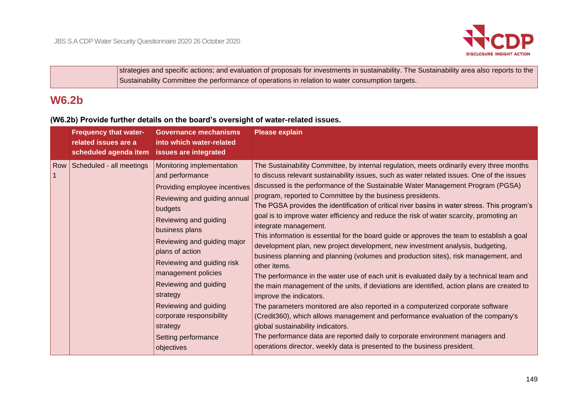

strategies and specific actions; and evaluation of proposals for investments in sustainability. The Sustainability area also reports to the Sustainability Committee the performance of operations in relation to water consumption targets.

# **W6.2b**

# **(W6.2b) Provide further details on the board's oversight of water-related issues.**

| <b>Frequency that water-</b><br>related issues are a<br>scheduled agenda item | <b>Governance mechanisms</b><br>into which water-related<br>issues are integrated                                                                                                                                                                                                                                                                                                                                     | <b>Please explain</b>                                                                                                                                                                                                                                                                                                                                                                                                                                                                                                                                                                                                                                                                                                                                                                                                                                                                                                                                                                                                                                                                                                                                                                                                                                                                                                                                                                                                                               |
|-------------------------------------------------------------------------------|-----------------------------------------------------------------------------------------------------------------------------------------------------------------------------------------------------------------------------------------------------------------------------------------------------------------------------------------------------------------------------------------------------------------------|-----------------------------------------------------------------------------------------------------------------------------------------------------------------------------------------------------------------------------------------------------------------------------------------------------------------------------------------------------------------------------------------------------------------------------------------------------------------------------------------------------------------------------------------------------------------------------------------------------------------------------------------------------------------------------------------------------------------------------------------------------------------------------------------------------------------------------------------------------------------------------------------------------------------------------------------------------------------------------------------------------------------------------------------------------------------------------------------------------------------------------------------------------------------------------------------------------------------------------------------------------------------------------------------------------------------------------------------------------------------------------------------------------------------------------------------------------|
| Row Scheduled - all meetings                                                  | Monitoring implementation<br>and performance<br>Providing employee incentives<br>Reviewing and guiding annual<br>budgets<br>Reviewing and guiding<br>business plans<br>Reviewing and guiding major<br>plans of action<br>Reviewing and guiding risk<br>management policies<br>Reviewing and guiding<br>strategy<br>Reviewing and guiding<br>corporate responsibility<br>strategy<br>Setting performance<br>objectives | The Sustainability Committee, by internal regulation, meets ordinarily every three months<br>to discuss relevant sustainability issues, such as water related issues. One of the issues<br>discussed is the performance of the Sustainable Water Management Program (PGSA)<br>program, reported to Committee by the business presidents.<br>The PGSA provides the identification of critical river basins in water stress. This program's<br>goal is to improve water efficiency and reduce the risk of water scarcity, promoting an<br>integrate management.<br>This information is essential for the board guide or approves the team to establish a goal<br>development plan, new project development, new investment analysis, budgeting,<br>business planning and planning (volumes and production sites), risk management, and<br>other items.<br>The performance in the water use of each unit is evaluated daily by a technical team and<br>the main management of the units, if deviations are identified, action plans are created to<br>improve the indicators.<br>The parameters monitored are also reported in a computerized corporate software<br>(Credit360), which allows management and performance evaluation of the company's<br>global sustainability indicators.<br>The performance data are reported daily to corporate environment managers and<br>operations director, weekly data is presented to the business president. |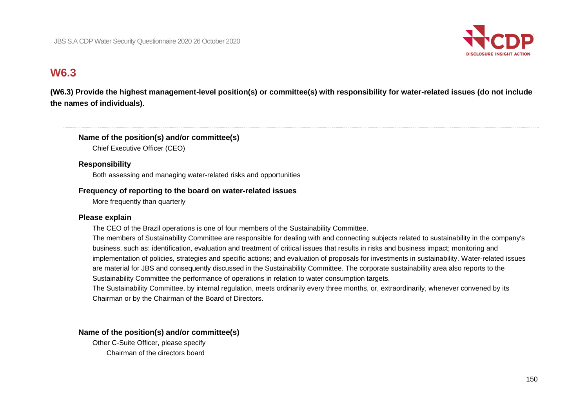

# **W6.3**

**(W6.3) Provide the highest management-level position(s) or committee(s) with responsibility for water-related issues (do not include the names of individuals).**

### **Name of the position(s) and/or committee(s)**

Chief Executive Officer (CEO)

### **Responsibility**

Both assessing and managing water-related risks and opportunities

### **Frequency of reporting to the board on water-related issues**

More frequently than quarterly

#### **Please explain**

The CEO of the Brazil operations is one of four members of the Sustainability Committee.

The members of Sustainability Committee are responsible for dealing with and connecting subjects related to sustainability in the company's business, such as: identification, evaluation and treatment of critical issues that results in risks and business impact; monitoring and implementation of policies, strategies and specific actions; and evaluation of proposals for investments in sustainability. Water-related issues are material for JBS and consequently discussed in the Sustainability Committee. The corporate sustainability area also reports to the Sustainability Committee the performance of operations in relation to water consumption targets.

The Sustainability Committee, by internal regulation, meets ordinarily every three months, or, extraordinarily, whenever convened by its Chairman or by the Chairman of the Board of Directors.

### **Name of the position(s) and/or committee(s)**

Other C-Suite Officer, please specify Chairman of the directors board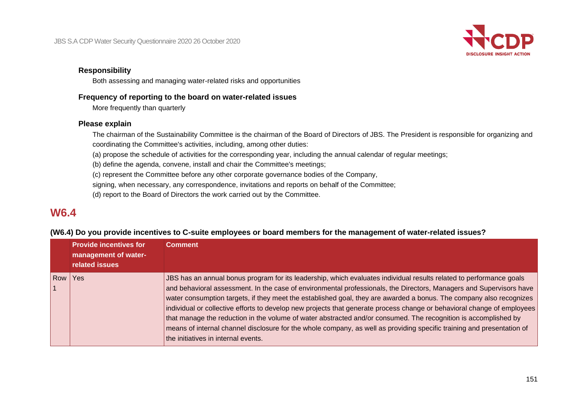

### **Responsibility**

Both assessing and managing water-related risks and opportunities

#### **Frequency of reporting to the board on water-related issues**

More frequently than quarterly

#### **Please explain**

The chairman of the Sustainability Committee is the chairman of the Board of Directors of JBS. The President is responsible for organizing and coordinating the Committee's activities, including, among other duties:

(a) propose the schedule of activities for the corresponding year, including the annual calendar of regular meetings;

(b) define the agenda, convene, install and chair the Committee's meetings;

(c) represent the Committee before any other corporate governance bodies of the Company,

signing, when necessary, any correspondence, invitations and reports on behalf of the Committee;

(d) report to the Board of Directors the work carried out by the Committee.

# **W6.4**

#### **(W6.4) Do you provide incentives to C-suite employees or board members for the management of water-related issues?**

|     | <b>Provide incentives for</b><br>management of water-<br><b>related issues</b> | <b>Comment</b>                                                                                                                                                                                                                                                                                                                                                                                                                                                                                                                                                                                                                                                                                                                                                                   |
|-----|--------------------------------------------------------------------------------|----------------------------------------------------------------------------------------------------------------------------------------------------------------------------------------------------------------------------------------------------------------------------------------------------------------------------------------------------------------------------------------------------------------------------------------------------------------------------------------------------------------------------------------------------------------------------------------------------------------------------------------------------------------------------------------------------------------------------------------------------------------------------------|
| Row | Yes                                                                            | JBS has an annual bonus program for its leadership, which evaluates individual results related to performance goals<br>and behavioral assessment. In the case of environmental professionals, the Directors, Managers and Supervisors have<br>water consumption targets, if they meet the established goal, they are awarded a bonus. The company also recognizes<br>individual or collective efforts to develop new projects that generate process change or behavioral change of employees<br>that manage the reduction in the volume of water abstracted and/or consumed. The recognition is accomplished by<br>means of internal channel disclosure for the whole company, as well as providing specific training and presentation of<br>the initiatives in internal events. |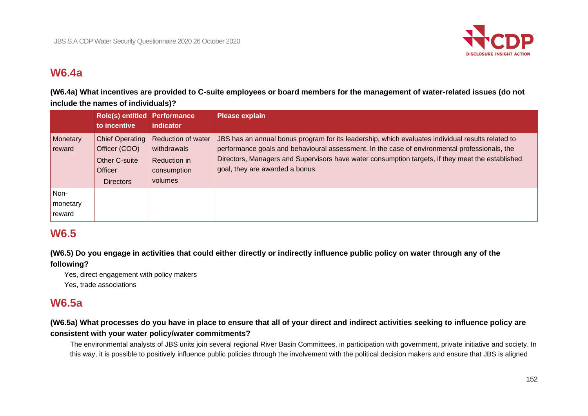

# **W6.4a**

**(W6.4a) What incentives are provided to C-suite employees or board members for the management of water-related issues (do not include the names of individuals)?**

|                            | Role(s) entitled Performance<br>to incentive                                                          | indicator                                                                          | <b>Please explain</b>                                                                                                                                                                                                                                                                                                                     |
|----------------------------|-------------------------------------------------------------------------------------------------------|------------------------------------------------------------------------------------|-------------------------------------------------------------------------------------------------------------------------------------------------------------------------------------------------------------------------------------------------------------------------------------------------------------------------------------------|
| Monetary<br>reward         | <b>Chief Operating</b><br>Officer (COO)<br><b>Other C-suite</b><br><b>Officer</b><br><b>Directors</b> | <b>Reduction of water</b><br>withdrawals<br>Reduction in<br>consumption<br>volumes | JBS has an annual bonus program for its leadership, which evaluates individual results related to<br>performance goals and behavioural assessment. In the case of environmental professionals, the<br>Directors, Managers and Supervisors have water consumption targets, if they meet the established<br>goal, they are awarded a bonus. |
| Non-<br>monetary<br>reward |                                                                                                       |                                                                                    |                                                                                                                                                                                                                                                                                                                                           |

# **W6.5**

**(W6.5) Do you engage in activities that could either directly or indirectly influence public policy on water through any of the** 

**following?**

Yes, direct engagement with policy makers Yes, trade associations

# **W6.5a**

# **(W6.5a) What processes do you have in place to ensure that all of your direct and indirect activities seeking to influence policy are consistent with your water policy/water commitments?**

The environmental analysts of JBS units join several regional River Basin Committees, in participation with government, private initiative and society. In this way, it is possible to positively influence public policies through the involvement with the political decision makers and ensure that JBS is aligned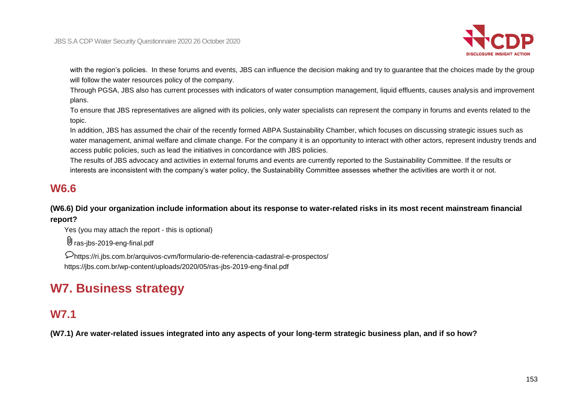

with the region's policies. In these forums and events, JBS can influence the decision making and try to guarantee that the choices made by the group will follow the water resources policy of the company.

Through PGSA, JBS also has current processes with indicators of water consumption management, liquid effluents, causes analysis and improvement plans.

To ensure that JBS representatives are aligned with its policies, only water specialists can represent the company in forums and events related to the topic.

In addition, JBS has assumed the chair of the recently formed ABPA Sustainability Chamber, which focuses on discussing strategic issues such as water management, animal welfare and climate change. For the company it is an opportunity to interact with other actors, represent industry trends and access public policies, such as lead the initiatives in concordance with JBS policies.

The results of JBS advocacy and activities in external forums and events are currently reported to the Sustainability Committee. If the results or interests are inconsistent with the company's water policy, the Sustainability Committee assesses whether the activities are worth it or not.

# **W6.6**

**(W6.6) Did your organization include information about its response to water-related risks in its most recent mainstream financial report?**

Yes (you may attach the report - this is optional)

U ras-ibs-2019-eng-final.pdf

https://ri.jbs.com.br/arquivos-cvm/formulario-de-referencia-cadastral-e-prospectos/ https://jbs.com.br/wp-content/uploads/2020/05/ras-jbs-2019-eng-final.pdf

# **W7. Business strategy**

# **W7.1**

**(W7.1) Are water-related issues integrated into any aspects of your long-term strategic business plan, and if so how?**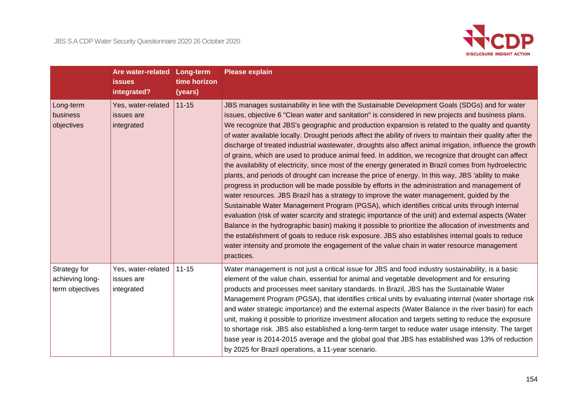

|                                                    | Are water-related Long-term<br><b>issues</b><br>integrated? | time horizon<br>(years) | <b>Please explain</b>                                                                                                                                                                                                                                                                                                                                                                                                                                                                                                                                                                                                                                                                                                                                                                                                                                                                                                                                                                                                                                                                                                                                                                                                                                                                                                                                                                                                                                                                                                                                                                            |
|----------------------------------------------------|-------------------------------------------------------------|-------------------------|--------------------------------------------------------------------------------------------------------------------------------------------------------------------------------------------------------------------------------------------------------------------------------------------------------------------------------------------------------------------------------------------------------------------------------------------------------------------------------------------------------------------------------------------------------------------------------------------------------------------------------------------------------------------------------------------------------------------------------------------------------------------------------------------------------------------------------------------------------------------------------------------------------------------------------------------------------------------------------------------------------------------------------------------------------------------------------------------------------------------------------------------------------------------------------------------------------------------------------------------------------------------------------------------------------------------------------------------------------------------------------------------------------------------------------------------------------------------------------------------------------------------------------------------------------------------------------------------------|
| Long-term<br>business<br>objectives                | Yes, water-related<br>issues are<br>integrated              | $11 - 15$               | JBS manages sustainability in line with the Sustainable Development Goals (SDGs) and for water<br>issues, objective 6 "Clean water and sanitation" is considered in new projects and business plans.<br>We recognize that JBS's geographic and production expansion is related to the quality and quantity<br>of water available locally. Drought periods affect the ability of rivers to maintain their quality after the<br>discharge of treated industrial wastewater, droughts also affect animal irrigation, influence the growth<br>of grains, which are used to produce animal feed. In addition, we recognize that drought can affect<br>the availability of electricity, since most of the energy generated in Brazil comes from hydroelectric<br>plants, and periods of drought can increase the price of energy. In this way, JBS 'ability to make<br>progress in production will be made possible by efforts in the administration and management of<br>water resources. JBS Brazil has a strategy to improve the water management, guided by the<br>Sustainable Water Management Program (PGSA), which identifies critical units through internal<br>evaluation (risk of water scarcity and strategic importance of the unit) and external aspects (Water<br>Balance in the hydrographic basin) making it possible to prioritize the allocation of investments and<br>the establishment of goals to reduce risk exposure. JBS also establishes internal goals to reduce<br>water intensity and promote the engagement of the value chain in water resource management<br>practices. |
| Strategy for<br>achieving long-<br>term objectives | Yes, water-related<br>issues are<br>integrated              | $11 - 15$               | Water management is not just a critical issue for JBS and food industry sustainability, is a basic<br>element of the value chain, essential for animal and vegetable development and for ensuring<br>products and processes meet sanitary standards. In Brazil, JBS has the Sustainable Water<br>Management Program (PGSA), that identifies critical units by evaluating internal (water shortage risk<br>and water strategic importance) and the external aspects (Water Balance in the river basin) for each<br>unit, making it possible to prioritize investment allocation and targets setting to reduce the exposure<br>to shortage risk. JBS also established a long-term target to reduce water usage intensity. The target<br>base year is 2014-2015 average and the global goal that JBS has established was 13% of reduction<br>by 2025 for Brazil operations, a 11-year scenario.                                                                                                                                                                                                                                                                                                                                                                                                                                                                                                                                                                                                                                                                                                     |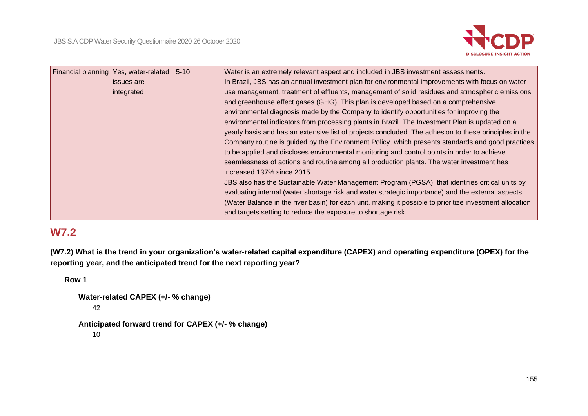

| Financial planning Yes, water-related | $ 5 - 10 $ | Water is an extremely relevant aspect and included in JBS investment assessments.                        |
|---------------------------------------|------------|----------------------------------------------------------------------------------------------------------|
| issues are                            |            | In Brazil, JBS has an annual investment plan for environmental improvements with focus on water          |
| integrated                            |            | use management, treatment of effluents, management of solid residues and atmospheric emissions           |
|                                       |            | and greenhouse effect gases (GHG). This plan is developed based on a comprehensive                       |
|                                       |            | environmental diagnosis made by the Company to identify opportunities for improving the                  |
|                                       |            | environmental indicators from processing plants in Brazil. The Investment Plan is updated on a           |
|                                       |            | yearly basis and has an extensive list of projects concluded. The adhesion to these principles in the    |
|                                       |            | Company routine is guided by the Environment Policy, which presents standards and good practices         |
|                                       |            | to be applied and discloses environmental monitoring and control points in order to achieve              |
|                                       |            | seamlessness of actions and routine among all production plants. The water investment has                |
|                                       |            | increased 137% since 2015.                                                                               |
|                                       |            | JBS also has the Sustainable Water Management Program (PGSA), that identifies critical units by          |
|                                       |            | evaluating internal (water shortage risk and water strategic importance) and the external aspects        |
|                                       |            | (Water Balance in the river basin) for each unit, making it possible to prioritize investment allocation |
|                                       |            | and targets setting to reduce the exposure to shortage risk.                                             |

# **W7.2**

**(W7.2) What is the trend in your organization's water-related capital expenditure (CAPEX) and operating expenditure (OPEX) for the reporting year, and the anticipated trend for the next reporting year?**

**Row 1**

```
Water-related CAPEX (+/- % change)
42
```

```
Anticipated forward trend for CAPEX (+/- % change)
```
10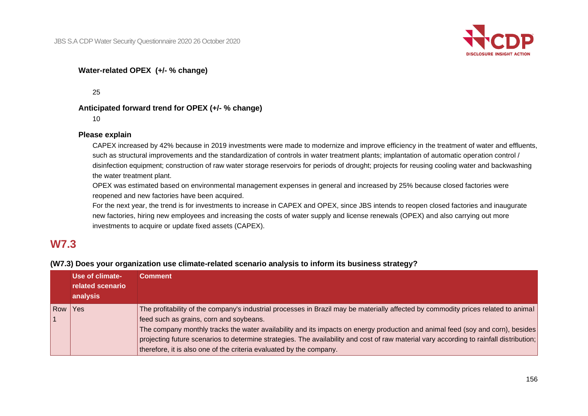

## **Water-related OPEX (+/- % change)**

25

#### **Anticipated forward trend for OPEX (+/- % change)**

10

#### **Please explain**

CAPEX increased by 42% because in 2019 investments were made to modernize and improve efficiency in the treatment of water and effluents, such as structural improvements and the standardization of controls in water treatment plants; implantation of automatic operation control / disinfection equipment; construction of raw water storage reservoirs for periods of drought; projects for reusing cooling water and backwashing the water treatment plant.

OPEX was estimated based on environmental management expenses in general and increased by 25% because closed factories were reopened and new factories have been acquired.

For the next year, the trend is for investments to increase in CAPEX and OPEX, since JBS intends to reopen closed factories and inaugurate new factories, hiring new employees and increasing the costs of water supply and license renewals (OPEX) and also carrying out more investments to acquire or update fixed assets (CAPEX).

# **W7.3**

## **(W7.3) Does your organization use climate-related scenario analysis to inform its business strategy?**

|            | Use of climate-<br>related scenario<br>analysis | <b>Comment</b>                                                                                                                                                                                                                                                                                                                                                                                                                                                                                                                    |
|------------|-------------------------------------------------|-----------------------------------------------------------------------------------------------------------------------------------------------------------------------------------------------------------------------------------------------------------------------------------------------------------------------------------------------------------------------------------------------------------------------------------------------------------------------------------------------------------------------------------|
| <b>Row</b> | Yes                                             | The profitability of the company's industrial processes in Brazil may be materially affected by commodity prices related to animal<br>feed such as grains, corn and soybeans.<br>The company monthly tracks the water availability and its impacts on energy production and animal feed (soy and corn), besides<br>projecting future scenarios to determine strategies. The availability and cost of raw material vary according to rainfall distribution;<br>therefore, it is also one of the criteria evaluated by the company. |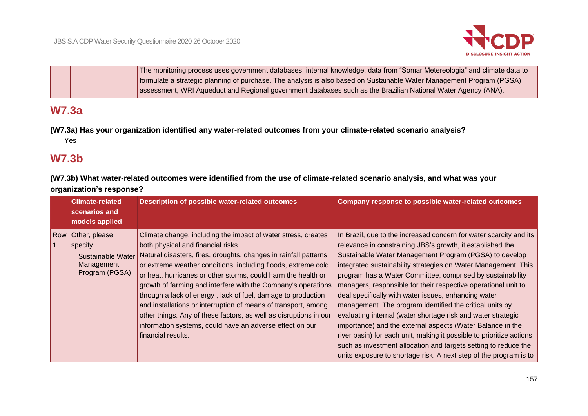

The monitoring process uses government databases, internal knowledge, data from "Somar Metereologia" and climate data to formulate a strategic planning of purchase. The analysis is also based on Sustainable Water Management Program (PGSA) assessment, WRI Aqueduct and Regional government databases such as the Brazilian National Water Agency (ANA).

# **W7.3a**

**(W7.3a) Has your organization identified any water-related outcomes from your climate-related scenario analysis?** Yes

# **W7.3b**

**(W7.3b) What water-related outcomes were identified from the use of climate-related scenario analysis, and what was your organization's response?**

| <b>Climate-related</b><br>scenarios and<br>models applied                                | Description of possible water-related outcomes                                                                                                                                                                                                                                                                                                                                                                                                                                                                                                                                                                                                                      | <b>Company response to possible water-related outcomes</b>                                                                                                                                                                                                                                                                                                                                                                                                                                                                                                                                                                                                                                                                                                                                                                                                     |
|------------------------------------------------------------------------------------------|---------------------------------------------------------------------------------------------------------------------------------------------------------------------------------------------------------------------------------------------------------------------------------------------------------------------------------------------------------------------------------------------------------------------------------------------------------------------------------------------------------------------------------------------------------------------------------------------------------------------------------------------------------------------|----------------------------------------------------------------------------------------------------------------------------------------------------------------------------------------------------------------------------------------------------------------------------------------------------------------------------------------------------------------------------------------------------------------------------------------------------------------------------------------------------------------------------------------------------------------------------------------------------------------------------------------------------------------------------------------------------------------------------------------------------------------------------------------------------------------------------------------------------------------|
| Row Other, please<br>specify<br><b>Sustainable Water</b><br>Management<br>Program (PGSA) | Climate change, including the impact of water stress, creates<br>both physical and financial risks.<br>Natural disasters, fires, droughts, changes in rainfall patterns<br>or extreme weather conditions, including floods, extreme cold<br>or heat, hurricanes or other storms, could harm the health or<br>growth of farming and interfere with the Company's operations<br>through a lack of energy, lack of fuel, damage to production<br>and installations or interruption of means of transport, among<br>other things. Any of these factors, as well as disruptions in our<br>information systems, could have an adverse effect on our<br>financial results. | In Brazil, due to the increased concern for water scarcity and its<br>relevance in constraining JBS's growth, it established the<br>Sustainable Water Management Program (PGSA) to develop<br>integrated sustainability strategies on Water Management. This<br>program has a Water Committee, comprised by sustainability<br>managers, responsible for their respective operational unit to<br>deal specifically with water issues, enhancing water<br>management. The program identified the critical units by<br>evaluating internal (water shortage risk and water strategic<br>importance) and the external aspects (Water Balance in the<br>river basin) for each unit, making it possible to prioritize actions<br>such as investment allocation and targets setting to reduce the<br>units exposure to shortage risk. A next step of the program is to |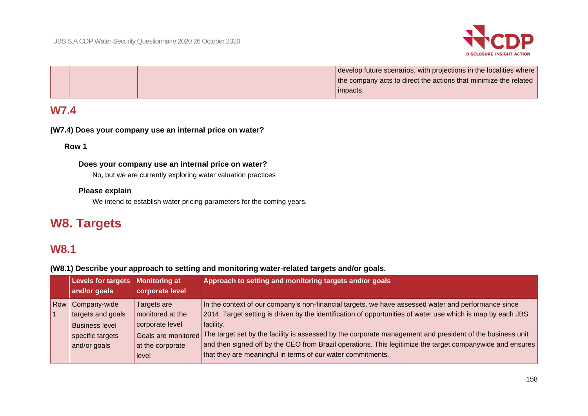

|  | develop future scenarios, with projections in the localities where |
|--|--------------------------------------------------------------------|
|  | the company acts to direct the actions that minimize the related   |
|  | impacts.                                                           |

# **W7.4**

### **(W7.4) Does your company use an internal price on water?**

**Row 1**

### **Does your company use an internal price on water?**

No, but we are currently exploring water valuation practices

### **Please explain**

We intend to establish water pricing parameters for the coming years.

# **W8. Targets**

# **W8.1**

**(W8.1) Describe your approach to setting and monitoring water-related targets and/or goals.**

|     | Levels for targets<br>and/or goals                                                             | <b>Monitoring at</b><br>corporate level                                                                | Approach to setting and monitoring targets and/or goals                                                                                                                                                                                                                                                                                                                                                                                                                                                                  |
|-----|------------------------------------------------------------------------------------------------|--------------------------------------------------------------------------------------------------------|--------------------------------------------------------------------------------------------------------------------------------------------------------------------------------------------------------------------------------------------------------------------------------------------------------------------------------------------------------------------------------------------------------------------------------------------------------------------------------------------------------------------------|
| Row | Company-wide<br>targets and goals<br><b>Business level</b><br>specific targets<br>and/or goals | Targets are<br>monitored at the<br>corporate level<br>Goals are monitored<br>at the corporate<br>level | In the context of our company's non-financial targets, we have assessed water and performance since<br>2014. Target setting is driven by the identification of opportunities of water use which is map by each JBS<br>facility.<br>The target set by the facility is assessed by the corporate management and president of the business unit<br>and then signed off by the CEO from Brazil operations. This legitimize the target companywide and ensures<br>that they are meaningful in terms of our water commitments. |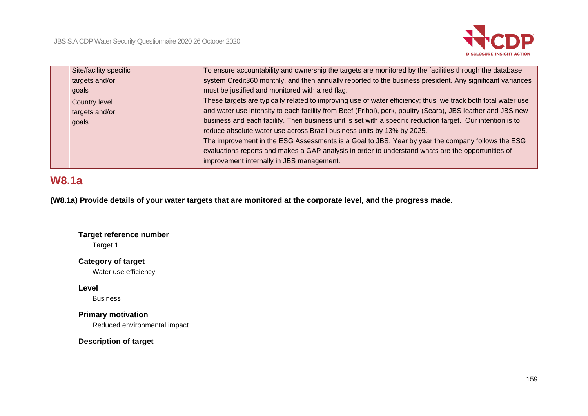

| Site/facility specific | To ensure accountability and ownership the targets are monitored by the facilities through the database       |
|------------------------|---------------------------------------------------------------------------------------------------------------|
| targets and/or         | system Credit360 monthly, and then annually reported to the business president. Any significant variances     |
| goals                  | must be justified and monitored with a red flag.                                                              |
| Country level          | These targets are typically related to improving use of water efficiency; thus, we track both total water use |
| targets and/or         | and water use intensity to each facility from Beef (Friboi), pork, poultry (Seara), JBS leather and JBS new   |
| goals                  | business and each facility. Then business unit is set with a specific reduction target. Our intention is to   |
|                        | reduce absolute water use across Brazil business units by 13% by 2025.                                        |
|                        | The improvement in the ESG Assessments is a Goal to JBS. Year by year the company follows the ESG             |
|                        | evaluations reports and makes a GAP analysis in order to understand whats are the opportunities of            |
|                        | improvement internally in JBS management.                                                                     |
|                        |                                                                                                               |

# **W8.1a**

**(W8.1a) Provide details of your water targets that are monitored at the corporate level, and the progress made.**

# **Target reference number**

Target 1

# **Category of target**

Water use efficiency

# **Level**

Business

# **Primary motivation**

Reduced environmental impact

**Description of target**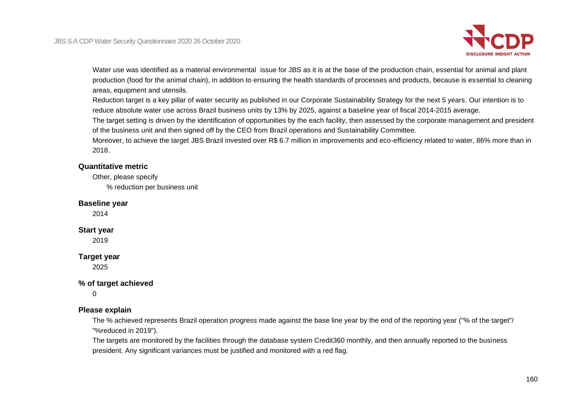

Water use was identified as a material environmental issue for JBS as it is at the base of the production chain, essential for animal and plant production (food for the animal chain), in addition to ensuring the health standards of processes and products, because is essential to cleaning areas, equipment and utensils.

Reduction target is a key pillar of water security as published in our Corporate Sustainability Strategy for the next 5 years. Our intention is to reduce absolute water use across Brazil business units by 13% by 2025, against a baseline year of fiscal 2014-2015 average.

The target setting is driven by the identification of opportunities by the each facility, then assessed by the corporate management and president of the business unit and then signed off by the CEO from Brazil operations and Sustainability Committee.

Moreover, to achieve the target JBS Brazil invested over R\$ 6.7 million in improvements and eco-efficiency related to water, 86% more than in 2018.

### **Quantitative metric**

Other, please specify

% reduction per business unit

#### **Baseline year**

2014

#### **Start year**

2019

#### **Target year**

2025

### **% of target achieved**

0

### **Please explain**

The % achieved represents Brazil operation progress made against the base line year by the end of the reporting year ("% of the target"/ "%reduced in 2019").

The targets are monitored by the facilities through the database system Credit360 monthly, and then annually reported to the business president. Any significant variances must be justified and monitored with a red flag.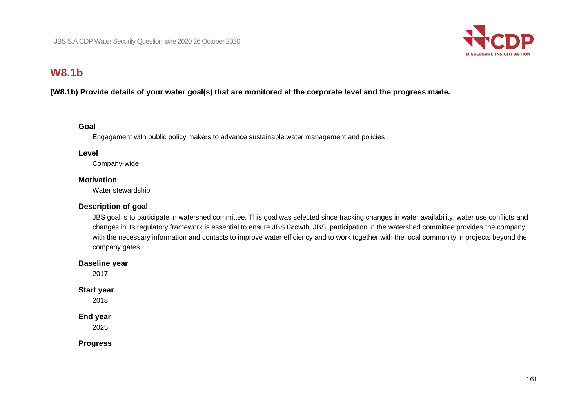

# **W8.1b**

## **(W8.1b) Provide details of your water goal(s) that are monitored at the corporate level and the progress made.**

#### **Goal**

Engagement with public policy makers to advance sustainable water management and policies

#### **Level**

Company-wide

#### **Motivation**

Water stewardship

## **Description of goal**

JBS goal is to participate in watershed committee. This goal was selected since tracking changes in water availability, water use conflicts and changes in its regulatory framework is essential to ensure JBS Growth. JBS participation in the watershed committee provides the company with the necessary information and contacts to improve water efficiency and to work together with the local community in projects beyond the company gates.

#### **Baseline year**

2017

### **Start year**

2018

### **End year**

2025

**Progress**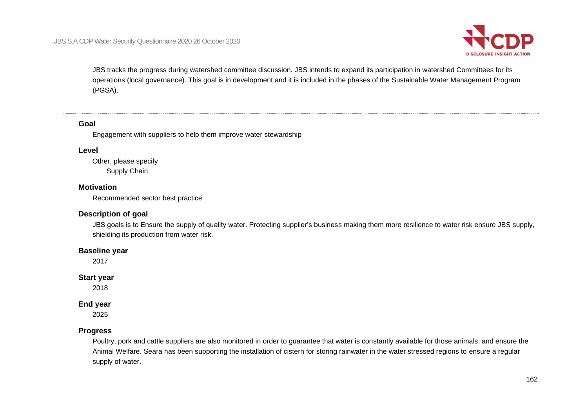

JBS tracks the progress during watershed committee discussion. JBS intends to expand its participation in watershed Committees for its operations (local governance). This goal is in development and it is included in the phases of the Sustainable Water Management Program (PGSA).

#### **Goal**

Engagement with suppliers to help them improve water stewardship

#### **Level**

Other, please specify Supply Chain

#### **Motivation**

Recommended sector best practice

#### **Description of goal**

JBS goals is to Ensure the supply of quality water. Protecting supplier's business making them more resilience to water risk ensure JBS supply, shielding its production from water risk.

#### **Baseline year**

2017

#### **Start year**

2018

### **End year**

2025

### **Progress**

Poultry, pork and cattle suppliers are also monitored in order to guarantee that water is constantly available for those animals, and ensure the Animal Welfare. Seara has been supporting the installation of cistern for storing rainwater in the water stressed regions to ensure a regular supply of water.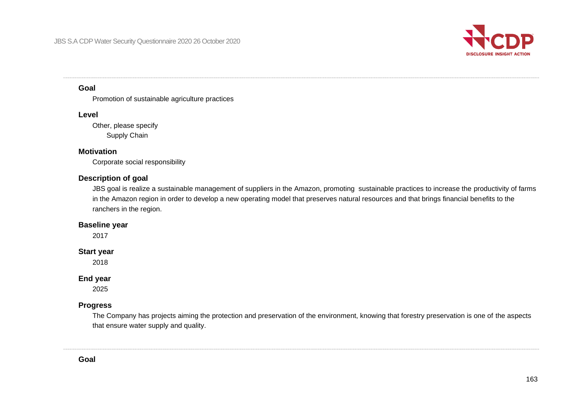

#### **Goal**

Promotion of sustainable agriculture practices

#### **Level**

Other, please specify Supply Chain

### **Motivation**

Corporate social responsibility

## **Description of goal**

JBS goal is realize a sustainable management of suppliers in the Amazon, promoting sustainable practices to increase the productivity of farms in the Amazon region in order to develop a new operating model that preserves natural resources and that brings financial benefits to the ranchers in the region.

## **Baseline year**

2017

### **Start year**

2018

### **End year**

2025

## **Progress**

The Company has projects aiming the protection and preservation of the environment, knowing that forestry preservation is one of the aspects that ensure water supply and quality.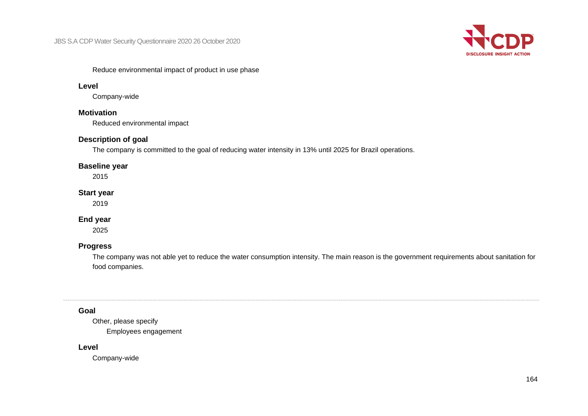

#### Reduce environmental impact of product in use phase

#### **Level**

Company-wide

### **Motivation**

Reduced environmental impact

### **Description of goal**

The company is committed to the goal of reducing water intensity in 13% until 2025 for Brazil operations.

## **Baseline year**

2015

### **Start year**

2019

## **End year**

2025

### **Progress**

The company was not able yet to reduce the water consumption intensity. The main reason is the government requirements about sanitation for food companies.

### **Goal**

Other, please specify Employees engagement

#### **Level**

Company-wide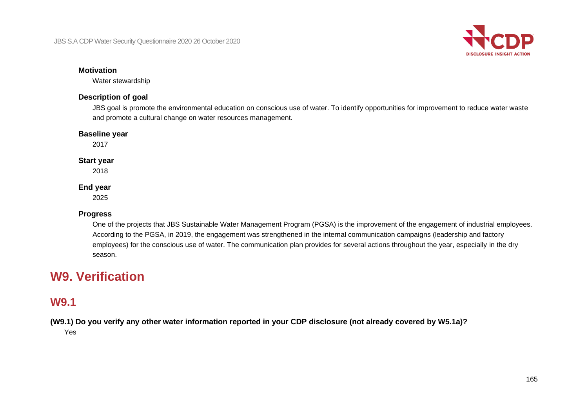

#### **Motivation**

Water stewardship

### **Description of goal**

JBS goal is promote the environmental education on conscious use of water. To identify opportunities for improvement to reduce water waste and promote a cultural change on water resources management.

#### **Baseline year**

2017

#### **Start year**

2018

#### **End year**

2025

### **Progress**

One of the projects that JBS Sustainable Water Management Program (PGSA) is the improvement of the engagement of industrial employees. According to the PGSA, in 2019, the engagement was strengthened in the internal communication campaigns (leadership and factory employees) for the conscious use of water. The communication plan provides for several actions throughout the year, especially in the dry season.

# **W9. Verification**

# **W9.1**

**(W9.1) Do you verify any other water information reported in your CDP disclosure (not already covered by W5.1a)?** Yes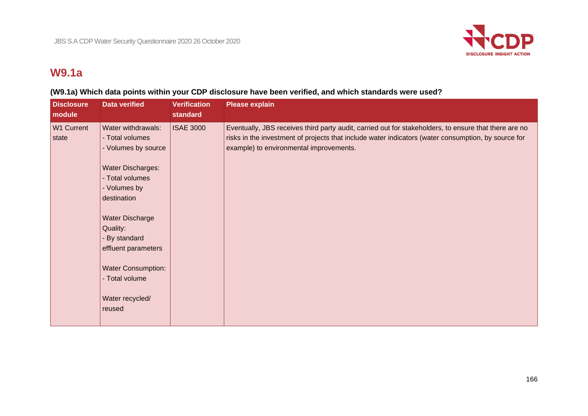

# **W9.1a**

# **(W9.1a) Which data points within your CDP disclosure have been verified, and which standards were used?**

| <b>Disclosure</b><br>module | <b>Data verified</b>                                                                                                                                                                                                                                                                               | <b>Verification</b><br><b>standard</b> | <b>Please explain</b>                                                                                                                                                                                                                                   |
|-----------------------------|----------------------------------------------------------------------------------------------------------------------------------------------------------------------------------------------------------------------------------------------------------------------------------------------------|----------------------------------------|---------------------------------------------------------------------------------------------------------------------------------------------------------------------------------------------------------------------------------------------------------|
| W1 Current<br>state         | Water withdrawals:<br>- Total volumes<br>- Volumes by source<br><b>Water Discharges:</b><br>- Total volumes<br>- Volumes by<br>destination<br><b>Water Discharge</b><br>Quality:<br>By standard<br>effluent parameters<br><b>Water Consumption:</b><br>- Total volume<br>Water recycled/<br>reused | <b>ISAE 3000</b>                       | Eventually, JBS receives third party audit, carried out for stakeholders, to ensure that there are no<br>risks in the investment of projects that include water indicators (water consumption, by source for<br>example) to environmental improvements. |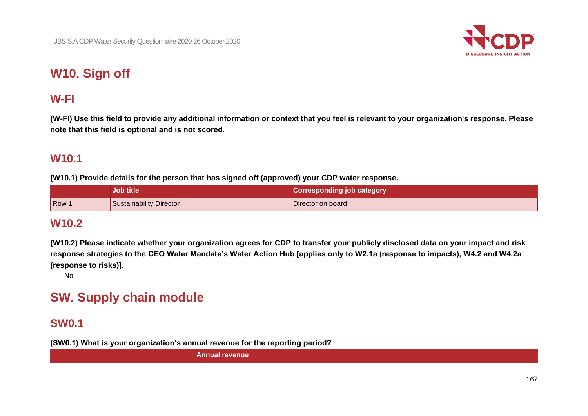

# **W10. Sign off**

# **W-FI**

**(W-FI) Use this field to provide any additional information or context that you feel is relevant to your organization's response. Please note that this field is optional and is not scored.**

# **W10.1**

**(W10.1) Provide details for the person that has signed off (approved) your CDP water response.**

|     | <b>Job title</b>        | <b>Corresponding job category</b> |
|-----|-------------------------|-----------------------------------|
| Row | Sustainability Director | Director on board                 |

# **W10.2**

**(W10.2) Please indicate whether your organization agrees for CDP to transfer your publicly disclosed data on your impact and risk response strategies to the CEO Water Mandate's Water Action Hub [applies only to W2.1a (response to impacts), W4.2 and W4.2a (response to risks)].**

No

# **SW. Supply chain module**

# **SW0.1**

**(SW0.1) What is your organization's annual revenue for the reporting period?**

**Annual revenue**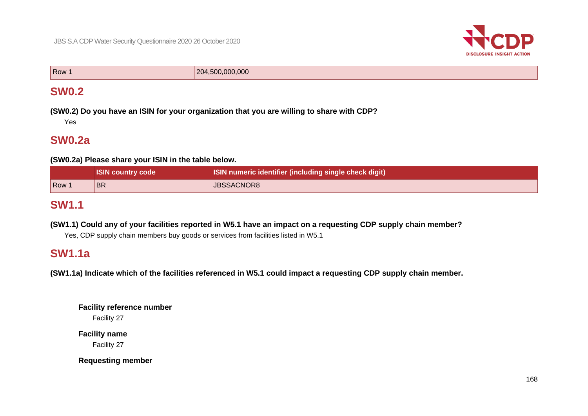

Row 1 204,500,000,000

# **SW0.2**

**(SW0.2) Do you have an ISIN for your organization that you are willing to share with CDP?** Yes

# **SW0.2a**

**(SW0.2a) Please share your ISIN in the table below.**

|       | <b>ISIN country code</b> | ISIN numeric identifier (including single check digit) |
|-------|--------------------------|--------------------------------------------------------|
| Row 1 | 'BR                      | JBSSACNOR8                                             |

# **SW1.1**

**(SW1.1) Could any of your facilities reported in W5.1 have an impact on a requesting CDP supply chain member?**

Yes, CDP supply chain members buy goods or services from facilities listed in W5.1

# **SW1.1a**

**(SW1.1a) Indicate which of the facilities referenced in W5.1 could impact a requesting CDP supply chain member.**

**Facility reference number** Facility 27

**Facility name** Facility 27

**Requesting member**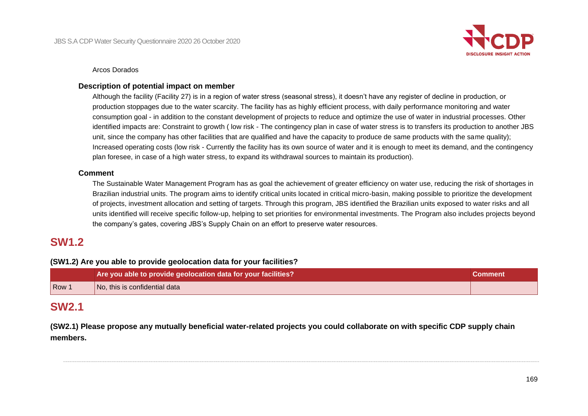

#### Arcos Dorados

#### **Description of potential impact on member**

Although the facility (Facility 27) is in a region of water stress (seasonal stress), it doesn't have any register of decline in production, or production stoppages due to the water scarcity. The facility has as highly efficient process, with daily performance monitoring and water consumption goal - in addition to the constant development of projects to reduce and optimize the use of water in industrial processes. Other identified impacts are: Constraint to growth ( low risk - The contingency plan in case of water stress is to transfers its production to another JBS unit, since the company has other facilities that are qualified and have the capacity to produce de same products with the same quality); Increased operating costs (low risk - Currently the facility has its own source of water and it is enough to meet its demand, and the contingency plan foresee, in case of a high water stress, to expand its withdrawal sources to maintain its production).

#### **Comment**

The Sustainable Water Management Program has as goal the achievement of greater efficiency on water use, reducing the risk of shortages in Brazilian industrial units. The program aims to identify critical units located in critical micro-basin, making possible to prioritize the development of projects, investment allocation and setting of targets. Through this program, JBS identified the Brazilian units exposed to water risks and all units identified will receive specific follow-up, helping to set priorities for environmental investments. The Program also includes projects beyond the company's gates, covering JBS's Supply Chain on an effort to preserve water resources.

# **SW1.2**

### **(SW1.2) Are you able to provide geolocation data for your facilities?**

|     | Are you able to provide geolocation data for your facilities?<br>Comment |  |
|-----|--------------------------------------------------------------------------|--|
| Row | No, this is confidential data                                            |  |

# **SW2.1**

**(SW2.1) Please propose any mutually beneficial water-related projects you could collaborate on with specific CDP supply chain members.**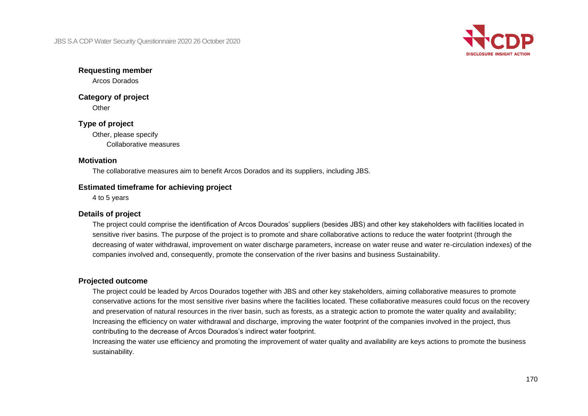

### **Requesting member**

Arcos Dorados

# **Category of project**

**Other** 

# **Type of project**

Other, please specify Collaborative measures

## **Motivation**

The collaborative measures aim to benefit Arcos Dorados and its suppliers, including JBS.

### **Estimated timeframe for achieving project**

4 to 5 years

# **Details of project**

The project could comprise the identification of Arcos Dourados' suppliers (besides JBS) and other key stakeholders with facilities located in sensitive river basins. The purpose of the project is to promote and share collaborative actions to reduce the water footprint (through the decreasing of water withdrawal, improvement on water discharge parameters, increase on water reuse and water re-circulation indexes) of the companies involved and, consequently, promote the conservation of the river basins and business Sustainability.

### **Projected outcome**

The project could be leaded by Arcos Dourados together with JBS and other key stakeholders, aiming collaborative measures to promote conservative actions for the most sensitive river basins where the facilities located. These collaborative measures could focus on the recovery and preservation of natural resources in the river basin, such as forests, as a strategic action to promote the water quality and availability; Increasing the efficiency on water withdrawal and discharge, improving the water footprint of the companies involved in the project, thus contributing to the decrease of Arcos Dourados's indirect water footprint.

Increasing the water use efficiency and promoting the improvement of water quality and availability are keys actions to promote the business sustainability.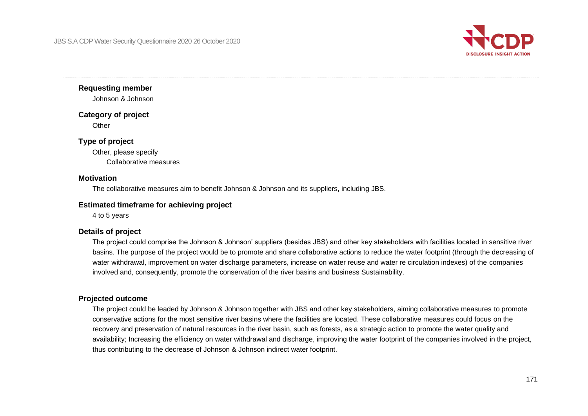

**Requesting member**

Johnson & Johnson

**Category of project**

**Other** 

### **Type of project**

Other, please specify Collaborative measures

#### **Motivation**

The collaborative measures aim to benefit Johnson & Johnson and its suppliers, including JBS.

#### **Estimated timeframe for achieving project**

4 to 5 years

#### **Details of project**

The project could comprise the Johnson & Johnson' suppliers (besides JBS) and other key stakeholders with facilities located in sensitive river basins. The purpose of the project would be to promote and share collaborative actions to reduce the water footprint (through the decreasing of water withdrawal, improvement on water discharge parameters, increase on water reuse and water re circulation indexes) of the companies involved and, consequently, promote the conservation of the river basins and business Sustainability.

#### **Projected outcome**

The project could be leaded by Johnson & Johnson together with JBS and other key stakeholders, aiming collaborative measures to promote conservative actions for the most sensitive river basins where the facilities are located. These collaborative measures could focus on the recovery and preservation of natural resources in the river basin, such as forests, as a strategic action to promote the water quality and availability; Increasing the efficiency on water withdrawal and discharge, improving the water footprint of the companies involved in the project, thus contributing to the decrease of Johnson & Johnson indirect water footprint.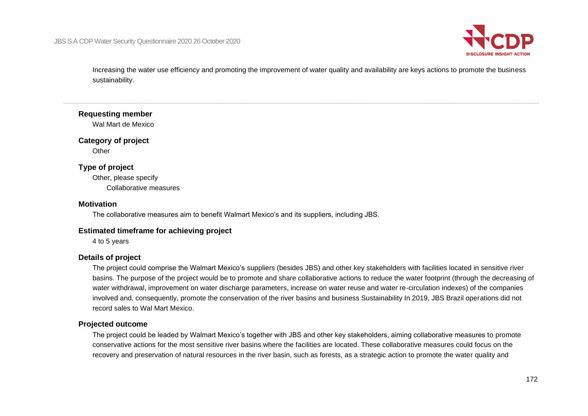

Increasing the water use efficiency and promoting the improvement of water quality and availability are keys actions to promote the business sustainability.

#### **Requesting member**

Wal Mart de Mexico

#### **Category of project**

**Other** 

### **Type of project**

Other, please specify Collaborative measures

#### **Motivation**

The collaborative measures aim to benefit Walmart Mexico's and its suppliers, including JBS.

#### **Estimated timeframe for achieving project**

4 to 5 years

#### **Details of project**

The project could comprise the Walmart Mexico's suppliers (besides JBS) and other key stakeholders with facilities located in sensitive river basins. The purpose of the project would be to promote and share collaborative actions to reduce the water footprint (through the decreasing of water withdrawal, improvement on water discharge parameters, increase on water reuse and water re-circulation indexes) of the companies involved and, consequently, promote the conservation of the river basins and business Sustainability In 2019, JBS Brazil operations did not record sales to Wal Mart Mexico.

#### **Projected outcome**

The project could be leaded by Walmart Mexico's together with JBS and other key stakeholders, aiming collaborative measures to promote conservative actions for the most sensitive river basins where the facilities are located. These collaborative measures could focus on the recovery and preservation of natural resources in the river basin, such as forests, as a strategic action to promote the water quality and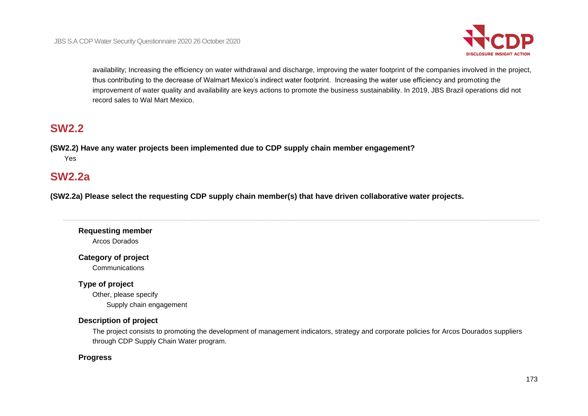

availability; Increasing the efficiency on water withdrawal and discharge, improving the water footprint of the companies involved in the project, thus contributing to the decrease of Walmart Mexico's indirect water footprint. Increasing the water use efficiency and promoting the improvement of water quality and availability are keys actions to promote the business sustainability. In 2019, JBS Brazil operations did not record sales to Wal Mart Mexico.

# **SW2.2**

**(SW2.2) Have any water projects been implemented due to CDP supply chain member engagement?** Yes

# **SW2.2a**

**(SW2.2a) Please select the requesting CDP supply chain member(s) that have driven collaborative water projects.**

# **Requesting member** Arcos Dorados

# **Category of project**

Communications

# **Type of project**

Other, please specify Supply chain engagement

# **Description of project**

The project consists to promoting the development of management indicators, strategy and corporate policies for Arcos Dourados suppliers through CDP Supply Chain Water program.

# **Progress**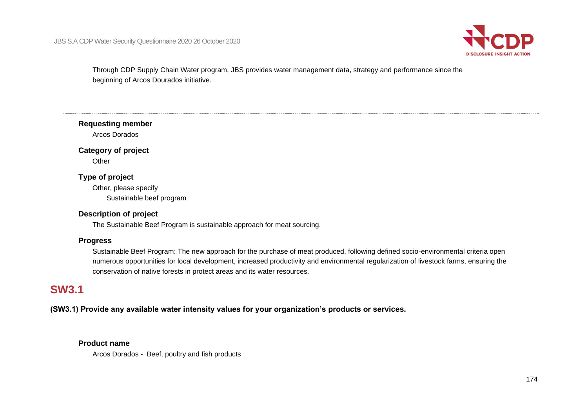

Through CDP Supply Chain Water program, JBS provides water management data, strategy and performance since the beginning of Arcos Dourados initiative.

**Requesting member**

Arcos Dorados

# **Category of project**

**Other** 

# **Type of project**

Other, please specify Sustainable beef program

### **Description of project**

The Sustainable Beef Program is sustainable approach for meat sourcing.

# **Progress**

Sustainable Beef Program: The new approach for the purchase of meat produced, following defined socio-environmental criteria open numerous opportunities for local development, increased productivity and environmental regularization of livestock farms, ensuring the conservation of native forests in protect areas and its water resources.

# **SW3.1**

**(SW3.1) Provide any available water intensity values for your organization's products or services.**

### **Product name**

Arcos Dorados - Beef, poultry and fish products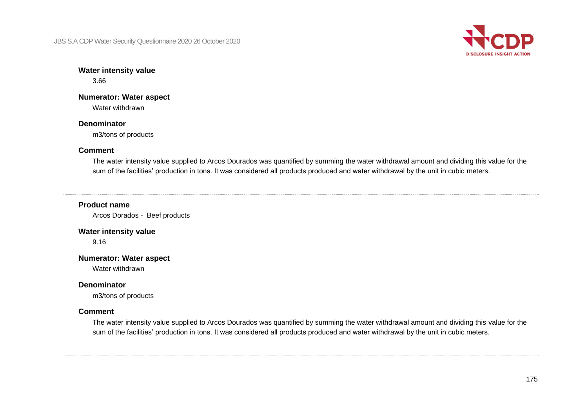JBS S.A CDP Water Security Questionnaire 2020 26 October 2020



#### **Water intensity value** 3.66

# **Numerator: Water aspect**

Water withdrawn

# **Denominator**

m3/tons of products

# **Comment**

The water intensity value supplied to Arcos Dourados was quantified by summing the water withdrawal amount and dividing this value for the sum of the facilities' production in tons. It was considered all products produced and water withdrawal by the unit in cubic meters.

# **Product name**

Arcos Dorados - Beef products

### **Water intensity value**

9.16

# **Numerator: Water aspect**

Water withdrawn

# **Denominator**

m3/tons of products

# **Comment**

The water intensity value supplied to Arcos Dourados was quantified by summing the water withdrawal amount and dividing this value for the sum of the facilities' production in tons. It was considered all products produced and water withdrawal by the unit in cubic meters.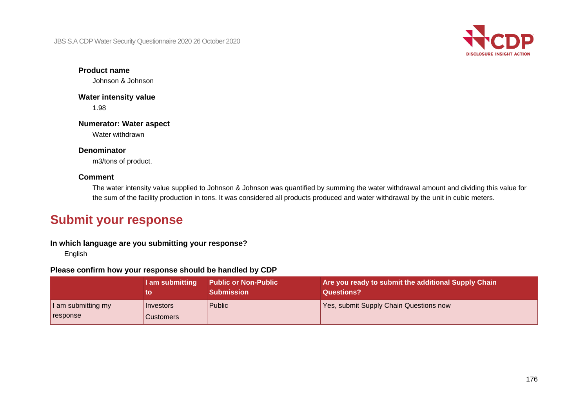JBS S.A CDP Water Security Questionnaire 2020 26 October 2020



**Product name**

Johnson & Johnson

**Water intensity value** 1.98

**Numerator: Water aspect** Water withdrawn

**Denominator**

m3/tons of product.

### **Comment**

The water intensity value supplied to Johnson & Johnson was quantified by summing the water withdrawal amount and dividing this value for the sum of the facility production in tons. It was considered all products produced and water withdrawal by the unit in cubic meters.

# **Submit your response**

# **In which language are you submitting your response?**

English

## **Please confirm how your response should be handled by CDP**

|                                  | I am submitting        | <b>Public or Non-Public</b><br><b>Submission</b> | Are you ready to submit the additional Supply Chain<br>Questions? |
|----------------------------------|------------------------|--------------------------------------------------|-------------------------------------------------------------------|
| I am submitting my<br>  response | Investors<br>Customers | Public                                           | <b>Yes, submit Supply Chain Questions now</b>                     |